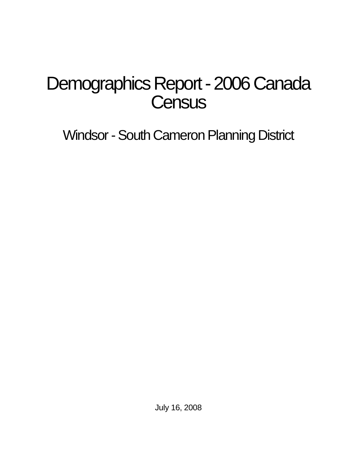# Demographics Report - 2006 Canada **Census**

Windsor - South Cameron Planning District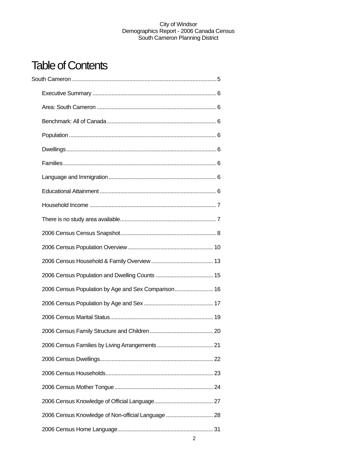## Table of Contents

| 2006 Census Population by Age and Sex Comparison 16 |  |
|-----------------------------------------------------|--|
|                                                     |  |
|                                                     |  |
|                                                     |  |
|                                                     |  |
|                                                     |  |
|                                                     |  |
|                                                     |  |
|                                                     |  |
| 2006 Census Knowledge of Non-official Language  28  |  |
|                                                     |  |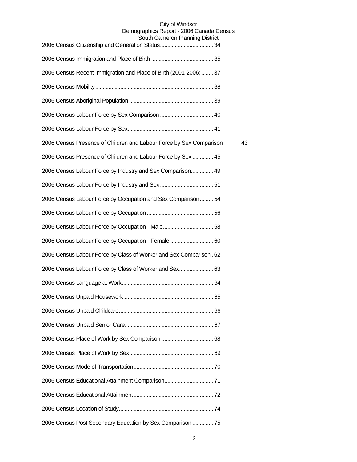#### City of Windsor Demographics Report - 2006 Canada Census

| South Cameron Planning District                                     |    |
|---------------------------------------------------------------------|----|
|                                                                     |    |
| 2006 Census Recent Immigration and Place of Birth (2001-2006) 37    |    |
|                                                                     |    |
|                                                                     |    |
|                                                                     |    |
|                                                                     |    |
| 2006 Census Presence of Children and Labour Force by Sex Comparison | 43 |
| 2006 Census Presence of Children and Labour Force by Sex  45        |    |
| 2006 Census Labour Force by Industry and Sex Comparison 49          |    |
|                                                                     |    |
| 2006 Census Labour Force by Occupation and Sex Comparison 54        |    |
|                                                                     |    |
|                                                                     |    |
| 2006 Census Labour Force by Occupation - Female  60                 |    |
| 2006 Census Labour Force by Class of Worker and Sex Comparison. 62  |    |
| 2006 Census Labour Force by Class of Worker and Sex 63              |    |
|                                                                     |    |
|                                                                     |    |
|                                                                     |    |
|                                                                     |    |
|                                                                     |    |
|                                                                     |    |
|                                                                     |    |
|                                                                     |    |
|                                                                     |    |
|                                                                     |    |
| 2006 Census Post Secondary Education by Sex Comparison  75          |    |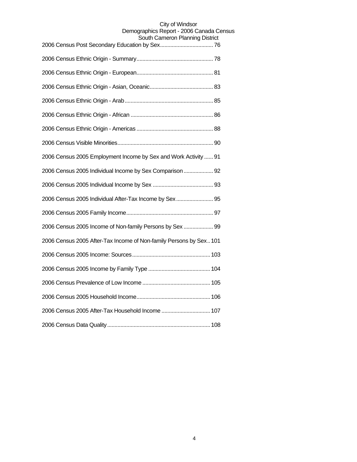| יטיש אָווויווּטוּ דוּטוּטוּטוּ                                     |
|--------------------------------------------------------------------|
|                                                                    |
|                                                                    |
|                                                                    |
|                                                                    |
|                                                                    |
|                                                                    |
|                                                                    |
| 2006 Census 2005 Employment Income by Sex and Work Activity  91    |
| 2006 Census 2005 Individual Income by Sex Comparison 92            |
|                                                                    |
| 2006 Census 2005 Individual After-Tax Income by Sex 95             |
|                                                                    |
| 2006 Census 2005 Income of Non-family Persons by Sex  99           |
| 2006 Census 2005 After-Tax Income of Non-family Persons by Sex 101 |
|                                                                    |
|                                                                    |
|                                                                    |
|                                                                    |
| 2006 Census 2005 After-Tax Household Income  107                   |
|                                                                    |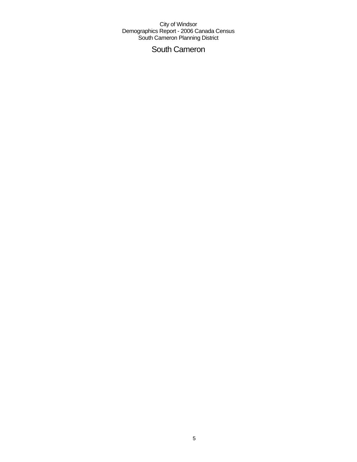## South Cameron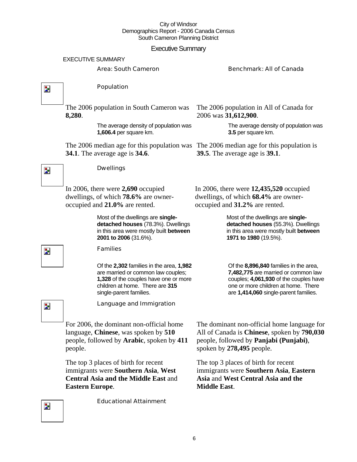#### Executive Summary

|                          | <b>Executive Summary</b>                                                                                                                                                              |                                                                                                                                                                                                         |  |  |
|--------------------------|---------------------------------------------------------------------------------------------------------------------------------------------------------------------------------------|---------------------------------------------------------------------------------------------------------------------------------------------------------------------------------------------------------|--|--|
|                          | <b>EXECUTIVE SUMMARY</b>                                                                                                                                                              |                                                                                                                                                                                                         |  |  |
|                          | <b>Area: South Cameron</b>                                                                                                                                                            | <b>Benchmark: All of Canada</b>                                                                                                                                                                         |  |  |
|                          |                                                                                                                                                                                       |                                                                                                                                                                                                         |  |  |
| $\overline{\phantom{a}}$ | Population                                                                                                                                                                            |                                                                                                                                                                                                         |  |  |
|                          | The 2006 population in South Cameron was<br>8,280.                                                                                                                                    | The 2006 population in All of Canada for<br>2006 was 31,612,900.                                                                                                                                        |  |  |
|                          | The average density of population was<br>1,606.4 per square km.                                                                                                                       | The average density of population was<br>3.5 per square km.                                                                                                                                             |  |  |
|                          | The 2006 median age for this population was The 2006 median age for this population is<br><b>34.1</b> . The average age is <b>34.6</b> .                                              | <b>39.5</b> . The average age is <b>39.1</b> .                                                                                                                                                          |  |  |
| $\overline{\phantom{a}}$ | <b>Dwellings</b>                                                                                                                                                                      |                                                                                                                                                                                                         |  |  |
|                          | In 2006, there were $2,690$ occupied<br>dwellings, of which 78.6% are owner-<br>occupied and 21.0% are rented.                                                                        | In 2006, there were $12,435,520$ occupied<br>dwellings, of which 68.4% are owner-<br>occupied and 31.2% are rented.                                                                                     |  |  |
|                          | Most of the dwellings are single-<br>detached houses (78.3%). Dwellings<br>in this area were mostly built between<br>2001 to 2006 (31.6%).                                            | Most of the dwellings are single-<br>detached houses (55.3%). Dwellings<br>in this area were mostly built between<br>1971 to 1980 (19.5%).                                                              |  |  |
| $\mathbf{z}$             | <b>Families</b>                                                                                                                                                                       |                                                                                                                                                                                                         |  |  |
|                          | Of the 2,302 families in the area, 1,982<br>are married or common law couples;<br>1,328 of the couples have one or more<br>children at home. There are 315<br>single-parent families. | Of the 8,896,840 families in the area,<br>7,482,775 are married or common law<br>couples; 4,061,930 of the couples have<br>one or more children at home. There<br>are 1,414,060 single-parent families. |  |  |
| Þ                        | Language and Immigration                                                                                                                                                              |                                                                                                                                                                                                         |  |  |
|                          | For 2006, the dominant non-official home<br>language, Chinese, was spoken by 510<br>people, followed by <b>Arabic</b> , spoken by 411<br>people.                                      | The dominant non-official home language for<br>All of Canada is Chinese, spoken by 790,030<br>people, followed by Panjabi (Punjabi),<br>spoken by 278,495 people.                                       |  |  |
|                          | The top 3 places of birth for recent<br>immigrants were Southern Asia, West<br><b>Central Asia and the Middle East and</b><br><b>Eastern Europe.</b>                                  | The top 3 places of birth for recent<br>immigrants were Southern Asia, Eastern<br>Asia and West Central Asia and the<br><b>Middle East.</b>                                                             |  |  |

Educational Attainment

 $\overline{\phantom{a}}$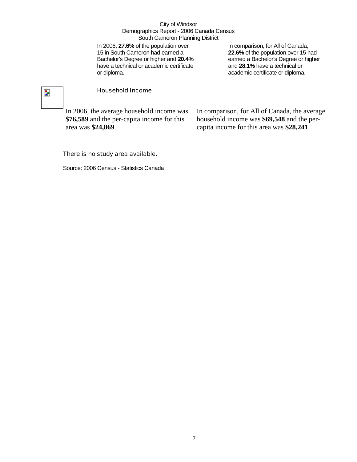In 2006, **27.6%** of the population over 15 in South Cameron had earned a Bachelor's Degree or higher and **20.4%** have a technical or academic certificate or diploma.

In comparison, for All of Canada, **22.6%** of the population over 15 had earned a Bachelor's Degree or higher and **28.1%** have a technical or academic certificate or diploma.

## $\overline{\phantom{a}}$

#### Household Income

In 2006, the average household income was **\$76,589** and the per-capita income for this area was **\$24,869**.

In comparison, for All of Canada, the average household income was **\$69,548** and the percapita income for this area was **\$28,241**.

#### There is no study area available.

Source: 2006 Census - Statistics Canada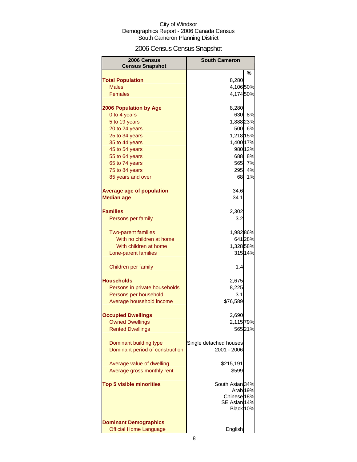## 2006 Census Census Snapshot

| 2006 Census                             | <b>South Cameron</b>                  |
|-----------------------------------------|---------------------------------------|
| <b>Census Snapshot</b>                  |                                       |
|                                         | %                                     |
| <b>Total Population</b><br><b>Males</b> | 8,280                                 |
| <b>Females</b>                          | 4,10650%<br>4,17450%                  |
|                                         |                                       |
| <b>2006 Population by Age</b>           | 8,280                                 |
| 0 to 4 years                            | 630<br>8%                             |
| 5 to 19 years                           | 1,888 23%                             |
| 20 to 24 years                          | 500 6%                                |
| 25 to 34 years                          | 1,218 15%                             |
| 35 to 44 years                          | 1,400 17%                             |
| 45 to 54 years                          | 980 12%                               |
| 55 to 64 years                          | 688 8%                                |
| 65 to 74 years                          | 565<br>7%                             |
| 75 to 84 years                          | 295<br>4%                             |
| 85 years and over                       | 68<br>1%                              |
| <b>Average age of population</b>        | 34.6                                  |
| <b>Median age</b>                       | 34.1                                  |
|                                         |                                       |
| <b>Families</b>                         | 2,302                                 |
| Persons per family                      | 3.2                                   |
|                                         |                                       |
| <b>Two-parent families</b>              | 1,98286%                              |
| With no children at home                | 641 28%                               |
| With children at home                   | 1,328 58%                             |
| Lone-parent families                    | 315 14%                               |
|                                         |                                       |
| Children per family                     | 1.4                                   |
| <b>Households</b>                       | 2,675                                 |
| Persons in private households           | 8,225                                 |
| Persons per household                   | 3.1                                   |
| Average household income                | \$76,589                              |
|                                         |                                       |
| <b>Occupied Dwellings</b>               | 2,690                                 |
| <b>Owned Dwellings</b>                  | 2,115 79%                             |
| <b>Rented Dwellings</b>                 | 56521%                                |
|                                         |                                       |
| Dominant building type                  | Single detached houses<br>2001 - 2006 |
| Dominant period of construction         |                                       |
| Average value of dwelling               | \$215,191                             |
| Average gross monthly rent              | \$599                                 |
|                                         |                                       |
| <b>Top 5 visible minorities</b>         | South Asian 34%                       |
|                                         | Arab <sub>19%</sub>                   |
|                                         | Chinese <sup>18%</sup>                |
|                                         | SE Asian 14%                          |
|                                         | Black 10%                             |
| <b>Dominant Demographics</b>            |                                       |
| <b>Official Home Language</b>           | English                               |
|                                         |                                       |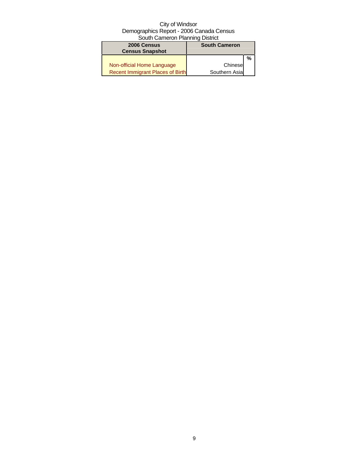| 2006 Census<br><b>Census Snapshot</b>   | <b>South Cameron</b> |   |
|-----------------------------------------|----------------------|---|
|                                         |                      | % |
| Non-official Home Language              | Chinese              |   |
| <b>Recent Immigrant Places of Birth</b> | Southern Asia        |   |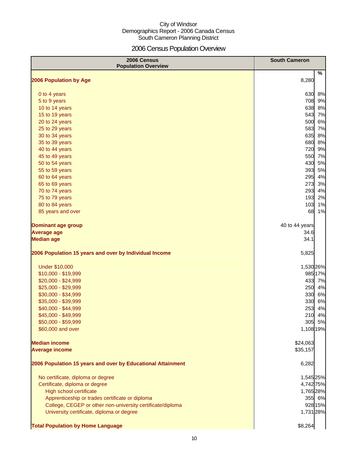## 2006 Census Population Overview

| 2006 Census<br><b>Population Overview</b>                   | <b>South Cameron</b> |
|-------------------------------------------------------------|----------------------|
| 2006 Population by Age                                      | %<br>8,280           |
|                                                             |                      |
| 0 to 4 years                                                | 630<br>8%            |
| 5 to 9 years                                                | 708 9%               |
| 10 to 14 years                                              | 638 8%               |
| 15 to 19 years                                              | 543 7%               |
| 20 to 24 years                                              | 500<br>6%            |
| 25 to 29 years                                              | 583 7%               |
| 30 to 34 years                                              | 635<br>8%            |
| 35 to 39 years                                              | 680<br>8%            |
| 40 to 44 years                                              | 720 9%               |
| 45 to 49 years                                              | 550 7%               |
| 50 to 54 years                                              | 430<br>5%            |
| 55 to 59 years                                              | 393<br>5%            |
| 60 to 64 years                                              | 295<br>4%            |
| 65 to 69 years                                              | 273<br>3%            |
| 70 to 74 years                                              | 293<br>4%            |
| 75 to 79 years                                              | 193<br>2%            |
| 80 to 84 years                                              | 103<br>1%            |
| 85 years and over                                           | 68<br>1%             |
| <b>Dominant age group</b>                                   | 40 to 44 years       |
| <b>Average age</b>                                          | 34.6                 |
| <b>Median age</b>                                           | 34.1                 |
| 2006 Population 15 years and over by Individual Income      | 5,825                |
| Under \$10,000                                              | 1,530 26%            |
| \$10,000 - \$19,999                                         | 98517%               |
| \$20,000 - \$24,999                                         | 433 7%               |
| \$25,000 - \$29,999                                         | 250<br>4%            |
| \$30,000 - \$34,999                                         | 330<br>6%            |
| \$35,000 - \$39,999                                         | 330<br>6%            |
| \$40,000 - \$44,999                                         | 253<br>4%            |
| \$45,000 - \$49,999                                         | 210<br>4%            |
| \$50,000 - \$59,999                                         | 305 5%               |
| \$60,000 and over                                           | 1,108 19%            |
| <b>Median income</b>                                        | \$24,063             |
| <b>Average income</b>                                       | \$35,157             |
| 2006 Population 15 years and over by Educational Attainment | 6,282                |
| No certificate, diploma or degree                           | 1,545 25%            |
| Certificate, diploma or degree                              | 4,742 75%            |
| High school certificate                                     | 1,765 28%            |
| Apprenticeship or trades certificate or diploma             | 355 6%               |
| College, CEGEP or other non-university certificate/diploma  | 928 15%              |
| University certificate, diploma or degree                   | 1,731 28%            |
| <b>Total Population by Home Language</b>                    | \$8,264              |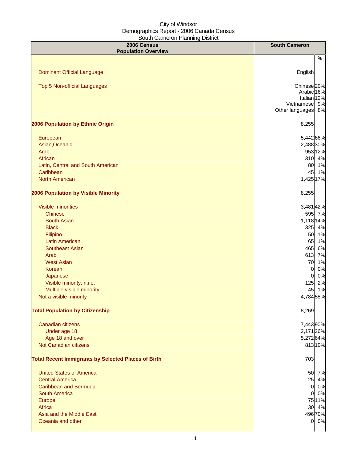| 2006 Census<br><b>Population Overview</b>                  | <b>South Cameron</b>                |
|------------------------------------------------------------|-------------------------------------|
|                                                            | $\%$                                |
|                                                            |                                     |
| <b>Dominant Official Language</b>                          | English                             |
| Top 5 Non-official Languages                               | Chinese <sub>20%</sub>              |
|                                                            | Arabic 16%                          |
|                                                            | Italian <sub>12%</sub>              |
|                                                            | Vietnamese 9%<br>Other languages 8% |
| 2006 Population by Ethnic Origin                           | 8,255                               |
|                                                            |                                     |
| European                                                   | 5,442 66%                           |
| Asian, Oceanic                                             | 2,488 30%                           |
| Arab                                                       | 953 12%                             |
| African                                                    | 310 4%                              |
| Latin, Central and South American                          | 80 1%                               |
| Caribbean                                                  | 45 1%                               |
| <b>North American</b>                                      | 1,425 17%                           |
| 2006 Population by Visible Minority                        | 8,255                               |
| <b>Visible minorities</b>                                  | 3,481 42%                           |
| <b>Chinese</b>                                             | 595 7%                              |
| South Asian                                                | 1,118 14%                           |
| <b>Black</b>                                               | 325 4%                              |
| Filipino                                                   | 50 1%                               |
| <b>Latin American</b>                                      | 65 1%                               |
| <b>Southeast Asian</b>                                     | 465 6%                              |
| Arab                                                       | 613 7%                              |
| <b>West Asian</b>                                          | 1%<br>70                            |
| Korean                                                     | 0%<br>0                             |
| Japanese                                                   | 0%<br>0                             |
| Visible minority, n.i.e.                                   | 2%<br>125                           |
| Multiple visible minority                                  | 45<br>1%                            |
| Not a visible minority                                     | 4,784 58%                           |
| <b>Total Population by Citizenship</b>                     | 8,269                               |
| Canadian citizens                                          | 7,443 90%                           |
| Under age 18                                               | 2,171 26%                           |
| Age 18 and over                                            | 5,27264%                            |
| Not Canadian citizens                                      | 81310%                              |
| <b>Total Recent Immigrants by Selected Places of Birth</b> | 703                                 |
|                                                            |                                     |
| <b>United States of America</b>                            | 50 7%                               |
| <b>Central America</b>                                     | 25 4%                               |
| <b>Caribbean and Bermuda</b>                               | 0 0%                                |
| South America                                              | 0%<br>0                             |
| Europe                                                     | 7511%                               |
| Africa                                                     | 30 4%                               |
| Asia and the Middle East                                   | 496 70%                             |
| Oceania and other                                          | 0 0%                                |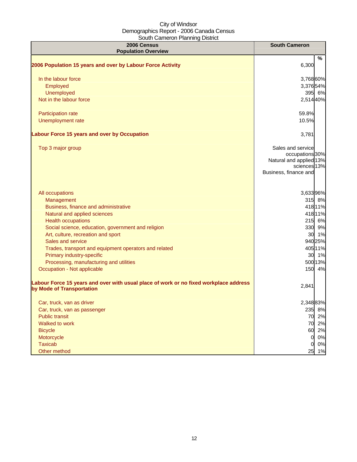| <u>oodii odinoi on mammiq Diothot</u><br><b>2006 Census</b><br><b>Population Overview</b>                          | <b>South Cameron</b>                                                                                     |
|--------------------------------------------------------------------------------------------------------------------|----------------------------------------------------------------------------------------------------------|
|                                                                                                                    | $\%$                                                                                                     |
| 2006 Population 15 years and over by Labour Force Activity                                                         | 6,300                                                                                                    |
| In the labour force                                                                                                | 3,768 60%                                                                                                |
| Employed                                                                                                           | 3,37654%                                                                                                 |
| <b>Unemployed</b>                                                                                                  | 395 6%                                                                                                   |
| Not in the labour force                                                                                            | 2,514 40%                                                                                                |
| Participation rate                                                                                                 | 59.8%                                                                                                    |
| Unemployment rate                                                                                                  | 10.5%                                                                                                    |
| Labour Force 15 years and over by Occupation                                                                       | 3,781                                                                                                    |
| Top 3 major group                                                                                                  | Sales and service<br>occupations 30%<br>Natural and applied 13%<br>sciences 13%<br>Business, finance and |
| All occupations                                                                                                    | 3,63396%                                                                                                 |
| Management                                                                                                         | 315 8%                                                                                                   |
| Business, finance and administrative                                                                               | 418 11%                                                                                                  |
| Natural and applied sciences                                                                                       | 418 11%                                                                                                  |
| <b>Health occupations</b>                                                                                          | 215 6%                                                                                                   |
| Social science, education, government and religion                                                                 | 330 9%                                                                                                   |
| Art, culture, recreation and sport                                                                                 | 30 1%                                                                                                    |
| Sales and service                                                                                                  | 94025%                                                                                                   |
| Trades, transport and equipment operators and related                                                              | 405 11%                                                                                                  |
| Primary industry-specific                                                                                          | 30 1%                                                                                                    |
| Processing, manufacturing and utilities                                                                            | 50013%                                                                                                   |
| Occupation - Not applicable                                                                                        | 150 4%                                                                                                   |
| Labour Force 15 years and over with usual place of work or no fixed workplace address<br>by Mode of Transportation | 2,841                                                                                                    |
| Car, truck, van as driver                                                                                          | 2,348 83%                                                                                                |
| Car, truck, van as passenger                                                                                       | 235 8%                                                                                                   |
| <b>Public transit</b>                                                                                              | 70 2%                                                                                                    |
| Walked to work                                                                                                     | 70 2%                                                                                                    |
| <b>Bicycle</b>                                                                                                     | 2%<br>60                                                                                                 |
| Motorcycle                                                                                                         | 0%<br>O.                                                                                                 |
| <b>Taxicab</b>                                                                                                     | 0%<br>O                                                                                                  |
| Other method                                                                                                       | 1%<br>25                                                                                                 |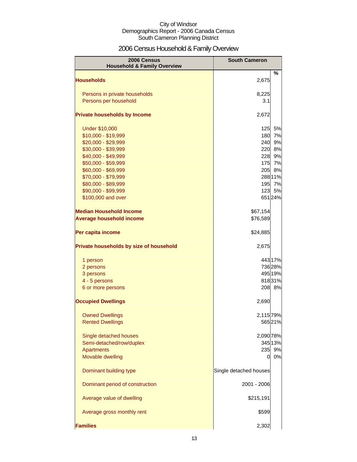## 2006 Census Household & Family Overview

| 2006 Census<br><b>Household &amp; Family Overview</b> | <b>South Cameron</b>   |          |
|-------------------------------------------------------|------------------------|----------|
|                                                       |                        | $\%$     |
| <b>Households</b>                                     | 2,675                  |          |
| Persons in private households                         | 8,225                  |          |
| Persons per household                                 | 3.1                    |          |
|                                                       |                        |          |
| <b>Private households by Income</b>                   | 2,672                  |          |
| <b>Under \$10,000</b>                                 | 125                    | 5%       |
| \$10,000 - \$19,999                                   | 180                    | 7%       |
| \$20,000 - \$29,999                                   | 240                    | 9%       |
| \$30,000 - \$39,999                                   | 220                    | 8%       |
| \$40,000 - \$49,999                                   | 228                    | 9%       |
| \$50,000 - \$59,999                                   | 175                    | 7%       |
| \$60,000 - \$69,999                                   | 205                    | 8%       |
| \$70,000 - \$79,999                                   |                        | 288 11%  |
| \$80,000 - \$89,999<br>\$90,000 - \$99,999            | 195<br>123             | 7%<br>5% |
| \$100,000 and over                                    |                        | 65124%   |
|                                                       |                        |          |
| <b>Median Household Income</b>                        | \$67,154               |          |
| <b>Average household income</b>                       | \$76,589               |          |
| Per capita income                                     | \$24,885               |          |
| Private households by size of household               | 2,675                  |          |
| 1 person                                              |                        | 443 17%  |
| 2 persons                                             |                        | 736 28%  |
| 3 persons                                             |                        | 495 19%  |
| 4 - 5 persons                                         |                        | 81831%   |
| 6 or more persons                                     |                        | 208 8%   |
| <b>Occupied Dwellings</b>                             | 2,690                  |          |
| <b>Owned Dwellings</b>                                | 2,115 79%              |          |
| <b>Rented Dwellings</b>                               |                        | 56521%   |
|                                                       |                        |          |
| Single detached houses                                | 2,090 78%              |          |
| Semi-detached/row/duplex                              |                        | 345 13%  |
| Apartments                                            | 235                    | 9%       |
| Movable dwelling                                      | $\Omega$               | 0%       |
| Dominant building type                                | Single detached houses |          |
| Dominant period of construction                       | 2001 - 2006            |          |
| Average value of dwelling                             | \$215,191              |          |
| Average gross monthly rent                            | \$599                  |          |
| <b>Families</b>                                       | 2,302                  |          |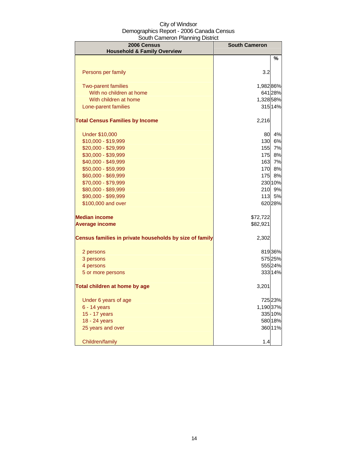| 2006 Census<br><b>Household &amp; Family Overview</b>   | <b>South Cameron</b> |         |
|---------------------------------------------------------|----------------------|---------|
|                                                         |                      | $\%$    |
| Persons per family                                      | 3.2                  |         |
| <b>Two-parent families</b>                              | 1,98286%             |         |
| With no children at home                                |                      | 641 28% |
| With children at home                                   | 1,328 58%            |         |
| Lone-parent families                                    |                      | 315 14% |
| <b>Total Census Families by Income</b>                  | 2,216                |         |
| <b>Under \$10,000</b>                                   | 80                   | 4%      |
| \$10,000 - \$19,999                                     | 130                  | 6%      |
| \$20,000 - \$29,999                                     | 155                  | 7%      |
| \$30,000 - \$39,999                                     | 175                  | 8%      |
| \$40,000 - \$49,999                                     | 163                  | 7%      |
| \$50,000 - \$59,999                                     | 170                  | 8%      |
| \$60,000 - \$69,999                                     | 175                  | 8%      |
| \$70,000 - \$79,999                                     |                      | 230 10% |
| \$80,000 - \$89,999                                     | 210                  | 9%      |
| \$90,000 - \$99,999                                     | 113                  | 5%      |
| \$100,000 and over                                      |                      | 620 28% |
| <b>Median income</b>                                    | \$72,722             |         |
| <b>Average income</b>                                   | \$82,921             |         |
| Census families in private households by size of family | 2,302                |         |
| 2 persons                                               |                      | 81936%  |
| 3 persons                                               |                      | 575 25% |
| 4 persons                                               |                      | 555 24% |
| 5 or more persons                                       |                      | 333 14% |
| Total children at home by age                           | 3,201                |         |
| Under 6 years of age                                    |                      | 72523%  |
| $6 - 14$ years                                          | 1,190 37%            |         |
| 15 - 17 years                                           |                      | 335 10% |
| 18 - 24 years                                           |                      | 580 18% |
| 25 years and over                                       |                      | 36011%  |
| Children/family                                         | 1.4                  |         |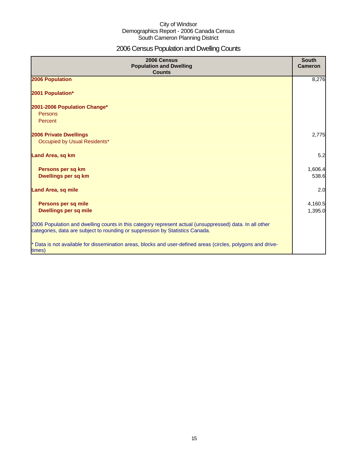## 2006 Census Population and Dwelling Counts

| 2006 Census<br><b>Population and Dwelling</b><br><b>Counts</b>                                                                                                                           | <b>South</b><br><b>Cameron</b> |
|------------------------------------------------------------------------------------------------------------------------------------------------------------------------------------------|--------------------------------|
| 2006 Population                                                                                                                                                                          | 8,276                          |
| 2001 Population*                                                                                                                                                                         |                                |
| 2001-2006 Population Change*                                                                                                                                                             |                                |
| Persons                                                                                                                                                                                  |                                |
| Percent                                                                                                                                                                                  |                                |
| <b>2006 Private Dwellings</b>                                                                                                                                                            | 2,775                          |
| Occupied by Usual Residents*                                                                                                                                                             |                                |
| Land Area, sq km                                                                                                                                                                         | 5.2                            |
| Persons per sq km                                                                                                                                                                        | 1,606.4                        |
| Dwellings per sq km                                                                                                                                                                      | 538.6                          |
| <b>Land Area, sq mile</b>                                                                                                                                                                | 2.0                            |
|                                                                                                                                                                                          |                                |
| Persons per sq mile                                                                                                                                                                      | 4,160.5                        |
| <b>Dwellings per sq mile</b>                                                                                                                                                             | 1,395.0                        |
| 2006 Population and dwelling counts in this category represent actual (unsuppressed) data. In all other<br>categories, data are subject to rounding or suppression by Statistics Canada. |                                |
| * Data is not available for dissemination areas, blocks and user-defined areas (circles, polygons and drive-<br>times)                                                                   |                                |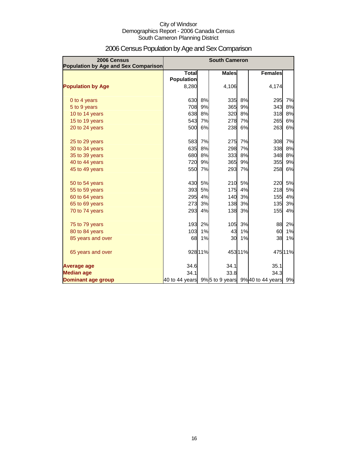| 2006 Census<br><b>Population by Age and Sex Comparison</b> | <b>South Cameron</b>                             |         |              |         |                |        |
|------------------------------------------------------------|--------------------------------------------------|---------|--------------|---------|----------------|--------|
|                                                            | Total<br><b>Population</b>                       |         | <b>Males</b> |         | <b>Females</b> |        |
| <b>Population by Age</b>                                   | 8,280                                            |         | 4,106        |         | 4,174          |        |
| 0 to 4 years                                               | 630                                              | 8%      | 335          | 8%      | 295            | 7%     |
| 5 to 9 years                                               | 708                                              | 9%      | 365          | 9%      | 343            | 8%     |
| 10 to 14 years                                             | 638                                              | 8%      | 320          | 8%      | 318            | 8%     |
| 15 to 19 years                                             | 543                                              | 7%      | 278          | 7%      | 265            | 6%     |
| 20 to 24 years                                             | 500                                              | 6%      | 238          | 6%      | 263            | 6%     |
| 25 to 29 years                                             | 583                                              | 7%      | 275          | 7%      | 308            | 7%     |
| 30 to 34 years                                             | 635                                              | 8%      | 298          | 7%      | 338            | 8%     |
| 35 to 39 years                                             | 680                                              | 8%      | 333          | 8%      | 348            | 8%     |
| 40 to 44 years                                             | 720                                              | 9%      | 365          | 9%      | 355            | 9%     |
| 45 to 49 years                                             | 550                                              | 7%      | 293          | 7%      | 258            | 6%     |
| 50 to 54 years                                             | 430                                              | 5%      | 210          | 5%      | 220            | 5%     |
| 55 to 59 years                                             | 393                                              | 5%      | 175          | 4%      | 218            | 5%     |
| 60 to 64 years                                             | 295                                              | 4%      | 140          | 3%      | 155            | 4%     |
| 65 to 69 years                                             | 273                                              | 3%      | 138          | 3%      | 135            | 3%     |
| 70 to 74 years                                             | 293                                              | 4%      | 138          | 3%      | 155            | 4%     |
| 75 to 79 years                                             | 193                                              | 2%      | 105          | 3%      | 88             | 2%     |
| 80 to 84 years                                             | 103                                              | 1%      | 43           | 1%      | 60             | 1%     |
| 85 years and over                                          | 68                                               | 1%      | 30           | 1%      | 38             | 1%     |
| 65 years and over                                          |                                                  | 928 11% |              | 453 11% |                | 47511% |
| Average age                                                | 34.6                                             |         | 34.1         |         | 35.1           |        |
| <b>Median age</b>                                          | 34.1                                             |         | 33.8         |         | 34.3           |        |
| <b>Dominant age group</b>                                  | 40 to 44 years 9% 5 to 9 years 9% 40 to 44 years |         |              |         |                | 9%     |

## 2006 Census Population by Age and Sex Comparison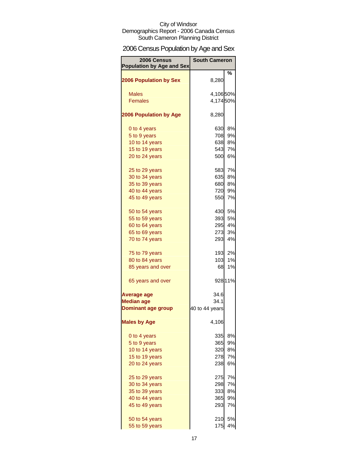## 2006 Census Population by Age and Sex

| 2006 Census<br><b>Population by Age and Sex</b> | <b>South Cameron</b> |         |
|-------------------------------------------------|----------------------|---------|
|                                                 |                      | ℅       |
| <b>2006 Population by Sex</b>                   | 8,280                |         |
| <b>Males</b>                                    | 4,10650%             |         |
| <b>Females</b>                                  | 4,17450%             |         |
|                                                 |                      |         |
| <b>2006 Population by Age</b>                   | 8,280                |         |
| 0 to 4 years                                    | 630                  | 8%      |
| 5 to 9 years                                    | 708                  | 9%      |
| 10 to 14 years                                  | 638                  | 8%      |
| 15 to 19 years                                  | 543                  | 7%      |
| 20 to 24 years                                  | 500                  | 6%      |
| 25 to 29 years                                  | 583                  | 7%      |
| 30 to 34 years                                  | 635                  | 8%      |
| 35 to 39 years                                  | 680                  | 8%      |
| 40 to 44 years                                  | 720                  | 9%      |
| 45 to 49 years                                  | 550                  | 7%      |
| 50 to 54 years                                  | 430                  | 5%      |
| 55 to 59 years                                  | 393                  | 5%      |
| 60 to 64 years                                  | 295                  | 4%      |
| 65 to 69 years                                  | 273                  | 3%      |
| 70 to 74 years                                  | 293                  | 4%      |
| 75 to 79 years                                  |                      | 193 2%  |
| 80 to 84 years                                  | 103                  | 1%      |
| 85 years and over                               | 68                   | 1%      |
| 65 years and over                               |                      | 928 11% |
| Average age                                     | 34.6                 |         |
| <b>Median age</b>                               | 34.1                 |         |
| <b>Dominant age group</b>                       | 40 to 44 years       |         |
| <b>Males by Age</b>                             | 4,106                |         |
| 0 to 4 years                                    | 335                  | 8%      |
| 5 to 9 years                                    | <b>365</b>           | 9%      |
| 10 to 14 years                                  | <b>320</b>           | 8%      |
| 15 to 19 years                                  | 278                  | 7%      |
| 20 to 24 years                                  | 238                  | 6%      |
| 25 to 29 years                                  | 275                  | 7%      |
| 30 to 34 years                                  | 298                  | 7%      |
| 35 to 39 years                                  | 333                  | 8%      |
| 40 to 44 years                                  | 365                  | 9%      |
| 45 to 49 years                                  | 293                  | 7%      |
|                                                 | 210                  | 5%      |
| 50 to 54 years<br>55 to 59 years                | 175                  | 4%      |
|                                                 |                      |         |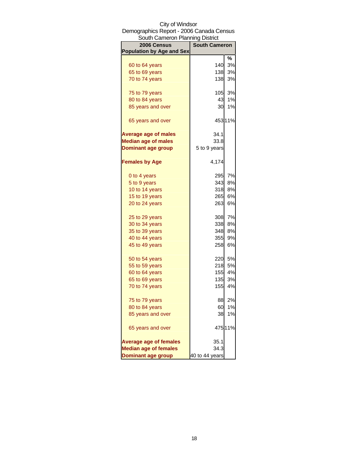| South Cameron Planning District  |                      |         |  |
|----------------------------------|----------------------|---------|--|
| 2006 Census                      | <b>South Cameron</b> |         |  |
| <b>Population by Age and Sex</b> |                      |         |  |
|                                  |                      | ℅       |  |
| 60 to 64 years                   | 140                  | 3%      |  |
| 65 to 69 years                   | 138                  | 3%      |  |
| 70 to 74 years                   | 138                  | 3%      |  |
| 75 to 79 years                   | 105                  | 3%      |  |
| 80 to 84 years                   | 43                   | 1%      |  |
| 85 years and over                | 30                   | 1%      |  |
| 65 years and over                |                      | 453 11% |  |
| <b>Average age of males</b>      | 34.1                 |         |  |
| <b>Median age of males</b>       | 33.8                 |         |  |
| <b>Dominant age group</b>        | 5 to 9 years         |         |  |
| <b>Females by Age</b>            | 4,174                |         |  |
| 0 to 4 years                     | 295                  | 7%      |  |
| 5 to 9 years                     | 343                  | 8%      |  |
| 10 to 14 years                   | 318                  | 8%      |  |
| 15 to 19 years                   | 265                  | 6%      |  |
| 20 to 24 years                   | 263                  | 6%      |  |
| 25 to 29 years                   | 308                  | 7%      |  |
| 30 to 34 years                   | 338                  | 8%      |  |
| 35 to 39 years                   | 348                  | 8%      |  |
| 40 to 44 years                   | 355                  | 9%      |  |
| 45 to 49 years                   | 258                  | 6%      |  |
| 50 to 54 years                   | 220                  | 5%      |  |
| 55 to 59 years                   | 218                  | 5%      |  |
| 60 to 64 years                   | 155                  | 4%      |  |
| 65 to 69 years                   | 135                  | 3%      |  |
| 70 to 74 years                   | 155                  | 4%      |  |
| 75 to 79 years                   | 88                   | 2%      |  |
| 80 to 84 years                   | 60                   | 1%      |  |
| 85 years and over                | 38                   | 1%      |  |
| 65 years and over                |                      | 475 11% |  |
| <b>Average age of females</b>    | 35.1                 |         |  |
| <b>Median age of females</b>     | 34.3                 |         |  |
| <b>Dominant age group</b>        | 40 to 44 years       |         |  |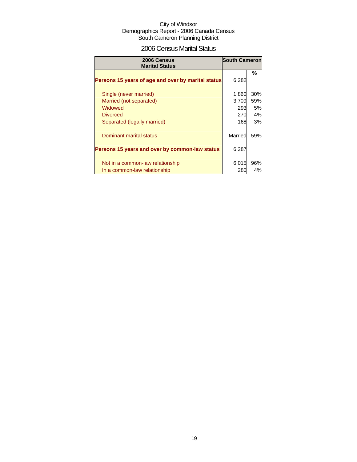### 2006 Census Marital Status

| 2006 Census<br><b>Marital Status</b>               | <b>South Cameron</b> |     |
|----------------------------------------------------|----------------------|-----|
| Persons 15 years of age and over by marital status | 6,282                | %   |
| Single (never married)                             | 1,860                | 30% |
| Married (not separated)                            | 3,709                | 59% |
| Widowed                                            | 293                  | 5%  |
| <b>Divorced</b>                                    | 270                  | 4%  |
| Separated (legally married)                        | 168                  | 3%  |
| Dominant marital status                            | Married              | 59% |
| Persons 15 years and over by common-law status     | 6,287                |     |
| Not in a common-law relationship                   | 6,015                | 96% |
| In a common-law relationship                       | 280                  | 4%  |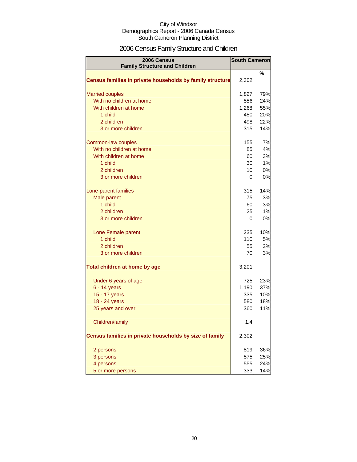## 2006 Census Family Structure and Children

| 2006 Census<br><b>Family Structure and Children</b>       | <b>South Cameron</b> |     |
|-----------------------------------------------------------|----------------------|-----|
|                                                           |                      | %   |
| Census families in private households by family structure | 2,302                |     |
| <b>Married couples</b>                                    | 1,827                | 79% |
| With no children at home                                  | 556                  | 24% |
| With children at home                                     | 1,268                | 55% |
| 1 child                                                   | 450                  | 20% |
| 2 children                                                | 498                  | 22% |
| 3 or more children                                        | 315                  | 14% |
| Common-law couples                                        | 155                  | 7%  |
| With no children at home                                  | 85                   | 4%  |
| With children at home                                     | 60                   | 3%  |
| 1 child                                                   | 30                   | 1%  |
| 2 children                                                | 10                   | 0%  |
| 3 or more children                                        | 0                    | 0%  |
| Lone-parent families                                      | 315                  | 14% |
| Male parent                                               | 75                   | 3%  |
| 1 child                                                   | 60                   | 3%  |
| 2 children                                                | 25                   | 1%  |
| 3 or more children                                        | 0                    | 0%  |
| Lone Female parent                                        | 235                  | 10% |
| 1 child                                                   | 110                  | 5%  |
| 2 children                                                | 55                   | 2%  |
| 3 or more children                                        | 70                   | 3%  |
| Total children at home by age                             | 3,201                |     |
| Under 6 years of age                                      | 725                  | 23% |
| $6 - 14$ years                                            | 1,190                | 37% |
| 15 - 17 years                                             | 335                  | 10% |
| 18 - 24 years                                             | 580                  | 18% |
| 25 years and over                                         | 360                  | 11% |
| Children/family                                           | 1.4                  |     |
| Census families in private households by size of family   | 2,302                |     |
| 2 persons                                                 | 819                  | 36% |
| 3 persons                                                 | 575                  | 25% |
| 4 persons                                                 | 555                  | 24% |
| 5 or more persons                                         | 333                  | 14% |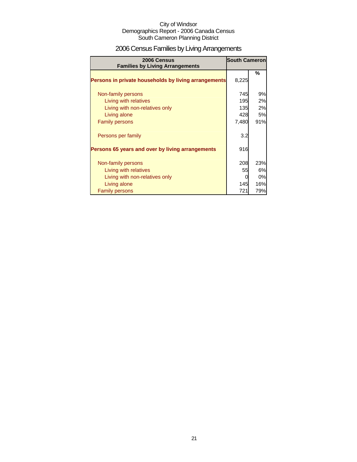## 2006 Census Families by Living Arrangements

| 2006 Census<br><b>Families by Living Arrangements</b> | <b>South Cameron</b> |     |
|-------------------------------------------------------|----------------------|-----|
| Persons in private households by living arrangements  | 8,225                | %   |
|                                                       |                      |     |
| Non-family persons                                    | 745                  | 9%  |
| Living with relatives                                 | 195                  | 2%  |
| Living with non-relatives only                        | 135                  | 2%  |
| Living alone                                          | 428                  | 5%  |
| <b>Family persons</b>                                 | 7,480                | 91% |
| Persons per family                                    | 3.2                  |     |
| Persons 65 years and over by living arrangements      | 916                  |     |
|                                                       |                      |     |
| Non-family persons                                    | 208                  | 23% |
| Living with relatives                                 | 55                   | 6%  |
| Living with non-relatives only                        |                      | 0%  |
| Living alone                                          | 145                  | 16% |
| <b>Family persons</b>                                 | 721                  | 79% |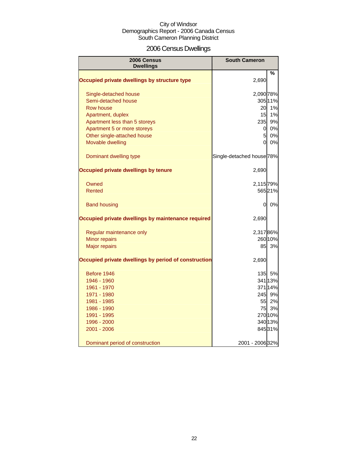## 2006 Census Dwellings

| 2006 Census<br><b>Dwellings</b>                      | <b>South Cameron</b>                 |         |
|------------------------------------------------------|--------------------------------------|---------|
|                                                      |                                      | %       |
| Occupied private dwellings by structure type         | 2,690                                |         |
| Single-detached house                                | 2,090 78%                            |         |
| Semi-detached house                                  |                                      | 305 11% |
| Row house                                            | 20                                   | 1%      |
| Apartment, duplex                                    | 15                                   | 1%      |
| Apartment less than 5 storeys                        | 235                                  | 9%      |
| Apartment 5 or more storeys                          | <sub>0</sub>                         | 0%      |
| Other single-attached house                          | 5                                    | 0%      |
| Movable dwelling                                     | 0                                    | 0%      |
| Dominant dwelling type                               | Single-detached house <sup>78%</sup> |         |
| Occupied private dwellings by tenure                 | 2,690                                |         |
| Owned                                                | 2,115 79%                            |         |
| Rented                                               |                                      | 56521%  |
| <b>Band housing</b>                                  | 0                                    | 0%      |
| Occupied private dwellings by maintenance required   | 2,690                                |         |
| Regular maintenance only                             | 2,31786%                             |         |
| Minor repairs                                        |                                      | 260 10% |
| <b>Major repairs</b>                                 | 85                                   | 3%      |
| Occupied private dwellings by period of construction | 2,690                                |         |
| Before 1946                                          |                                      | 135 5%  |
| 1946 - 1960                                          |                                      | 341 13% |
| 1961 - 1970                                          |                                      | 371 14% |
| 1971 - 1980                                          | 245                                  | 9%      |
| 1981 - 1985                                          | 55                                   | 2%      |
| 1986 - 1990                                          | 75                                   | 3%      |
| 1991 - 1995                                          |                                      | 270 10% |
| 1996 - 2000                                          |                                      | 340 13% |
| 2001 - 2006                                          |                                      | 845 31% |
| Dominant period of construction                      | 2001 - 2006 32%                      |         |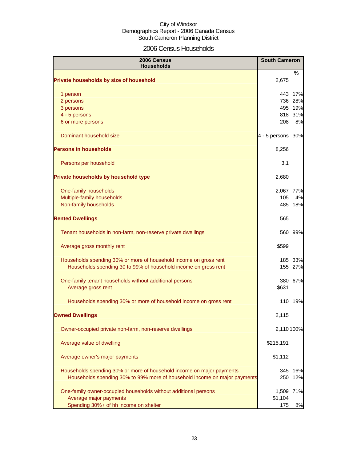## 2006 Census Households

| 2006 Census<br><b>Households</b>                                          | <b>South Cameron</b> |            |
|---------------------------------------------------------------------------|----------------------|------------|
| Private households by size of household                                   | 2,675                | %          |
| 1 person                                                                  | 443                  | 17%        |
| 2 persons                                                                 | 736                  | 28%        |
| 3 persons                                                                 | 495                  | 19%        |
| 4 - 5 persons                                                             | 818                  | 31%        |
| 6 or more persons                                                         | 208                  | 8%         |
| Dominant household size                                                   | 4 - 5 persons        | 30%        |
| <b>Persons in households</b>                                              | 8,256                |            |
| Persons per household                                                     | 3.1                  |            |
| Private households by household type                                      | 2,680                |            |
| One-family households                                                     | 2,067                | 77%        |
| Multiple-family households                                                | 105                  | 4%         |
| Non-family households                                                     | 485                  | 18%        |
| <b>Rented Dwellings</b>                                                   | 565                  |            |
| Tenant households in non-farm, non-reserve private dwellings              | 560                  | 99%        |
| Average gross monthly rent                                                | \$599                |            |
| Households spending 30% or more of household income on gross rent         |                      | 185 33%    |
| Households spending 30 to 99% of household income on gross rent           | <b>155</b>           | 27%        |
| One-family tenant households without additional persons                   | 380                  | 67%        |
| Average gross rent                                                        | \$631                |            |
| Households spending 30% or more of household income on gross rent         | 110                  | 19%        |
| <b>Owned Dwellings</b>                                                    | 2,115                |            |
| Owner-occupied private non-farm, non-reserve dwellings                    |                      | 2,110 100% |
| Average value of dwelling                                                 | \$215,191            |            |
| Average owner's major payments                                            | \$1,112              |            |
| Households spending 30% or more of household income on major payments     | 345                  | 16%        |
| Households spending 30% to 99% more of household income on major payments | 250                  | 12%        |
| One-family owner-occupied households without additional persons           | 1,509                | 71%        |
| Average major payments                                                    | \$1,104              |            |
| Spending 30%+ of hh income on shelter                                     | 175                  | 8%         |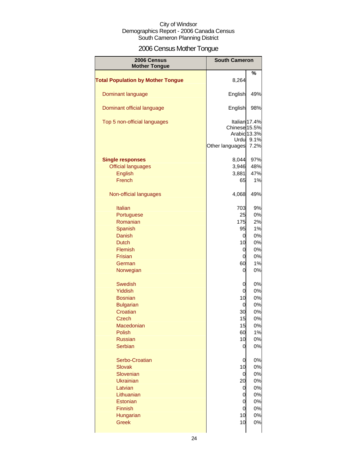## 2006 Census Mother Tongue

| 2006 Census                                          | <b>South Cameron</b>                     |                                               |
|------------------------------------------------------|------------------------------------------|-----------------------------------------------|
| <b>Mother Tongue</b>                                 |                                          |                                               |
| <b>Total Population by Mother Tongue</b>             | 8,264                                    | %                                             |
| Dominant language                                    | English                                  | 49%                                           |
| Dominant official language                           | English                                  | 98%                                           |
| Top 5 non-official languages                         | Chinese 15.5%<br>Urdu<br>Other languages | Italian 17.4%<br>Arabic 13.3%<br>9.1%<br>7.2% |
| <b>Single responses</b><br><b>Official languages</b> | 8,044<br>3,946                           | 97%<br>48%                                    |
| English<br>French                                    | 3,881<br>65                              | 47%<br>1%                                     |
| Non-official languages                               | 4,068                                    | 49%                                           |
| <b>Italian</b>                                       | 703                                      | 9%                                            |
| Portuguese                                           | 25                                       | 0%                                            |
| Romanian                                             | 175                                      | 2%                                            |
| Spanish                                              | 95                                       | 1%                                            |
| Danish                                               | 0                                        | 0%                                            |
| <b>Dutch</b>                                         | 10                                       | 0%                                            |
| Flemish                                              | 0                                        | 0%                                            |
| <b>Frisian</b>                                       | 0                                        | 0%                                            |
| German                                               | 60                                       | 1%                                            |
| Norwegian                                            | 0                                        | 0%                                            |
| <b>Swedish</b>                                       | 0                                        | 0%                                            |
| Yiddish                                              | 0                                        | 0%                                            |
| <b>Bosnian</b>                                       | 10                                       | 0%                                            |
| <b>Bulgarian</b>                                     | 0                                        | 0%                                            |
| Croatian                                             | 30                                       | 0%                                            |
| Czech                                                | 15                                       | 0%                                            |
| Macedonian                                           | 15                                       | 0%                                            |
| Polish                                               | 60                                       | 1%                                            |
| <b>Russian</b>                                       | 10                                       | 0%                                            |
| Serbian                                              | 0                                        | 0%                                            |
| Serbo-Croatian                                       | 0                                        | 0%                                            |
| <b>Slovak</b>                                        | 10                                       | 0%                                            |
| Slovenian                                            | 0                                        | 0%                                            |
| <b>Ukrainian</b>                                     | 20                                       | 0%                                            |
| Latvian                                              | 0                                        | 0%                                            |
| Lithuanian                                           | 0                                        | 0%                                            |
| Estonian                                             | 0                                        | 0%                                            |
| Finnish                                              | 0                                        | 0%                                            |
| Hungarian                                            | 10                                       | 0%                                            |
| <b>Greek</b>                                         | 10                                       | 0%                                            |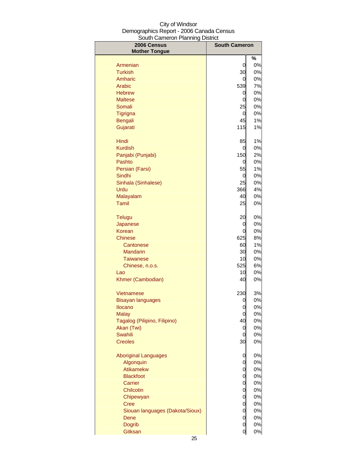| 2006 Census<br><b>Mother Tongue</b>      | <b>South Cameron</b> |          |
|------------------------------------------|----------------------|----------|
|                                          |                      | %        |
| Armenian                                 | 0                    | 0%       |
| <b>Turkish</b>                           | 30                   | 0%       |
| Amharic                                  | 0                    | 0%       |
| Arabic                                   | 539                  | 7%       |
| <b>Hebrew</b>                            | 0                    | 0%       |
| <b>Maltese</b>                           | 0                    | 0%       |
| Somali                                   | 25                   | 0%       |
| Tigrigna                                 | 0                    | 0%       |
| Bengali                                  | 45                   | 1%       |
| Gujarati                                 | 115                  | $1\%$    |
| Hindi                                    | 85                   | 1%       |
| <b>Kurdish</b>                           | 0                    | 0%       |
| Panjabi (Punjabi)                        | 150                  | 2%       |
| Pashto                                   | 0                    | 0%       |
| Persian (Farsi)<br>Sindhi                | 55<br>0              | 1%<br>0% |
| Sinhala (Sinhalese)                      | 25                   | 0%       |
| Urdu                                     | 366                  | 4%       |
| Malayalam                                | 40                   | 0%       |
| Tamil                                    | 25                   | 0%       |
| <b>Telugu</b>                            | 20                   | 0%       |
| Japanese                                 | 0                    | 0%       |
| <b>Korean</b>                            | 0                    | 0%       |
| <b>Chinese</b>                           | 625                  | 8%       |
| Cantonese                                | 60                   | 1%       |
| <b>Mandarin</b>                          | 30                   | 0%       |
| <b>Taiwanese</b>                         | 10                   | 0%       |
| Chinese, n.o.s.                          | 525                  | 6%       |
| Lao                                      | 10                   | 0%       |
| Khmer (Cambodian)                        | 40                   | 0%       |
| Vietnamese                               | 230                  | 3%       |
| Bisayan languages                        | <sup>O</sup>         | 0%       |
| <b>Ilocano</b>                           | 0                    | 0%       |
| <b>Malay</b>                             | 0                    | 0%       |
| Tagalog (Pilipino, Filipino)             | 40                   | 0%       |
| Akan (Twi)                               | 0                    | 0%       |
| <b>Swahili</b><br><b>Creoles</b>         | 0<br>30              | 0%<br>0% |
|                                          |                      |          |
| <b>Aboriginal Languages</b><br>Algonquin | 0                    | 0%<br>0% |
| Atikamekw                                | 0<br>0               | 0%       |
| <b>Blackfoot</b>                         | 0                    | 0%       |
| Carrier                                  | 0                    | 0%       |
| Chilcotin                                | 0                    | 0%       |
| Chipewyan                                | 0                    | 0%       |
| <b>Cree</b>                              | 0                    | 0%       |
| Siouan languages (Dakota/Sioux)          | 0                    | 0%       |
| Dene                                     | 0                    | 0%       |
| <b>Dogrib</b>                            | 0                    | 0%       |
| Gitksan                                  | 0                    | 0%       |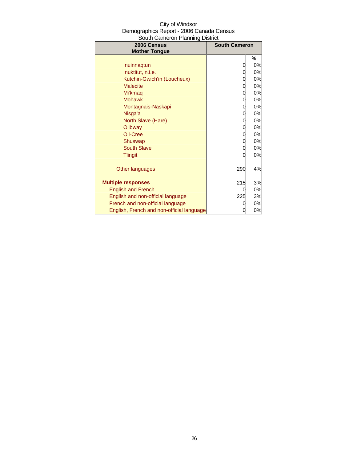| City of Windsor                          |
|------------------------------------------|
| Demographics Report - 2006 Canada Census |
| South Cameron Planning District          |

| 2006 Census<br><b>Mother Tongue</b>       | <b>South Cameron</b> |    |
|-------------------------------------------|----------------------|----|
|                                           |                      | %  |
| Inuinnagtun                               | 0                    | 0% |
| Inuktitut, n.i.e.                         | 0                    | 0% |
| Kutchin-Gwich'in (Loucheux)               | 0                    | 0% |
| <b>Malecite</b>                           | 0                    | 0% |
| Mi'kmag                                   | 0                    | 0% |
| <b>Mohawk</b>                             | 0                    | 0% |
| Montagnais-Naskapi                        | 0                    | 0% |
| Nisga'a                                   | 0                    | 0% |
| North Slave (Hare)                        | 0                    | 0% |
| Ojibway                                   | 0                    | 0% |
| Oji-Cree                                  | 0                    | 0% |
| Shuswap                                   | 0                    | 0% |
| <b>South Slave</b>                        | 0                    | 0% |
| <b>Tlingit</b>                            | 0                    | 0% |
| Other languages                           | 290                  | 4% |
| <b>Multiple responses</b>                 | 215                  | 3% |
| <b>English and French</b>                 | 0                    | 0% |
| English and non-official language         | 225                  | 3% |
| French and non-official language          | 0                    | 0% |
| English, French and non-official language | 0                    | 0% |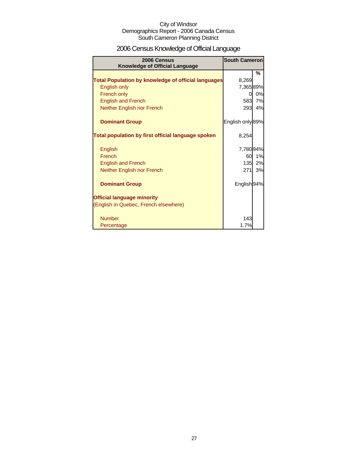## 2006 Census Knowledge of Official Language

| 2006 Census<br><b>Knowledge of Official Language</b>       | <b>South Cameron</b> |    |
|------------------------------------------------------------|----------------------|----|
|                                                            |                      | %  |
| <b>Total Population by knowledge of official languages</b> | 8,269                |    |
| English only                                               | 7,36589%             |    |
| French only                                                | 0                    | 0% |
| <b>English and French</b>                                  | 583                  | 7% |
| Neither English nor French                                 | 293                  | 4% |
| <b>Dominant Group</b>                                      | English only 89%     |    |
| Total population by first official language spoken         | 8,254                |    |
| English                                                    | 7,78094%             |    |
| French                                                     | 60                   | 1% |
| <b>English and French</b>                                  | 135                  | 2% |
| Neither English nor French                                 | 271                  | 3% |
| <b>Dominant Group</b>                                      | English 94%          |    |
| <b>Official language minority</b>                          |                      |    |
| (English in Quebec, French elsewhere)                      |                      |    |
| <b>Number</b>                                              | 143                  |    |
| Percentage                                                 | 1.7%                 |    |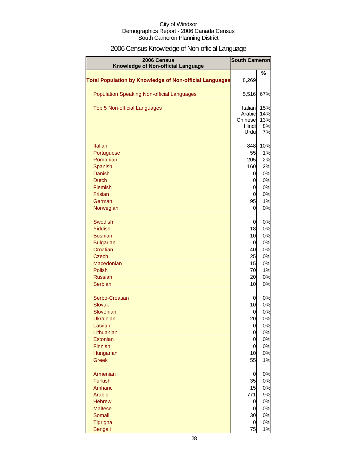## 2006 Census Knowledge of Non-official Language

| 2006 Census<br>Knowledge of Non-official Language              | <b>South Cameron</b> |           |
|----------------------------------------------------------------|----------------------|-----------|
|                                                                |                      | %         |
| <b>Total Population by Knowledge of Non-official Languages</b> | 8,269                |           |
| <b>Population Speaking Non-official Languages</b>              | 5,516                | 67%       |
| <b>Top 5 Non-official Languages</b>                            | Italian              | 15%       |
|                                                                | Arabic               | 14%       |
|                                                                | Chinese<br>Hindi     | 13%<br>8% |
|                                                                | Urdu                 | 7%        |
| <b>Italian</b>                                                 | 848                  | 10%       |
| Portuguese                                                     | 55                   | 1%        |
| Romanian                                                       | 205                  | 2%        |
| Spanish                                                        | 160                  | 2%        |
| <b>Danish</b>                                                  | 0                    | 0%        |
| <b>Dutch</b><br>Flemish                                        | 0<br>0               | 0%<br>0%  |
| Frisian                                                        | 0                    | 0%        |
| German                                                         | 95                   | 1%        |
| Norwegian                                                      | 0                    | 0%        |
| Swedish                                                        | 0                    | 0%        |
| Yiddish                                                        | 18                   | 0%        |
| <b>Bosnian</b>                                                 | 10                   | 0%        |
| <b>Bulgarian</b>                                               | 0                    | 0%        |
| Croatian<br><b>Czech</b>                                       | 40<br>25             | 0%<br>0%  |
| Macedonian                                                     | 15                   | 0%        |
| Polish                                                         | 70                   | 1%        |
| <b>Russian</b>                                                 | 20                   | 0%        |
| Serbian                                                        | 10                   | 0%        |
| Serbo-Croatian                                                 | 0                    | 0%        |
| <b>Slovak</b>                                                  | 10                   | 0%        |
| Slovenian                                                      | 0                    | 0%        |
| <b>Ukrainian</b><br>Latvian                                    | 20<br>0              | 0%<br>0%  |
| Lithuanian                                                     | 0                    | 0%        |
| Estonian                                                       | 0                    | 0%        |
| Finnish                                                        | 0                    | 0%        |
| Hungarian                                                      | 10                   | 0%        |
| <b>Greek</b>                                                   | 55                   | 1%        |
| Armenian                                                       | 0                    | 0%        |
| <b>Turkish</b>                                                 | 35                   | 0%        |
| Amharic<br>Arabic                                              | 15<br>771            | 0%<br>9%  |
| <b>Hebrew</b>                                                  | 0                    | 0%        |
| <b>Maltese</b>                                                 | $\overline{0}$       | 0%        |
| Somali                                                         | 30                   | 0%        |
| Tigrigna                                                       | $\overline{0}$       | 0%        |
| <b>Bengali</b>                                                 | 75                   | 1%        |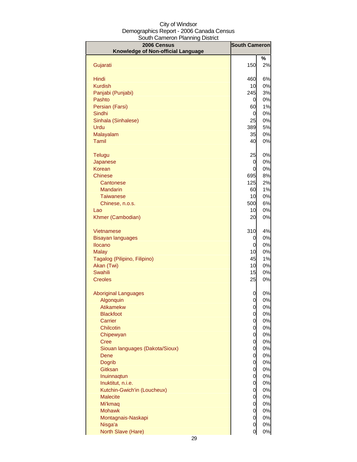| 2006 Census                        | <b>South Cameron</b> |          |
|------------------------------------|----------------------|----------|
| Knowledge of Non-official Language |                      |          |
| Gujarati                           | 150                  | %<br>2%  |
|                                    |                      |          |
| Hindi                              | 460                  | 6%       |
| <b>Kurdish</b>                     | 10                   | 0%       |
| Panjabi (Punjabi)                  | 245                  | 3%       |
| Pashto                             | 0                    | 0%       |
| Persian (Farsi)                    | 60                   | 1%       |
| Sindhi                             | 0                    | 0%       |
| Sinhala (Sinhalese)<br>Urdu        | 25<br>389            | 0%<br>5% |
| Malayalam                          | 35                   | 0%       |
| Tamil                              | 40                   | 0%       |
|                                    |                      |          |
| Telugu                             | 25                   | 0%       |
| Japanese                           | 0                    | 0%       |
| Korean                             | 0                    | 0%<br>8% |
| Chinese<br>Cantonese               | 695<br>125           | 2%       |
| Mandarin                           | 60                   | 1%       |
| <b>Taiwanese</b>                   | 10                   | 0%       |
| Chinese, n.o.s.                    | 500                  | 6%       |
| Lao                                | 10                   | 0%       |
| Khmer (Cambodian)                  | 20                   | 0%       |
| Vietnamese                         | 310                  | 4%       |
| Bisayan languages                  | 0                    | 0%       |
| <b>Ilocano</b>                     | 0                    | 0%       |
| <b>Malay</b>                       | 10                   | 0%       |
| Tagalog (Pilipino, Filipino)       | 45                   | 1%       |
| Akan (Twi)<br>Swahili              | 10<br>15             | 0%<br>0% |
| <b>Creoles</b>                     | 25                   | 0%       |
|                                    |                      |          |
| <b>Aboriginal Languages</b>        | 0                    | 0%       |
| Algonquin                          | $\overline{0}$       | 0%       |
| Atikamekw<br><b>Blackfoot</b>      | $\overline{0}$<br>0  | 0%<br>0% |
| Carrier                            | $\overline{0}$       | 0%       |
| Chilcotin                          | 0                    | 0%       |
| Chipewyan                          | 0                    | 0%       |
| <b>Cree</b>                        | 0                    | 0%       |
| Siouan languages (Dakota/Sioux)    | 0                    | 0%       |
| Dene                               | 0                    | 0%       |
| <b>Dogrib</b><br>Gitksan           | 0                    | 0%       |
| Inuinnaqtun                        | 0<br>0               | 0%<br>0% |
| Inuktitut, n.i.e.                  | $\mathbf 0$          | 0%       |
| Kutchin-Gwich'in (Loucheux)        | $\mathbf 0$          | 0%       |
| <b>Malecite</b>                    | $\mathbf 0$          | 0%       |
| Mi'kmaq                            | $\mathbf 0$          | 0%       |
| <b>Mohawk</b>                      | $\mathbf 0$          | 0%       |
| Montagnais-Naskapi                 | $\mathbf 0$          | 0%       |
| Nisga'a<br>North Slave (Hare)      | 0<br>$\overline{0}$  | 0%<br>0% |
|                                    |                      |          |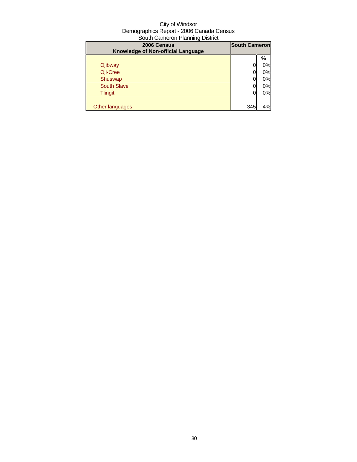| 2006 Census<br>Knowledge of Non-official Language | <b>South Cameron</b> |    |
|---------------------------------------------------|----------------------|----|
|                                                   |                      | %  |
| Ojibway                                           |                      | 0% |
| Oji-Cree                                          |                      | 0% |
| Shuswap                                           |                      | 0% |
| <b>South Slave</b>                                |                      | 0% |
| <b>Tlingit</b>                                    | O                    | 0% |
|                                                   |                      |    |
| Other languages                                   | 345                  | 4% |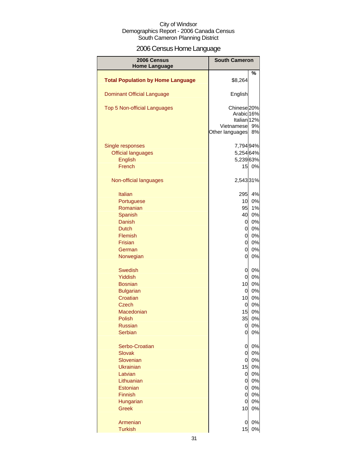## 2006 Census Home Language

| 2006 Census                              | <b>South Cameron</b>                                                                                       |          |
|------------------------------------------|------------------------------------------------------------------------------------------------------------|----------|
| <b>Home Language</b>                     |                                                                                                            |          |
| <b>Total Population by Home Language</b> | \$8,264                                                                                                    | %        |
| <b>Dominant Official Language</b>        | English                                                                                                    |          |
| Top 5 Non-official Languages             | Chinese <sup>20%</sup><br>Arabic <sub>16%</sub><br>Italian <sub>12%</sub><br>Vietnamese<br>Other languages | 9%<br>8% |
| Single responses                         | 7,794 94%                                                                                                  |          |
| <b>Official languages</b>                | 5,254 64%                                                                                                  |          |
| English                                  | 5,239 63%                                                                                                  |          |
| French                                   |                                                                                                            | 15 0%    |
| Non-official languages                   | 2,54331%                                                                                                   |          |
| <b>Italian</b>                           | 295                                                                                                        | 4%       |
| Portuguese                               | 10                                                                                                         | 0%       |
| Romanian                                 | 95                                                                                                         | 1%       |
| Spanish                                  | 40                                                                                                         | 0%       |
| Danish                                   | 0                                                                                                          | 0%       |
| <b>Dutch</b>                             | $\overline{0}$                                                                                             | 0%       |
| Flemish                                  | $\overline{O}$                                                                                             | 0%       |
| <b>Frisian</b>                           | $\overline{0}$                                                                                             | 0%       |
| German                                   | $\overline{0}$                                                                                             | 0%       |
| Norwegian                                | $\overline{0}$                                                                                             | 0%       |
| <b>Swedish</b>                           | $\mathbf 0$                                                                                                | 0%       |
| Yiddish                                  | $\overline{0}$                                                                                             | 0%       |
| <b>Bosnian</b>                           | 10                                                                                                         | 0%       |
| <b>Bulgarian</b>                         | $\overline{0}$                                                                                             | 0%       |
| Croatian                                 | 10                                                                                                         | 0%       |
| Czech                                    | $\overline{0}$                                                                                             | 0%       |
| Macedonian                               | 15                                                                                                         | 0%       |
| Polish                                   | 35                                                                                                         | 0%       |
|                                          |                                                                                                            | 0%       |
| <b>Russian</b><br>Serbian                | 0<br>0                                                                                                     | 0%       |
| Serbo-Croatian                           | 0                                                                                                          | 0%       |
| <b>Slovak</b>                            | $\overline{O}$                                                                                             | 0%       |
| Slovenian                                | $\overline{0}$                                                                                             | 0%       |
| <b>Ukrainian</b>                         | 15                                                                                                         | 0%       |
| Latvian                                  | $\overline{0}$                                                                                             | 0%       |
| Lithuanian                               | $\mathbf 0$                                                                                                | 0%       |
| Estonian                                 | 0                                                                                                          | 0%       |
| Finnish                                  | 0                                                                                                          | 0%       |
| Hungarian                                | $\mathbf 0$                                                                                                | 0%       |
| <b>Greek</b>                             | 10                                                                                                         | 0%       |
| Armenian                                 | 0                                                                                                          | 0%       |
| <b>Turkish</b>                           | 15                                                                                                         | $0\%$    |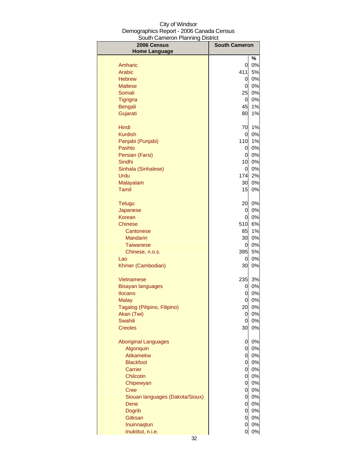| 2006 Census<br><b>Home Language</b> | <b>South Cameron</b> |       |
|-------------------------------------|----------------------|-------|
|                                     |                      | %     |
| Amharic                             | 0                    | 0%    |
| Arabic                              | 411                  | 5%    |
| <b>Hebrew</b>                       | 0                    | $0\%$ |
| <b>Maltese</b>                      | 0                    | 0%    |
| Somali                              | 25                   | $0\%$ |
| Tigrigna                            | <sub>0</sub>         | $0\%$ |
| <b>Bengali</b>                      | 45                   | 1%    |
| Gujarati                            | 80                   | 1%    |
| Hindi                               | 70                   | 1%    |
| <b>Kurdish</b>                      | 0                    | $0\%$ |
| Panjabi (Punjabi)                   | 110                  | 1%    |
| Pashto                              | 0                    | $0\%$ |
| Persian (Farsi)                     | 0                    | $0\%$ |
| Sindhi                              | 10                   | $0\%$ |
| Sinhala (Sinhalese)                 | 0                    | $0\%$ |
| Urdu                                | 174                  | 2%    |
| Malayalam                           | 30                   | $0\%$ |
| Tamil                               | 15                   | 0%    |
| <b>Telugu</b>                       | 20                   | 0%    |
| Japanese                            | 0                    | 0%    |
| Korean                              | 0                    | 0%    |
| Chinese                             | 510                  | 6%    |
| Cantonese                           | 85                   | 1%    |
| <b>Mandarin</b>                     | 30                   | $0\%$ |
| <b>Taiwanese</b>                    | 0                    | 0%    |
| Chinese, n.o.s.                     | 395                  | 5%    |
| Lao                                 | 0                    | 0%    |
| Khmer (Cambodian)                   | 30                   | 0%    |
| Vietnamese                          | 235                  | 3%    |
| <b>Bisayan languages</b>            | 0                    | 0%    |
| Ilocano                             | 0                    | 0%    |
| Malay                               | 0                    | 0%    |
| Tagalog (Pilipino, Filipino)        | 20                   | 0%    |
| Akan (Twi)                          | 0                    | 0%    |
| <b>Swahili</b>                      | 0                    | 0%    |
| <b>Creoles</b>                      | 30                   | 0%    |
| <b>Aboriginal Languages</b>         | 0                    | 0%    |
| Algonquin                           | 0                    | $0\%$ |
| Atikamekw                           | $\overline{O}$       | 0%    |
| <b>Blackfoot</b>                    | $\overline{O}$       | 0%    |
| Carrier                             | $\overline{0}$       | 0%    |
| Chilcotin                           | $\overline{a}$       | 0%    |
| Chipewyan                           | $\overline{a}$       | $0\%$ |
| <b>Cree</b>                         | <sub>0</sub>         | $0\%$ |
| Siouan languages (Dakota/Sioux)     | $\overline{0}$       | $0\%$ |
| Dene                                | $\overline{O}$       | $0\%$ |
| <b>Dogrib</b>                       | <sub>0</sub>         | 0%    |
| Gitksan                             | $\overline{0}$       | $0\%$ |
| Inuinnaqtun                         | 0                    | 0%    |
| Inuktitut, n.i.e.                   | 0                    | 0%    |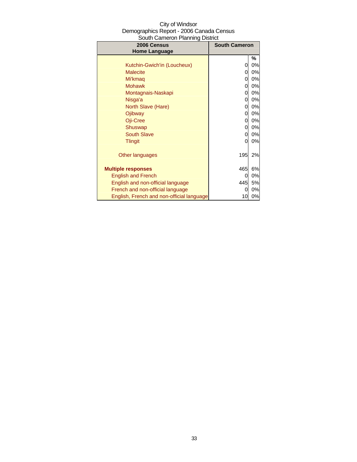| 2006 Census<br><b>Home Language</b>       | oodul odificioli Fideliniy District<br><b>South Cameron</b> |       |
|-------------------------------------------|-------------------------------------------------------------|-------|
|                                           |                                                             | %     |
| Kutchin-Gwich'in (Loucheux)               | 0                                                           | 0%    |
| <b>Malecite</b>                           | 0                                                           | 0%    |
| Mi'kmag                                   | 0                                                           | 0%    |
| <b>Mohawk</b>                             | 0                                                           | 0%    |
| Montagnais-Naskapi                        | 0                                                           | 0%    |
| Nisga'a                                   | 0                                                           | 0%    |
| North Slave (Hare)                        | 0                                                           | $0\%$ |
| Ojibway                                   | 0                                                           | 0%    |
| Oji-Cree                                  | 0                                                           | 0%    |
| Shuswap                                   | 0                                                           | $0\%$ |
| <b>South Slave</b>                        | 0                                                           | 0%    |
| <b>Tlingit</b>                            | 0                                                           | 0%    |
| Other languages                           | 195                                                         | 2%    |
| <b>Multiple responses</b>                 | 465                                                         | 6%    |
| <b>English and French</b>                 | 0                                                           | 0%    |
| English and non-official language         | 445                                                         | 5%    |
| French and non-official language          | 0                                                           | 0%    |
| English, French and non-official language | 10                                                          | 0%    |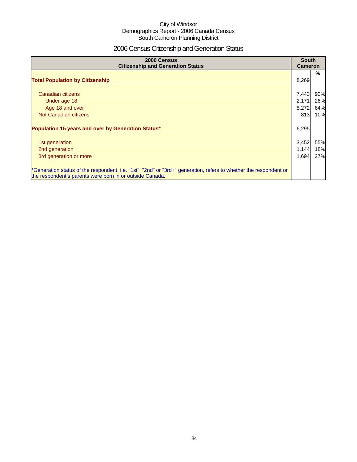## 2006 Census Citizenship and Generation Status

| 2006 Census<br><b>Citizenship and Generation Status</b>                                                                                                                       | <b>South</b><br><b>Cameron</b> |     |
|-------------------------------------------------------------------------------------------------------------------------------------------------------------------------------|--------------------------------|-----|
| <b>Total Population by Citizenship</b>                                                                                                                                        | 8,269                          | %   |
| Canadian citizens                                                                                                                                                             | 7,443                          | 90% |
| Under age 18                                                                                                                                                                  | 2,171                          | 26% |
| Age 18 and over                                                                                                                                                               | 5,272                          | 64% |
| Not Canadian citizens                                                                                                                                                         | 813                            | 10% |
| Population 15 years and over by Generation Status*                                                                                                                            | 6,295                          |     |
| 1st generation                                                                                                                                                                | 3,452                          | 55% |
| 2nd generation                                                                                                                                                                | 1,144                          | 18% |
| 3rd generation or more                                                                                                                                                        | 1,694                          | 27% |
| *Generation status of the respondent, i.e. "1st", "2nd" or "3rd+" generation, refers to whether the respondent or<br>the respondent's parents were born in or outside Canada. |                                |     |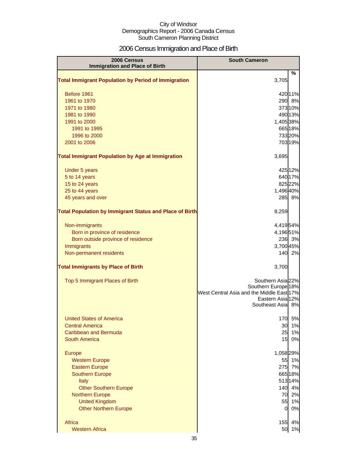## 2006 Census Immigration and Place of Birth

| 2006 Census<br><b>Immigration and Place of Birth</b>           | <b>South Cameron</b>                                          |  |
|----------------------------------------------------------------|---------------------------------------------------------------|--|
| <b>Total Immigrant Population by Period of Immigration</b>     | %<br>3,705                                                    |  |
|                                                                |                                                               |  |
| Before 1961                                                    | 42011%                                                        |  |
| 1961 to 1970                                                   | 290 8%                                                        |  |
| 1971 to 1980                                                   | 37310%                                                        |  |
| 1981 to 1990                                                   | 490 13%                                                       |  |
| 1991 to 2000<br>1991 to 1995                                   | 1,405 38%<br>665 18%                                          |  |
| 1996 to 2000                                                   | 733 20%                                                       |  |
| 2001 to 2006                                                   | 703 19%                                                       |  |
| <b>Total Immigrant Population by Age at Immigration</b>        | 3,695                                                         |  |
| Under 5 years                                                  | 425 12%                                                       |  |
| 5 to 14 years                                                  | 640 17%                                                       |  |
| 15 to 24 years                                                 | 825 22%                                                       |  |
| 25 to 44 years                                                 | 1,496 40%                                                     |  |
| 45 years and over                                              | 285 8%                                                        |  |
| <b>Total Population by Immigrant Status and Place of Birth</b> | 8,259                                                         |  |
| Non-immigrants                                                 | 4,41954%                                                      |  |
| Born in province of residence                                  | 4,19651%                                                      |  |
| Born outside province of residence                             | 236 3%                                                        |  |
| Immigrants                                                     | 3,700 45%                                                     |  |
| Non-permanent residents                                        | 140 2%                                                        |  |
| <b>Total Immigrants by Place of Birth</b>                      | 3,700                                                         |  |
| Top 5 Immigrant Places of Birth                                | Southern Asia 22%                                             |  |
|                                                                | Southern Europe <sup>18%</sup>                                |  |
|                                                                | West Central Asia and the Middle East 17%<br>Eastern Asia 12% |  |
|                                                                | Southeast Asia 8%                                             |  |
| <b>United States of America</b>                                | 170<br>5%                                                     |  |
| <b>Central America</b>                                         | 1%<br>30                                                      |  |
| Caribbean and Bermuda                                          | 25<br>1%                                                      |  |
| South America                                                  | 0%<br>15                                                      |  |
| Europe                                                         | 1,058 29%                                                     |  |
| <b>Western Europe</b>                                          | 55<br>1%                                                      |  |
| <b>Eastern Europe</b>                                          | 7%<br>275                                                     |  |
| <b>Southern Europe</b>                                         | 665 18%                                                       |  |
| Italy                                                          | 513 14%                                                       |  |
| <b>Other Southern Europe</b>                                   | 140<br>4%                                                     |  |
| <b>Northern Europe</b><br><b>United Kingdom</b>                | 2%<br>70<br>55<br>1%                                          |  |
| <b>Other Northern Europe</b>                                   | 0%<br>$\overline{0}$                                          |  |
| Africa                                                         | 155<br>4%                                                     |  |
| <b>Western Africa</b>                                          | 50<br>1%                                                      |  |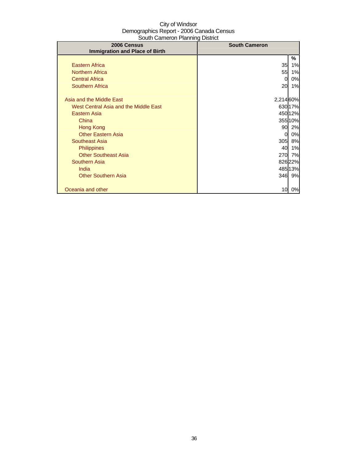| ovaal oarlichori taaliinig Dioalot<br>2006 Census | <b>South Cameron</b> |           |
|---------------------------------------------------|----------------------|-----------|
| <b>Immigration and Place of Birth</b>             |                      |           |
|                                                   |                      | %         |
| <b>Eastern Africa</b>                             | 35                   | 1%        |
| <b>Northern Africa</b>                            | 55                   | 1%        |
| <b>Central Africa</b>                             | 0                    | 0%        |
| <b>Southern Africa</b>                            | 20                   | 1%        |
|                                                   |                      |           |
| Asia and the Middle East                          | 2,214 60%            |           |
| West Central Asia and the Middle East             |                      | 630 17%   |
| Eastern Asia                                      |                      | 450 12%   |
| China                                             |                      | 355 10%   |
| Hong Kong                                         |                      | 90 2%     |
| <b>Other Eastern Asia</b>                         | 0                    | 0%        |
| Southeast Asia                                    | 305                  | 8%        |
| <b>Philippines</b>                                | 40                   | 1%        |
| <b>Other Southeast Asia</b>                       | 270                  | <b>7%</b> |
| Southern Asia                                     |                      | 826 22%   |
| India                                             |                      | 48513%    |
| <b>Other Southern Asia</b>                        |                      | 346 9%    |
|                                                   |                      |           |
| Oceania and other                                 | 10                   | 0%        |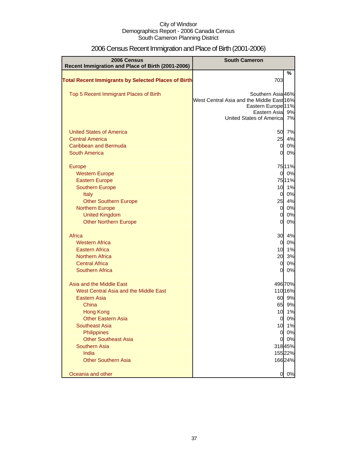| 2006 Census<br>Recent Immigration and Place of Birth (2001-2006) | <b>South Cameron</b>                                                                                                                         |          |
|------------------------------------------------------------------|----------------------------------------------------------------------------------------------------------------------------------------------|----------|
| <b>Total Recent Immigrants by Selected Places of Birth</b>       | 703                                                                                                                                          | %        |
| Top 5 Recent Immigrant Places of Birth                           | Southern Asia 46%<br>West Central Asia and the Middle East 16%<br>Eastern Europe <sup>11%</sup><br>Eastern Asia<br>United States of Americal | 9%<br>7% |
| <b>United States of America</b>                                  | 50                                                                                                                                           | 7%       |
| <b>Central America</b>                                           | 25                                                                                                                                           | 4%       |
| Caribbean and Bermuda                                            | $\overline{0}$                                                                                                                               | 0%       |
| <b>South America</b>                                             | $\overline{0}$                                                                                                                               | 0%       |
| <b>Europe</b>                                                    |                                                                                                                                              | 7511%    |
| <b>Western Europe</b>                                            | $\overline{0}$                                                                                                                               | 0%       |
| <b>Eastern Europe</b>                                            |                                                                                                                                              | 7511%    |
| <b>Southern Europe</b>                                           | 10                                                                                                                                           | 1%       |
| Italy                                                            | $\overline{0}$                                                                                                                               | 0%       |
| <b>Other Southern Europe</b>                                     | 25                                                                                                                                           | 4%       |
| <b>Northern Europe</b>                                           | $\overline{0}$                                                                                                                               | 0%       |
| <b>United Kingdom</b>                                            | $\overline{0}$                                                                                                                               | 0%       |
| <b>Other Northern Europe</b>                                     | O                                                                                                                                            | 0%       |
| Africa                                                           | 30                                                                                                                                           | 4%       |
| <b>Western Africa</b>                                            | $\overline{0}$                                                                                                                               | 0%       |
| <b>Eastern Africa</b>                                            | 10                                                                                                                                           | 1%       |
| <b>Northern Africa</b>                                           | 20                                                                                                                                           | 3%       |
| <b>Central Africa</b>                                            | $\overline{0}$                                                                                                                               | 0%       |
| <b>Southern Africa</b>                                           | 0                                                                                                                                            | 0%       |
| Asia and the Middle East                                         |                                                                                                                                              | 49670%   |
| West Central Asia and the Middle East                            |                                                                                                                                              | 110 16%  |
| <b>Eastern Asia</b>                                              | 60                                                                                                                                           | 9%       |
| China                                                            | 65                                                                                                                                           | 9%       |
| <b>Hong Kong</b>                                                 | 10                                                                                                                                           | 1%       |
| <b>Other Eastern Asia</b>                                        | <sub>0</sub>                                                                                                                                 | 0%       |
| <b>Southeast Asia</b>                                            | 10                                                                                                                                           | 1%       |
| Philippines                                                      | $\overline{0}$                                                                                                                               | 0%       |
| <b>Other Southeast Asia</b>                                      | $\mathbf{0}$                                                                                                                                 | 0%       |
| <b>Southern Asia</b>                                             |                                                                                                                                              | 31845%   |
| India                                                            |                                                                                                                                              | 15522%   |
| <b>Other Southern Asia</b>                                       |                                                                                                                                              | 16624%   |
| Oceania and other                                                | 0                                                                                                                                            | 0%       |

# 2006 Census Recent Immigration and Place of Birth (2001-2006)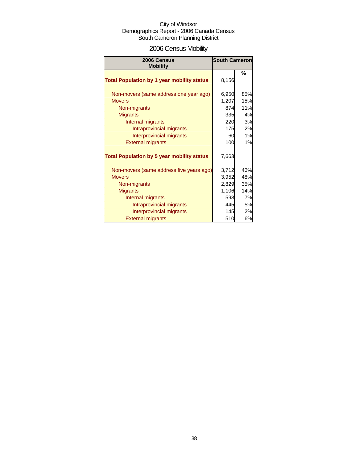# 2006 Census Mobility

| 2006 Census                                       | <b>South Cameron</b> |     |  |
|---------------------------------------------------|----------------------|-----|--|
| <b>Mobility</b>                                   |                      |     |  |
| <b>Total Population by 1 year mobility status</b> | 8,156                | %   |  |
| Non-movers (same address one year ago)            | 6,950                | 85% |  |
| <b>Movers</b>                                     | 1,207                | 15% |  |
| Non-migrants                                      | 874                  | 11% |  |
| <b>Migrants</b>                                   | 335                  | 4%  |  |
| Internal migrants                                 | 220                  | 3%  |  |
| Intraprovincial migrants                          | 175                  | 2%  |  |
| Interprovincial migrants                          | 60                   | 1%  |  |
| <b>External migrants</b>                          | 100                  | 1%  |  |
| <b>Total Population by 5 year mobility status</b> | 7,663                |     |  |
| Non-movers (same address five years ago)          | 3,712                | 46% |  |
| <b>Movers</b>                                     | 3,952                | 48% |  |
| Non-migrants                                      | 2,829                | 35% |  |
| <b>Migrants</b>                                   | 1,106                | 14% |  |
| Internal migrants                                 | 593                  | 7%  |  |
| Intraprovincial migrants                          | 445                  | 5%  |  |
| Interprovincial migrants                          | 145                  | 2%  |  |
| <b>External migrants</b>                          | 510                  | 6%  |  |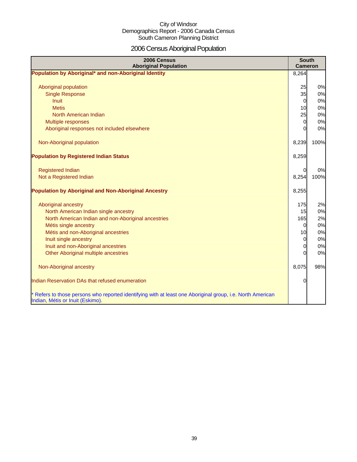# 2006 Census Aboriginal Population

| 2006 Census<br><b>Aboriginal Population</b>                                                                | <b>South</b><br><b>Cameron</b> |      |
|------------------------------------------------------------------------------------------------------------|--------------------------------|------|
| Population by Aboriginal* and non-Aboriginal Identity                                                      | 8,264                          |      |
|                                                                                                            |                                |      |
| Aboriginal population                                                                                      | 25                             | 0%   |
| <b>Single Response</b>                                                                                     | 35                             | 0%   |
| <b>Inuit</b>                                                                                               | $\overline{0}$                 | 0%   |
| <b>Metis</b>                                                                                               | 10                             | 0%   |
| North American Indian                                                                                      | 25                             | 0%   |
| Multiple responses                                                                                         | 0                              | 0%   |
| Aboriginal responses not included elsewhere                                                                | $\Omega$                       | 0%   |
|                                                                                                            |                                |      |
| Non-Aboriginal population                                                                                  | 8,239                          | 100% |
|                                                                                                            |                                |      |
| <b>Population by Registered Indian Status</b>                                                              | 8,259                          |      |
|                                                                                                            |                                |      |
| <b>Registered Indian</b>                                                                                   | 0                              | 0%   |
| Not a Registered Indian                                                                                    | 8,254                          | 100% |
|                                                                                                            |                                |      |
| <b>Population by Aboriginal and Non-Aboriginal Ancestry</b>                                                | 8,255                          |      |
|                                                                                                            |                                |      |
| Aboriginal ancestry                                                                                        | 175                            | 2%   |
| North American Indian single ancestry                                                                      | 15                             | 0%   |
| North American Indian and non-Aboriginal ancestries                                                        | 165                            | 2%   |
| Métis single ancestry                                                                                      | 0                              | 0%   |
| Métis and non-Aboriginal ancestries                                                                        | 10                             | 0%   |
| Inuit single ancestry                                                                                      | 0                              | 0%   |
| Inuit and non-Aboriginal ancestries                                                                        | 0                              | 0%   |
| Other Aboriginal multiple ancestries                                                                       | $\Omega$                       | 0%   |
|                                                                                                            |                                |      |
| Non-Aboriginal ancestry                                                                                    | 8,075                          | 98%  |
| Indian Reservation DAs that refused enumeration                                                            | 0                              |      |
|                                                                                                            |                                |      |
| * Refers to those persons who reported identifying with at least one Aboriginal group, i.e. North American |                                |      |
| Indian, Métis or Inuit (Eskimo).                                                                           |                                |      |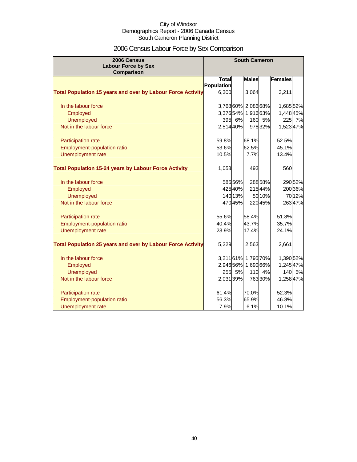# 2006 Census Labour Force by Sex Comparison

| 2006 Census<br><b>Labour Force by Sex</b>                          |              |         | <b>South Cameron</b> |        |           |        |
|--------------------------------------------------------------------|--------------|---------|----------------------|--------|-----------|--------|
| <b>Comparison</b>                                                  |              |         |                      |        |           |        |
|                                                                    | <b>Total</b> |         | <b>Males</b>         |        | Females   |        |
|                                                                    | Population   |         |                      |        |           |        |
| <b>Total Population 15 years and over by Labour Force Activity</b> | 6,300        |         | 3,064                |        | 3,211     |        |
| In the labour force                                                |              |         | 3,76860% 2,08668%    |        | 1,685 52% |        |
| Employed                                                           |              |         | 3,37654% 1,91663%    |        | 1,448 45% |        |
| <b>Unemployed</b>                                                  | 395          | 6%      | 160                  | 5%     |           | 225 7% |
| Not in the labour force                                            | 2,51440%     |         |                      | 97832% | 1,52347%  |        |
| Participation rate                                                 | 59.8%        |         | 68.1%                |        | 52.5%     |        |
| Employment-population ratio                                        | 53.6%        |         | 62.5%                |        | 45.1%     |        |
| Unemployment rate                                                  | 10.5%        |         | 7.7%                 |        | 13.4%     |        |
|                                                                    |              |         |                      |        |           |        |
| <b>Total Population 15-24 years by Labour Force Activity</b>       | 1,053        |         | 493                  |        | 560       |        |
| In the labour force                                                |              | 58556%  |                      | 28858% |           | 29052% |
| Employed                                                           |              | 42540%  |                      | 21544% |           | 20036% |
| <b>Unemployed</b>                                                  |              | 140 13% |                      | 50 10% |           | 7012%  |
| Not in the labour force                                            |              | 47045%  |                      | 22045% |           | 26347% |
|                                                                    |              |         |                      |        |           |        |
| Participation rate                                                 | 55.6%        |         | 58.4%                |        | 51.8%     |        |
| Employment-population ratio                                        | 40.4%        |         | 43.7%                |        | 35.7%     |        |
| Unemployment rate                                                  | 23.9%        |         | 17.4%                |        | 24.1%     |        |
| <b>Total Population 25 years and over by Labour Force Activity</b> | 5,229        |         | 2,563                |        | 2,661     |        |
| In the labour force                                                |              |         | 3,21161% 1,795 70%   |        | 1,390 52% |        |
| Employed                                                           |              |         | 2,946 56% 1,690 66%  |        | 1,24547%  |        |
| <b>Unemployed</b>                                                  | 255          | 5%      | 110                  | 4%     |           | 140 5% |
| Not in the labour force                                            | 2,031 39%    |         |                      | 76330% | 1,258 47% |        |
|                                                                    |              |         |                      |        |           |        |
| Participation rate                                                 | 61.4%        |         | 70.0%                |        | 52.3%     |        |
| <b>Employment-population ratio</b>                                 | 56.3%        |         | 65.9%                |        | 46.8%     |        |
| Unemployment rate                                                  | 7.9%         |         | 6.1%                 |        | 10.1%     |        |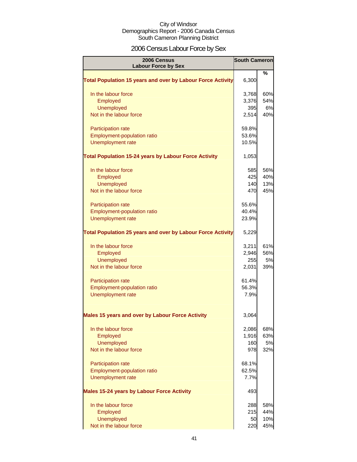# 2006 Census Labour Force by Sex

| 2006 Census<br><b>Labour Force by Sex</b>                          | <b>South Cameron</b> |      |
|--------------------------------------------------------------------|----------------------|------|
|                                                                    |                      | $\%$ |
| <b>Total Population 15 years and over by Labour Force Activity</b> | 6,300                |      |
| In the labour force                                                | 3,768                | 60%  |
| Employed                                                           | 3,376                | 54%  |
| <b>Unemployed</b>                                                  | 395                  | 6%   |
| Not in the labour force                                            | 2,514                | 40%  |
| Participation rate                                                 | 59.8%                |      |
| Employment-population ratio                                        | 53.6%                |      |
| Unemployment rate                                                  | 10.5%                |      |
| <b>Total Population 15-24 years by Labour Force Activity</b>       | 1,053                |      |
| In the labour force                                                | 585                  | 56%  |
| Employed                                                           | 425                  | 40%  |
| <b>Unemployed</b>                                                  | 140                  | 13%  |
| Not in the labour force                                            | 470                  | 45%  |
| Participation rate                                                 | 55.6%                |      |
| <b>Employment-population ratio</b>                                 | 40.4%                |      |
| Unemployment rate                                                  | 23.9%                |      |
| <b>Total Population 25 years and over by Labour Force Activity</b> | 5,229                |      |
| In the labour force                                                | 3,211                | 61%  |
| Employed                                                           | 2,946                | 56%  |
| <b>Unemployed</b>                                                  | 255                  | 5%   |
| Not in the labour force                                            | 2,031                | 39%  |
| Participation rate                                                 | 61.4%                |      |
| Employment-population ratio                                        | 56.3%                |      |
| Unemployment rate                                                  | 7.9%                 |      |
| <b>Males 15 years and over by Labour Force Activity</b>            | 3,064                |      |
| In the labour force                                                | 2,086                | 68%  |
| Employed                                                           | 1,916                | 63%  |
| <b>Unemployed</b>                                                  | 160                  | 5%   |
| Not in the labour force                                            | 978                  | 32%  |
| Participation rate                                                 | 68.1%                |      |
| <b>Employment-population ratio</b>                                 | 62.5%                |      |
| Unemployment rate                                                  | 7.7%                 |      |
| <b>Males 15-24 years by Labour Force Activity</b>                  | 493                  |      |
| In the labour force                                                | 288                  | 58%  |
| Employed                                                           | 215                  | 44%  |
| <b>Unemployed</b>                                                  | 50                   | 10%  |
| Not in the labour force                                            | 220                  | 45%  |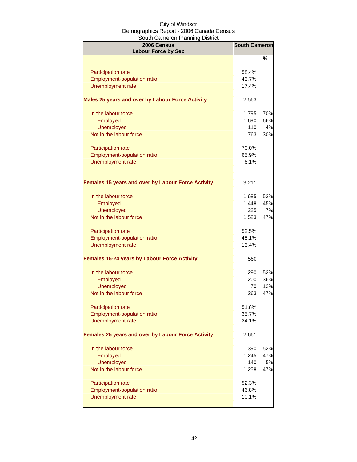| 2006 Census<br><b>Labour Force by Sex</b>                 | <b>South Cameron</b> |     |
|-----------------------------------------------------------|----------------------|-----|
|                                                           |                      | ℅   |
| Participation rate                                        | 58.4%                |     |
| Employment-population ratio                               | 43.7%                |     |
| Unemployment rate                                         | 17.4%                |     |
|                                                           |                      |     |
| Males 25 years and over by Labour Force Activity          | 2,563                |     |
| In the labour force                                       | 1,795                | 70% |
| Employed                                                  | 1,690                | 66% |
| <b>Unemployed</b>                                         | 110                  | 4%  |
| Not in the labour force                                   | 763                  | 30% |
| Participation rate                                        | 70.0%                |     |
| Employment-population ratio                               | 65.9%                |     |
| Unemployment rate                                         | 6.1%                 |     |
|                                                           |                      |     |
| <b>Females 15 years and over by Labour Force Activity</b> | 3,211                |     |
| In the labour force                                       | 1,685                | 52% |
| Employed                                                  | 1,448                | 45% |
| <b>Unemployed</b>                                         | 225                  | 7%  |
| Not in the labour force                                   | 1,523                | 47% |
|                                                           |                      |     |
| Participation rate                                        | 52.5%                |     |
| Employment-population ratio                               | 45.1%                |     |
| Unemployment rate                                         | 13.4%                |     |
| <b>Females 15-24 years by Labour Force Activity</b>       | 560                  |     |
| In the labour force                                       | 290                  | 52% |
| Employed                                                  | 200                  | 36% |
| <b>Unemployed</b>                                         | 70                   | 12% |
| Not in the labour force                                   | 263                  | 47% |
| Participation rate                                        | 51.8%                |     |
| Employment-population ratio                               | 35.7%                |     |
| Unemployment rate                                         | 24.1%                |     |
| Females 25 years and over by Labour Force Activity        | 2,661                |     |
| In the labour force                                       | 1,390                | 52% |
| Employed                                                  | 1,245                | 47% |
| <b>Unemployed</b>                                         | 140                  | 5%  |
| Not in the labour force                                   | 1,258                | 47% |
|                                                           |                      |     |
| Participation rate                                        | 52.3%                |     |
| Employment-population ratio                               | 46.8%                |     |
| Unemployment rate                                         | 10.1%                |     |
|                                                           |                      |     |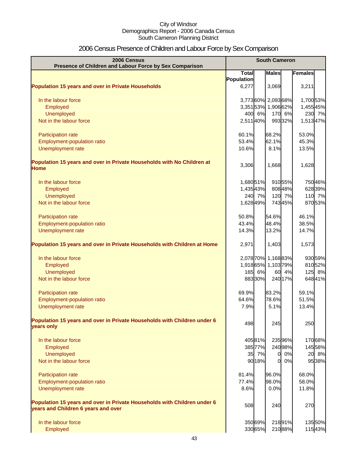# 2006 Census Presence of Children and Labour Force by Sex Comparison

| 2006 Census<br>Presence of Children and Labour Force by Sex Comparison                                          | <b>South Cameron</b> |         |                     |         |           |
|-----------------------------------------------------------------------------------------------------------------|----------------------|---------|---------------------|---------|-----------|
|                                                                                                                 | <b>Total</b>         |         | <b>Males</b>        |         | Females   |
|                                                                                                                 | Population           |         |                     |         |           |
| <b>Population 15 years and over in Private Households</b>                                                       | 6,277                |         | 3,069               |         | 3,211     |
| In the labour force                                                                                             |                      |         | 3,77360% 2,09368%   |         | 1,700 53% |
| Employed                                                                                                        |                      |         | 3,35153% 1,90662%   |         | 1,45545%  |
| <b>Unemployed</b>                                                                                               |                      | 400 6%  | 170                 | 6%      | 230 7%    |
| Not in the labour force                                                                                         | 2,51140%             |         |                     | 99332%  | 1,51347%  |
| Participation rate                                                                                              | 60.1%                |         | 68.2%               |         | 53.0%     |
| Employment-population ratio                                                                                     | 53.4%                |         | 62.1%               |         | 45.3%     |
| Unemployment rate                                                                                               | 10.6%                |         | 8.1%                |         | 13.5%     |
| Population 15 years and over in Private Households with No Children at<br><b>Home</b>                           | 3,306                |         | 1,668               |         | 1,628     |
| In the labour force                                                                                             | 1,68051%             |         |                     | 91055%  | 750 46%   |
| Employed                                                                                                        | 1,435 43%            |         |                     | 808 48% | 628 39%   |
| <b>Unemployed</b>                                                                                               |                      | 240 7%  |                     | 120 7%  | 110 7%    |
| Not in the labour force                                                                                         | 1,628 49%            |         |                     | 74345%  | 870 53%   |
| Participation rate                                                                                              | 50.8%                |         | 54.6%               |         | 46.1%     |
| Employment-population ratio                                                                                     | 43.4%                |         | 48.4%               |         | 38.5%     |
| Unemployment rate                                                                                               | 14.3%                |         | 13.2%               |         | 14.7%     |
| Population 15 years and over in Private Households with Children at Home                                        | 2,971                |         | 1,403               |         | 1,573     |
| In the labour force                                                                                             |                      |         | 2,078 70% 1,168 83% |         | 930 59%   |
| Employed                                                                                                        |                      |         | 1,918 65% 1,103 79% |         | 81052%    |
| <b>Unemployed</b>                                                                                               |                      | 165 6%  | 60                  | 4%      | 125 8%    |
| Not in the labour force                                                                                         |                      | 88330%  |                     | 240 17% | 64841%    |
| Participation rate                                                                                              | 69.9%                |         | 83.2%               |         | 59.1%     |
| <b>Employment-population ratio</b>                                                                              | 64.6%                |         | 78.6%               |         | 51.5%     |
| Unemployment rate                                                                                               | 7.9%                 |         | 5.1%                |         | 13.4%     |
| Population 15 years and over in Private Households with Children under 6<br>years only                          | 498                  |         | 245                 |         | 250       |
| In the labour force                                                                                             |                      | 40581%  |                     | 235 96% | 17068%    |
| Employed                                                                                                        |                      | 385 77% |                     | 24098%  | 14558%    |
| Unemployed                                                                                                      |                      | 35 7%   | $\overline{0}$      | 0%      | 20 8%     |
| Not in the labour force                                                                                         |                      | 90 18%  | $\overline{0}$      | 0%      | 95 38%    |
| Participation rate                                                                                              | 81.4%                |         | 96.0%               |         | 68.0%     |
| <b>Employment-population ratio</b>                                                                              | 77.4%                |         | 98.0%               |         | 58.0%     |
| Unemployment rate                                                                                               | 8.6%                 |         | 0.0%                |         | 11.8%     |
| Population 15 years and over in Private Households with Children under 6<br>years and Children 6 years and over | 508                  |         | 240                 |         | 270       |
| In the labour force                                                                                             |                      | 350 69% |                     | 21891%  | 135 50%   |
| Employed                                                                                                        |                      | 330 65% |                     | 21088%  | 11543%    |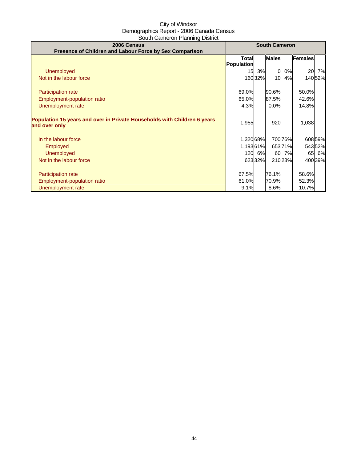| 2006 Census<br>Presence of Children and Labour Force by Sex Comparison                    | <b>South Cameron</b>       |         |              |         |         |         |
|-------------------------------------------------------------------------------------------|----------------------------|---------|--------------|---------|---------|---------|
|                                                                                           | <b>Total</b><br>Population |         | <b>Males</b> |         | Females |         |
| Unemployed                                                                                |                            | 15 3%   | $\Omega$     | 0%      | 20      | 7%      |
| Not in the labour force                                                                   |                            | 160 32% | 10           | 4%      |         | 14052%  |
|                                                                                           |                            |         |              |         |         |         |
| Participation rate                                                                        | 69.0%                      |         | 90.6%        |         | 50.0%   |         |
| Employment-population ratio                                                               | 65.0%                      |         | 87.5%        |         | 42.6%   |         |
| Unemployment rate                                                                         | 4.3%                       |         | 0.0%         |         | 14.8%   |         |
| Population 15 years and over in Private Households with Children 6 years<br>and over only | 1,955                      |         | 920          |         | 1,038   |         |
| In the labour force                                                                       | 1,320 68%                  |         |              | 700 76% |         | 608 59% |
| <b>Employed</b>                                                                           | 1,19361%                   |         |              | 65371%  |         | 54352%  |
| <b>Unemployed</b>                                                                         |                            | 120 6%  |              | 60 7%   |         | 65 6%   |
| Not in the labour force                                                                   |                            | 62332%  |              | 21023%  |         | 400 39% |
|                                                                                           |                            |         |              |         |         |         |
| <b>Participation rate</b>                                                                 | 67.5%                      |         | 76.1%        |         | 58.6%   |         |
| Employment-population ratio                                                               | 61.0%                      |         | 70.9%        |         | 52.3%   |         |
| Unemployment rate                                                                         | 9.1%                       |         | 8.6%         |         | 10.7%   |         |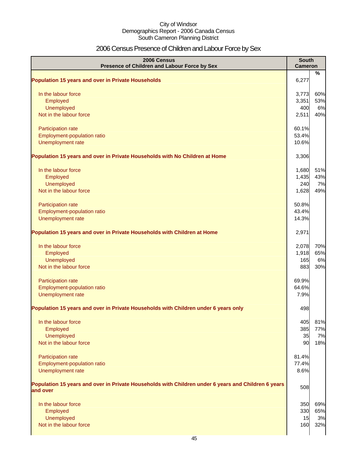# 2006 Census Presence of Children and Labour Force by Sex

| 2006 Census<br>Presence of Children and Labour Force by Sex                                                     | <b>South</b><br><b>Cameron</b> |           |
|-----------------------------------------------------------------------------------------------------------------|--------------------------------|-----------|
| <b>Population 15 years and over in Private Households</b>                                                       | 6,277                          | $\%$      |
|                                                                                                                 |                                |           |
| In the labour force                                                                                             | 3,773                          | 60%       |
| Employed<br>Unemployed                                                                                          | 3,351                          | 53%       |
| Not in the labour force                                                                                         | 400<br>2,511                   | 6%<br>40% |
|                                                                                                                 |                                |           |
| Participation rate                                                                                              | 60.1%                          |           |
| Employment-population ratio                                                                                     | 53.4%                          |           |
| Unemployment rate                                                                                               | 10.6%                          |           |
| Population 15 years and over in Private Households with No Children at Home                                     | 3,306                          |           |
| In the labour force                                                                                             | 1,680                          | 51%       |
| Employed                                                                                                        | 1,435                          | 43%       |
| Unemployed                                                                                                      | 240                            | 7%        |
| Not in the labour force                                                                                         | 1,628                          | 49%       |
|                                                                                                                 |                                |           |
| Participation rate<br>Employment-population ratio                                                               | 50.8%<br>43.4%                 |           |
| Unemployment rate                                                                                               | 14.3%                          |           |
|                                                                                                                 |                                |           |
| Population 15 years and over in Private Households with Children at Home                                        | 2,971                          |           |
| In the labour force                                                                                             | 2,078                          | 70%       |
| Employed                                                                                                        | 1,918                          | 65%       |
| Unemployed                                                                                                      | 165                            | 6%        |
| Not in the labour force                                                                                         | 883                            | 30%       |
| Participation rate                                                                                              | 69.9%                          |           |
| Employment-population ratio                                                                                     | 64.6%                          |           |
| Unemployment rate                                                                                               | 7.9%                           |           |
| Population 15 years and over in Private Households with Children under 6 years only                             | 498                            |           |
| In the labour force                                                                                             | 405                            | 81%       |
| Employed                                                                                                        | 385                            | 77%       |
| Unemployed                                                                                                      | 35                             | 7%        |
| Not in the labour force                                                                                         | 90                             | 18%       |
|                                                                                                                 |                                |           |
| Participation rate                                                                                              | 81.4%                          |           |
| Employment-population ratio<br>Unemployment rate                                                                | 77.4%<br>8.6%                  |           |
|                                                                                                                 |                                |           |
| Population 15 years and over in Private Households with Children under 6 years and Children 6 years<br>and over | 508                            |           |
|                                                                                                                 |                                |           |
| In the labour force                                                                                             | 350                            | 69%       |
| Employed<br>Unemployed                                                                                          | 330<br>15                      | 65%<br>3% |
| Not in the labour force                                                                                         | 160                            | 32%       |
|                                                                                                                 |                                |           |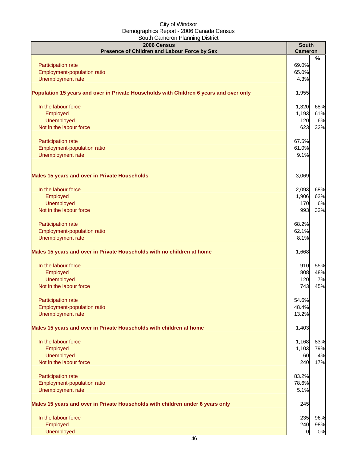| ~~~~~~~~~~~~ <sub>~~</sub><br>2006 Census<br>Presence of Children and Labour Force by Sex | <b>South</b><br><b>Cameron</b> |                         |
|-------------------------------------------------------------------------------------------|--------------------------------|-------------------------|
| Participation rate<br>Employment-population ratio<br><b>Unemployment rate</b>             | 69.0%<br>65.0%<br>4.3%         | %                       |
| Population 15 years and over in Private Households with Children 6 years and over only    | 1,955                          |                         |
| In the labour force<br>Employed<br><b>Unemployed</b><br>Not in the labour force           | 1,320<br>1,193<br>120<br>623   | 68%<br>61%<br>6%<br>32% |
| Participation rate<br>Employment-population ratio<br>Unemployment rate                    | 67.5%<br>61.0%<br>9.1%         |                         |
| <b>Males 15 years and over in Private Households</b>                                      | 3,069                          |                         |
| In the labour force<br>Employed<br><b>Unemployed</b><br>Not in the labour force           | 2,093<br>1,906<br>170<br>993   | 68%<br>62%<br>6%<br>32% |
| Participation rate<br>Employment-population ratio<br>Unemployment rate                    | 68.2%<br>62.1%<br>8.1%         |                         |
| Males 15 years and over in Private Households with no children at home                    | 1,668                          |                         |
| In the labour force<br>Employed<br><b>Unemployed</b><br>Not in the labour force           | 910<br>808<br>120<br>743       | 55%<br>48%<br>7%<br>45% |
| Participation rate<br>Employment-population ratio<br>Unemployment rate                    | 54.6%<br>48.4%<br>13.2%        |                         |
| Males 15 years and over in Private Households with children at home                       | 1,403                          |                         |
| In the labour force<br>Employed<br><b>Unemployed</b><br>Not in the labour force           | 1,168<br>1,103<br>60<br>240    | 83%<br>79%<br>4%<br>17% |
| Participation rate<br>Employment-population ratio<br>Unemployment rate                    | 83.2%<br>78.6%<br>5.1%         |                         |
| Males 15 years and over in Private Households with children under 6 years only            | 245                            |                         |
| In the labour force<br>Employed<br><b>Unemployed</b>                                      | 235<br>240<br>$\overline{0}$   | 96%<br>98%<br>0%        |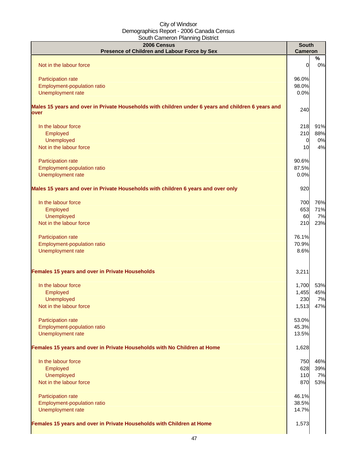| 2006 Census<br>Presence of Children and Labour Force by Sex                                                | <b>South</b><br><b>Cameron</b> |         |
|------------------------------------------------------------------------------------------------------------|--------------------------------|---------|
| Not in the labour force                                                                                    | 0                              | %<br>0% |
| Participation rate                                                                                         | 96.0%                          |         |
| Employment-population ratio                                                                                | 98.0%                          |         |
| Unemployment rate                                                                                          | 0.0%                           |         |
| Males 15 years and over in Private Households with children under 6 years and children 6 years and<br>over | 240                            |         |
| In the labour force                                                                                        | 218                            | 91%     |
| Employed                                                                                                   | 210                            | 88%     |
| Unemployed                                                                                                 | $\overline{0}$                 | 0%      |
| Not in the labour force                                                                                    | 10                             | 4%      |
| Participation rate                                                                                         | 90.6%                          |         |
| Employment-population ratio                                                                                | 87.5%                          |         |
| Unemployment rate                                                                                          | 0.0%                           |         |
| Males 15 years and over in Private Households with children 6 years and over only                          | 920                            |         |
| In the labour force                                                                                        | 700                            | 76%     |
| Employed                                                                                                   | 653                            | 71%     |
| <b>Unemployed</b>                                                                                          | 60                             | 7%      |
| Not in the labour force                                                                                    | 210                            | 23%     |
| Participation rate                                                                                         | 76.1%                          |         |
| Employment-population ratio                                                                                | 70.9%                          |         |
| Unemployment rate                                                                                          | 8.6%                           |         |
| Females 15 years and over in Private Households                                                            | 3,211                          |         |
| In the labour force                                                                                        | 1,700                          | 53%     |
| Employed                                                                                                   | 1,455                          | 45%     |
| Unemployed                                                                                                 | 230                            | 7%      |
| Not in the labour force                                                                                    | 1,513                          | 47%     |
| Participation rate                                                                                         | 53.0%                          |         |
| Employment-population ratio                                                                                | 45.3%                          |         |
| Unemployment rate                                                                                          | 13.5%                          |         |
| Females 15 years and over in Private Households with No Children at Home                                   | 1,628                          |         |
| In the labour force                                                                                        | 750                            | 46%     |
| Employed                                                                                                   | 628                            | 39%     |
| Unemployed                                                                                                 | 110                            | 7%      |
| Not in the labour force                                                                                    | 870                            | 53%     |
| Participation rate                                                                                         | 46.1%                          |         |
| Employment-population ratio                                                                                | 38.5%                          |         |
| Unemployment rate                                                                                          | 14.7%                          |         |
| Females 15 years and over in Private Households with Children at Home                                      | 1,573                          |         |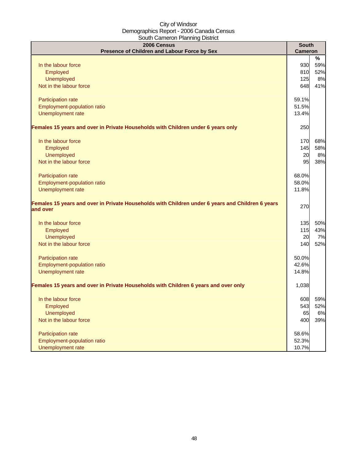| <u>oodul Odilloi oli Fidiliiliigi Dioulot</u><br>2006 Census                                                 | <b>South</b>   |     |
|--------------------------------------------------------------------------------------------------------------|----------------|-----|
| Presence of Children and Labour Force by Sex                                                                 | <b>Cameron</b> |     |
|                                                                                                              |                | %   |
| In the labour force                                                                                          | 930            | 59% |
| Employed                                                                                                     | 810            | 52% |
| Unemployed                                                                                                   | 125            | 8%  |
| Not in the labour force                                                                                      | 648            | 41% |
| Participation rate                                                                                           | 59.1%          |     |
| Employment-population ratio                                                                                  | 51.5%          |     |
| Unemployment rate                                                                                            | 13.4%          |     |
| Females 15 years and over in Private Households with Children under 6 years only                             | 250            |     |
| In the labour force                                                                                          | 170            | 68% |
| Employed                                                                                                     | 145            | 58% |
| Unemployed                                                                                                   | 20             | 8%  |
| Not in the labour force                                                                                      | 95             | 38% |
| Participation rate                                                                                           | 68.0%          |     |
| Employment-population ratio                                                                                  | 58.0%          |     |
| Unemployment rate                                                                                            | 11.8%          |     |
| Females 15 years and over in Private Households with Children under 6 years and Children 6 years<br>and over | 270            |     |
|                                                                                                              |                |     |
| In the labour force                                                                                          | 135            | 50% |
| Employed                                                                                                     | 115            | 43% |
| Unemployed                                                                                                   | 20             | 7%  |
| Not in the labour force                                                                                      | 140            | 52% |
| Participation rate                                                                                           | 50.0%          |     |
| Employment-population ratio                                                                                  | 42.6%          |     |
| Unemployment rate                                                                                            | 14.8%          |     |
| Females 15 years and over in Private Households with Children 6 years and over only                          | 1,038          |     |
| In the labour force                                                                                          | 608            | 59% |
| Employed                                                                                                     | 543            | 52% |
| Unemployed                                                                                                   | 65             | 6%  |
| Not in the labour force                                                                                      | 400            | 39% |
| Participation rate                                                                                           | 58.6%          |     |
| Employment-population ratio                                                                                  | 52.3%          |     |
| Unemployment rate                                                                                            | 10.7%          |     |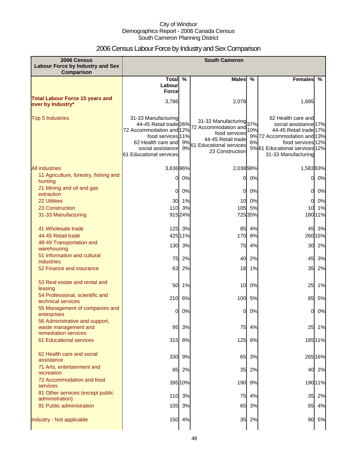# 2006 Census Labour Force by Industry and Sex Comparison

| 2006 Census<br><b>Labour Force by Industry and Sex</b><br>Comparison           | <b>South Cameron</b>                                                                                                                                                 |          |                                                                                                                                      |           |                                                                                                                                                                                   |         |
|--------------------------------------------------------------------------------|----------------------------------------------------------------------------------------------------------------------------------------------------------------------|----------|--------------------------------------------------------------------------------------------------------------------------------------|-----------|-----------------------------------------------------------------------------------------------------------------------------------------------------------------------------------|---------|
|                                                                                | Total %<br>Labour<br><b>Force</b>                                                                                                                                    |          | <b>Males</b>                                                                                                                         | %         | <b>Females</b>                                                                                                                                                                    | %       |
| <b>Total Labour Force 15 years and</b><br>over by Industry*                    | 3,786                                                                                                                                                                |          | 2,078                                                                                                                                |           | 1,695                                                                                                                                                                             |         |
| <b>Top 5 Industries</b>                                                        | 31-33 Manufacturing<br>44-45 Retail trade 26%<br>72 Accommodation and 12%<br>food services 11%<br>62 Health care and<br>social assistance<br>61 Educational services | 9%<br>9% | 31-33 Manufacturing 37%<br>72 Accommodation and<br>food services<br>44-45 Retail trade<br>61 Educational services<br>23 Construction | 10%<br>6% | 62 Health care and<br>social assistance 17%<br>44-45 Retail trade 17%<br>9% 72 Accommodation and 13%<br>food services 12%<br>5%61 Educational services 12%<br>31-33 Manufacturing |         |
| <b>All industries</b>                                                          | 3,63696%                                                                                                                                                             |          | 2,03898%                                                                                                                             |           | 1,58393%                                                                                                                                                                          |         |
| 11 Agriculture, forestry, fishing and<br>hunting                               | 0                                                                                                                                                                    | 0%       | 0                                                                                                                                    | 0%        | 0                                                                                                                                                                                 | 0%      |
| 21 Mining and oil and gas<br>extraction                                        | 0                                                                                                                                                                    | 0%       | 0                                                                                                                                    | 0%        | 0                                                                                                                                                                                 | 0%      |
| <b>22 Utilities</b>                                                            | 30                                                                                                                                                                   | 1%       | 10                                                                                                                                   | 0%        | 0                                                                                                                                                                                 | 0%      |
| 23 Construction                                                                | 110                                                                                                                                                                  | 3%       | 105                                                                                                                                  | 5%        | 10                                                                                                                                                                                | 1%      |
| 31-33 Manufacturing                                                            |                                                                                                                                                                      | 91524%   |                                                                                                                                      | 725 35%   |                                                                                                                                                                                   | 18011%  |
| 41 Wholesale trade                                                             |                                                                                                                                                                      | 125 3%   | 85                                                                                                                                   | 4%        | 45                                                                                                                                                                                | 3%      |
| 44-45 Retail trade                                                             |                                                                                                                                                                      | 425 11%  | 170                                                                                                                                  | 8%        |                                                                                                                                                                                   | 26015%  |
| 48-49 Transportation and<br>warehousing                                        | 130                                                                                                                                                                  | 3%       | 75                                                                                                                                   | 4%        | 30                                                                                                                                                                                | 2%      |
| 51 Information and cultural<br><b>industries</b>                               | 75                                                                                                                                                                   | 2%       | 40                                                                                                                                   | 2%        | 45                                                                                                                                                                                | 3%      |
| 52 Finance and insurance                                                       | 63                                                                                                                                                                   | 2%       | 18                                                                                                                                   | 1%        | 35                                                                                                                                                                                | 2%      |
| 53 Real estate and rental and<br>leasing                                       | 50                                                                                                                                                                   | 1%       | 10                                                                                                                                   | 0%        | 25                                                                                                                                                                                | 1%      |
| 54 Professional, scientific and<br>technical services                          | 210                                                                                                                                                                  | 6%       | 100                                                                                                                                  | 5%        | 85                                                                                                                                                                                | 5%      |
| 55 Management of companies and<br>enterprises                                  | 0                                                                                                                                                                    | 0%       | 0                                                                                                                                    | 0%        | 0                                                                                                                                                                                 | 0%      |
| 56 Administrative and support,<br>waste management and<br>remediation services | 95                                                                                                                                                                   | 3%       | 75                                                                                                                                   | 4%        | 25                                                                                                                                                                                | 1%      |
| <b>61 Educational services</b>                                                 |                                                                                                                                                                      | 315 8%   | 125                                                                                                                                  | 6%        |                                                                                                                                                                                   | 185 11% |
| 62 Health care and social<br>assistance                                        | 330                                                                                                                                                                  | 9%       | 65                                                                                                                                   | 3%        |                                                                                                                                                                                   | 26516%  |
| 71 Arts, entertainment and<br>recreation                                       | 85                                                                                                                                                                   | 2%       | 35                                                                                                                                   | 2%        | 40                                                                                                                                                                                | 2%      |
| 72 Accommodation and food<br>services                                          |                                                                                                                                                                      | 395 10%  | 190                                                                                                                                  | 9%        |                                                                                                                                                                                   | 19011%  |
| 81 Other services (except public<br>administration)                            | 110                                                                                                                                                                  | 3%       | 75                                                                                                                                   | 4%        | 35                                                                                                                                                                                | 2%      |
| 91 Public administration                                                       | 105                                                                                                                                                                  | 3%       | 65                                                                                                                                   | 3%        | 65                                                                                                                                                                                | 4%      |
| Industry - Not applicable                                                      | 150                                                                                                                                                                  | 4%       | 35                                                                                                                                   | 2%        | 90                                                                                                                                                                                | 5%      |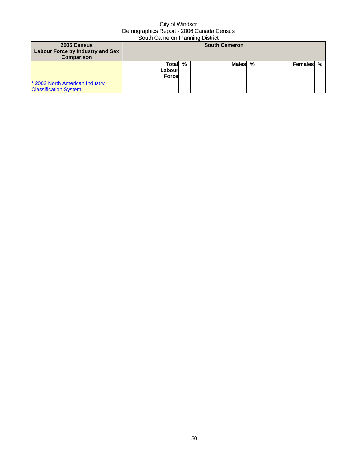| 2006 Census                                                    |                                    |   | <b>South Cameron</b> |   |           |  |
|----------------------------------------------------------------|------------------------------------|---|----------------------|---|-----------|--|
| Labour Force by Industry and Sex<br>Comparison                 |                                    |   |                      |   |           |  |
|                                                                | Totall<br>Labourl<br><b>Forcel</b> | % | <b>Males</b>         | % | Females % |  |
| * 2002 North American Industry<br><b>Classification System</b> |                                    |   |                      |   |           |  |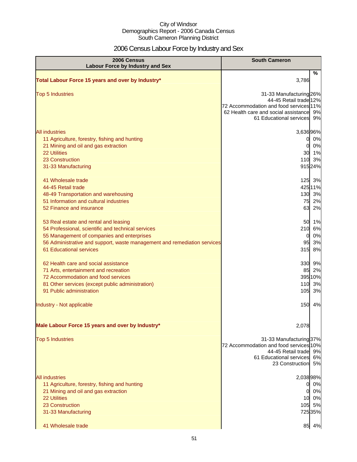# 2006 Census Labour Force by Industry and Sex

| 2006 Census<br><b>Labour Force by Industry and Sex</b>                                                                                                                                                                                                  | <b>South Cameron</b>                                                                                                                                                       |
|---------------------------------------------------------------------------------------------------------------------------------------------------------------------------------------------------------------------------------------------------------|----------------------------------------------------------------------------------------------------------------------------------------------------------------------------|
| Total Labour Force 15 years and over by Industry*                                                                                                                                                                                                       | %<br>3,786                                                                                                                                                                 |
| <b>Top 5 Industries</b>                                                                                                                                                                                                                                 | 31-33 Manufacturing 26%<br>44-45 Retail trade 12%<br>72 Accommodation and food services 11%<br>62 Health care and social assistance<br>9%<br>61 Educational services<br>9% |
| <b>All industries</b><br>11 Agriculture, forestry, fishing and hunting<br>21 Mining and oil and gas extraction<br><b>22 Utilities</b><br>23 Construction<br>31-33 Manufacturing                                                                         | 3,63696%<br>0%<br>0<br>0%<br>0<br>30 1%<br>110<br>3%<br>91524%                                                                                                             |
| 41 Wholesale trade<br>44-45 Retail trade<br>48-49 Transportation and warehousing<br>51 Information and cultural industries<br>52 Finance and insurance                                                                                                  | 125 3%<br>425 11%<br>130 3%<br>75<br>2%<br>63<br>2%                                                                                                                        |
| 53 Real estate and rental and leasing<br>54 Professional, scientific and technical services<br>55 Management of companies and enterprises<br>56 Administrative and support, waste management and remediation services<br><b>61 Educational services</b> | 50<br>1%<br>210<br>6%<br>0%<br><sub>0</sub><br>95<br>3%<br>315<br>8%                                                                                                       |
| 62 Health care and social assistance<br>71 Arts, entertainment and recreation<br>72 Accommodation and food services<br>81 Other services (except public administration)<br>91 Public administration                                                     | 330<br>9%<br>85<br>2%<br>395 10%<br>110<br>3%<br>105<br>3%                                                                                                                 |
| Industry - Not applicable                                                                                                                                                                                                                               | 150<br>4%                                                                                                                                                                  |
| Male Labour Force 15 years and over by Industry*                                                                                                                                                                                                        | 2,078                                                                                                                                                                      |
| <b>Top 5 Industries</b>                                                                                                                                                                                                                                 | 31-33 Manufacturing 37%<br>72 Accommodation and food services 10%<br>44-45 Retail trade 9%<br>61 Educational services<br>6%<br>23 Construction<br><b>5%</b>                |
| <b>All industries</b><br>11 Agriculture, forestry, fishing and hunting<br>21 Mining and oil and gas extraction<br><b>22 Utilities</b><br>23 Construction<br>31-33 Manufacturing<br>41 Wholesale trade                                                   | 2,03898%<br>0%<br>OI<br>0%<br>0<br>10 0%<br>105 5%<br>725 35%<br>85 4%                                                                                                     |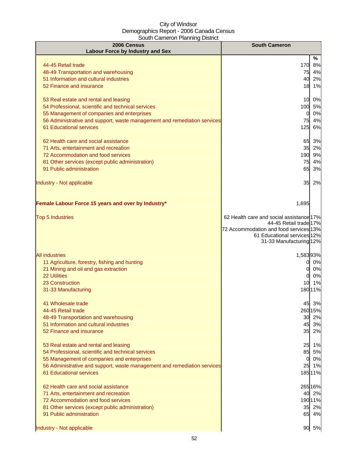| 2006 Census                                                              | <b>South Cameron</b>                                               |
|--------------------------------------------------------------------------|--------------------------------------------------------------------|
| <b>Labour Force by Industry and Sex</b>                                  | %                                                                  |
| 44-45 Retail trade                                                       | 170<br>8%                                                          |
| 48-49 Transportation and warehousing                                     | 75<br>4%                                                           |
| 51 Information and cultural industries                                   | 2%<br>40                                                           |
| 52 Finance and insurance                                                 | 18<br>1%                                                           |
| 53 Real estate and rental and leasing                                    | 10<br>0%                                                           |
| 54 Professional, scientific and technical services                       | 100 5%                                                             |
| 55 Management of companies and enterprises                               | 0%<br>0                                                            |
| 56 Administrative and support, waste management and remediation services | 4%<br>75                                                           |
| <b>61 Educational services</b>                                           | 6%<br>125                                                          |
| 62 Health care and social assistance                                     |                                                                    |
| 71 Arts, entertainment and recreation                                    | 65 3%<br>35 2%                                                     |
| 72 Accommodation and food services                                       | 190 9%                                                             |
| 81 Other services (except public administration)                         | 75<br>4%                                                           |
| 91 Public administration                                                 | 3%<br>65                                                           |
|                                                                          |                                                                    |
| Industry - Not applicable                                                | 35<br>2%                                                           |
|                                                                          |                                                                    |
| Female Labour Force 15 years and over by Industry*                       | 1,695                                                              |
|                                                                          |                                                                    |
| <b>Top 5 Industries</b>                                                  | 62 Health care and social assistance 17%<br>44-45 Retail trade 17% |
|                                                                          | 72 Accommodation and food services 13%                             |
|                                                                          | 61 Educational services 12%                                        |
|                                                                          | 31-33 Manufacturing 12%                                            |
| <b>All industries</b>                                                    | 1,58393%                                                           |
| 11 Agriculture, forestry, fishing and hunting                            | 0%<br>0                                                            |
| 21 Mining and oil and gas extraction                                     | 0%<br>0                                                            |
| <b>22 Utilities</b>                                                      | 0%<br>0                                                            |
| 23 Construction                                                          | 10<br>1%                                                           |
| 31-33 Manufacturing                                                      | 18011%                                                             |
| 41 Wholesale trade                                                       | 45 3%                                                              |
| 44-45 Retail trade                                                       | 260 15%                                                            |
| 48-49 Transportation and warehousing                                     | 30 2%                                                              |
| 51 Information and cultural industries                                   | 45 3%                                                              |
| 52 Finance and insurance                                                 | 35 2%                                                              |
| 53 Real estate and rental and leasing                                    | 25 1%                                                              |
| 54 Professional, scientific and technical services                       | 85 5%                                                              |
| 55 Management of companies and enterprises                               | 0%<br>$\mathbf 0$                                                  |
| 56 Administrative and support, waste management and remediation services | 25 1%                                                              |
| 61 Educational services                                                  | 18511%                                                             |
| 62 Health care and social assistance                                     | 265 16%                                                            |
| 71 Arts, entertainment and recreation                                    | 40 2%                                                              |
| 72 Accommodation and food services                                       | 190 11%                                                            |
| 81 Other services (except public administration)                         | 35 2%                                                              |
| 91 Public administration                                                 | 65 4%                                                              |
| Industry - Not applicable                                                | 90<br>5%                                                           |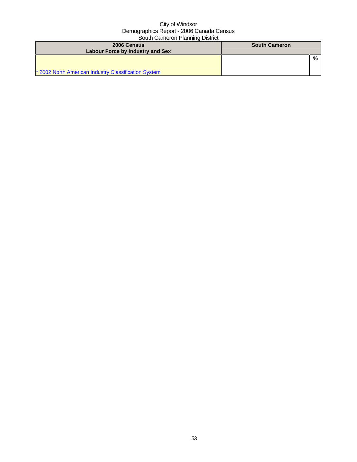| 2006 Census<br>Labour Force by Industry and Sex      | <b>South Cameron</b> |
|------------------------------------------------------|----------------------|
|                                                      | %                    |
| * 2002 North American Industry Classification System |                      |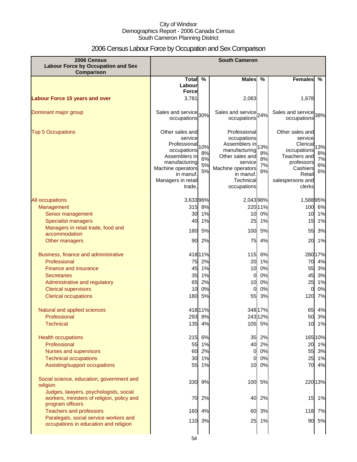# 2006 Census Labour Force by Occupation and Sex Comparison

| 2006 Census<br><b>Labour Force by Occupation and Sex</b><br>Comparison                                   | <b>South Cameron</b>                                                                                                                                          |                             |                                                                                                                                                           |                             |                                                                                                                                         |                             |
|----------------------------------------------------------------------------------------------------------|---------------------------------------------------------------------------------------------------------------------------------------------------------------|-----------------------------|-----------------------------------------------------------------------------------------------------------------------------------------------------------|-----------------------------|-----------------------------------------------------------------------------------------------------------------------------------------|-----------------------------|
|                                                                                                          | Total $\overline{\%}$<br>Labour                                                                                                                               |                             | <b>Males</b>                                                                                                                                              | %                           | <b>Females</b>                                                                                                                          | %                           |
|                                                                                                          | <b>Force</b>                                                                                                                                                  |                             |                                                                                                                                                           |                             |                                                                                                                                         |                             |
| <b>Labour Force 15 years and over</b>                                                                    | 3,781                                                                                                                                                         |                             | 2,083                                                                                                                                                     |                             | 1,678                                                                                                                                   |                             |
| Dominant major group                                                                                     | Sales and service 30%<br>occupations                                                                                                                          |                             | Sales and service 24%<br>occupations                                                                                                                      |                             | Sales and service 38%<br>occupations                                                                                                    |                             |
| <b>Top 5 Occupations</b>                                                                                 | Other sales and<br>service<br>Professional<br>occupations<br>Assemblers in<br>manufacturing<br>Machine operators<br>in manuf.<br>Managers in retail<br>trade, | 10%<br>8%<br>6%<br>5%<br>5% | Professional<br>occupations<br>Assemblers in<br>manufacturing<br>Other sales and<br>service<br>Machine operators<br>in manuf.<br>Technical<br>occupations | 13%<br>8%<br>8%<br>7%<br>6% | Other sales and<br>service<br>Clerical<br>occupations<br>Teachers and<br>professors<br>Cashiers<br>Retail<br>salespersons and<br>clerks | 13%<br>8%<br>7%<br>6%<br>6% |
| All occupations                                                                                          | 3,63396%                                                                                                                                                      |                             | 2,043 98%                                                                                                                                                 |                             | 1,58895%                                                                                                                                |                             |
| Management                                                                                               | 315                                                                                                                                                           | 8%                          |                                                                                                                                                           | 22011%                      | 100 6%                                                                                                                                  |                             |
| Senior management                                                                                        | 30                                                                                                                                                            | 1%                          | 10                                                                                                                                                        | 0%                          | 10                                                                                                                                      | 1%                          |
| <b>Specialist managers</b>                                                                               | 40                                                                                                                                                            | 1%                          | 25                                                                                                                                                        | 1%                          | 15                                                                                                                                      | 1%                          |
| Managers in retail trade, food and                                                                       | 180                                                                                                                                                           | 5%                          | 100                                                                                                                                                       | 5%                          | 55                                                                                                                                      | 3%                          |
| accommodation                                                                                            |                                                                                                                                                               |                             |                                                                                                                                                           |                             |                                                                                                                                         |                             |
| Other managers                                                                                           | 90                                                                                                                                                            | 2%                          | 75                                                                                                                                                        | 4%                          | 20                                                                                                                                      | 1%                          |
| Business, finance and administrative                                                                     |                                                                                                                                                               | 418 11%                     | 115                                                                                                                                                       | 6%                          | 28017%                                                                                                                                  |                             |
| Professional                                                                                             | 75                                                                                                                                                            | 2%                          | 20                                                                                                                                                        | 1%                          | 70                                                                                                                                      | 4%                          |
| <b>Finance and insurance</b>                                                                             | 45                                                                                                                                                            | 1%                          | 10                                                                                                                                                        | 0%                          | 55                                                                                                                                      | 3%                          |
| Secretaries                                                                                              | 35                                                                                                                                                            | 1%                          | 0                                                                                                                                                         | 0%                          | 45                                                                                                                                      | 3%                          |
| Administrative and regulatory                                                                            | 65                                                                                                                                                            | 2%                          | 10                                                                                                                                                        | 0%                          | 25                                                                                                                                      | 1%                          |
| <b>Clerical supervisors</b>                                                                              | 10                                                                                                                                                            | 0%                          | 0                                                                                                                                                         | 0%                          | 0                                                                                                                                       | 0%                          |
| <b>Clerical occupations</b>                                                                              | 180                                                                                                                                                           | 5%                          | 55                                                                                                                                                        | 3%                          | 120                                                                                                                                     | 7%                          |
| Natural and applied sciences                                                                             |                                                                                                                                                               | 418 11%                     |                                                                                                                                                           | 348 17%                     | 65                                                                                                                                      | 4%                          |
| Professional                                                                                             |                                                                                                                                                               | 293 8%                      |                                                                                                                                                           | 24312%                      | 50.                                                                                                                                     | 3%                          |
| <b>Technical</b>                                                                                         |                                                                                                                                                               | 135 4%                      |                                                                                                                                                           | 105 5%                      | 10 1%                                                                                                                                   |                             |
| <b>Health occupations</b>                                                                                |                                                                                                                                                               | 215 6%                      | 35                                                                                                                                                        | 2%                          | 16510%                                                                                                                                  |                             |
| Professional                                                                                             |                                                                                                                                                               | 55 1%                       |                                                                                                                                                           | 40 2%                       | 20 1%                                                                                                                                   |                             |
| Nurses and supervisors                                                                                   |                                                                                                                                                               | 60 2%                       | $\overline{0}$                                                                                                                                            | 0%                          | 55 3%                                                                                                                                   |                             |
| <b>Technical occupations</b>                                                                             |                                                                                                                                                               | 30 1%                       | 0                                                                                                                                                         | 0%                          | 25 1%                                                                                                                                   |                             |
| Assisting/support occupations                                                                            |                                                                                                                                                               | 55 1%                       | 10                                                                                                                                                        | 0%                          | 70 4%                                                                                                                                   |                             |
| Social science, education, government and<br>religion                                                    |                                                                                                                                                               | 330 9%                      | 100                                                                                                                                                       | 5%                          | 22013%                                                                                                                                  |                             |
| Judges, lawyers, psychologists, social<br>workers, ministers of religion, policy and<br>program officers |                                                                                                                                                               | 70 2%                       | 40                                                                                                                                                        | 2%                          | 15 1%                                                                                                                                   |                             |
| <b>Teachers and professors</b>                                                                           |                                                                                                                                                               | 160 4%                      | 60                                                                                                                                                        | 3%                          | 118 7%                                                                                                                                  |                             |
| Paralegals, social service workers and<br>occupations in education and religion                          |                                                                                                                                                               | 110 3%                      |                                                                                                                                                           | 25 1%                       | 90 5%                                                                                                                                   |                             |
|                                                                                                          | 54                                                                                                                                                            |                             |                                                                                                                                                           |                             |                                                                                                                                         |                             |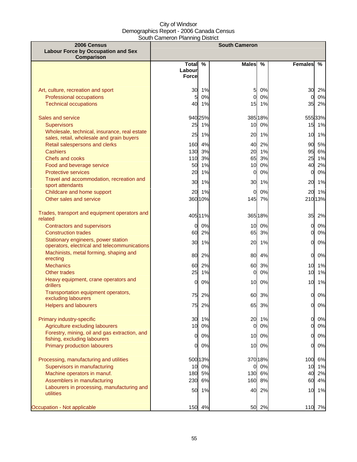| 2006 Census                                                                               | <b>South Cameron</b> |         |              |         |                 |               |
|-------------------------------------------------------------------------------------------|----------------------|---------|--------------|---------|-----------------|---------------|
| <b>Labour Force by Occupation and Sex</b>                                                 |                      |         |              |         |                 |               |
| Comparison                                                                                | <b>Total</b>         | %       | <b>Males</b> | %       | <b>Females</b>  | $\frac{9}{6}$ |
|                                                                                           | Labour               |         |              |         |                 |               |
|                                                                                           | <b>Force</b>         |         |              |         |                 |               |
|                                                                                           |                      |         |              |         |                 |               |
| Art, culture, recreation and sport                                                        | 30                   | 1%      | 5            | 0%      | 30              | 2%            |
| Professional occupations                                                                  | 5                    | 0%      | 0            | 0%      | 0               | 0%            |
| <b>Technical occupations</b>                                                              |                      | 40 1%   | 15           | 1%      | 35              | 2%            |
|                                                                                           |                      |         |              |         |                 |               |
| Sales and service                                                                         |                      | 940 25% |              | 385 18% |                 | 55533%        |
| <b>Supervisors</b>                                                                        | 25                   | 1%      | 10           | 0%      |                 | 15 1%         |
| Wholesale, technical, insurance, real estate<br>sales, retail, wholesale and grain buyers | 25                   | 1%      | 20           | 1%      | 10              | 1%            |
| Retail salespersons and clerks                                                            | 160                  | 4%      | 40           | 2%      | 90              | 5%            |
| <b>Cashiers</b>                                                                           | 130                  | 3%      | 20           | 1%      | 95              | 6%            |
| Chefs and cooks                                                                           | $110$                | 3%      | 65           | 3%      | 25              | 1%            |
| Food and beverage service                                                                 | 50                   | 1%      | 10           | 0%      | 40              | 2%            |
| <b>Protective services</b>                                                                | 20                   | 1%      | $\mathbf 0$  | 0%      | $\mathbf{0}$    | $0\%$         |
| Travel and accommodation, recreation and                                                  | 30                   | 1%      | 30           | 1%      | 20              | 1%            |
| sport attendants                                                                          |                      |         |              |         |                 |               |
| Childcare and home support                                                                | 20                   | 1%      | $\Omega$     | 0%      | 20              | 1%            |
| Other sales and service                                                                   |                      | 360 10% |              | 145 7%  |                 | 210 13%       |
| Trades, transport and equipment operators and                                             |                      | 405 11% |              | 365 18% | 35              | 2%            |
| related                                                                                   |                      |         |              |         |                 |               |
| <b>Contractors and supervisors</b>                                                        | $\overline{0}$       | 0%      | 10           | 0%      | $\overline{0}$  | 0%            |
| <b>Construction trades</b>                                                                | 60                   | 2%      | 65           | 3%      | 0               | $0\%$         |
| Stationary engineers, power station<br>operators, electrical and telecommunications       | 30                   | 1%      | 20           | 1%      | <sub>O</sub>    | $0\%$         |
| Machinists, metal forming, shaping and                                                    |                      |         |              |         |                 |               |
| erecting                                                                                  | 80                   | 2%      | 80           | 4%      | $\overline{0}$  | $0\%$         |
| <b>Mechanics</b>                                                                          | 60                   | 2%      | 60           | 3%      | 10 <sup>1</sup> | 1%            |
| Other trades                                                                              | 25                   | 1%      | 0            | 0%      | 10              | 1%            |
| Heavy equipment, crane operators and                                                      | 0                    | 0%      | 10           | 0%      | 10              | 1%            |
| drillers                                                                                  |                      |         |              |         |                 |               |
| Transportation equipment operators,                                                       | 75                   | 2%      | 60           | 3%      | O               | 0%            |
| excluding labourers                                                                       | 75                   | 2%      | 65           | 3%      | 0               | 0%            |
| <b>Helpers and labourers</b>                                                              |                      |         |              |         |                 |               |
| Primary industry-specific                                                                 |                      | 30 1%   | 20           | 1%      | 0               | 0%            |
| Agriculture excluding labourers                                                           | 10                   | 0%      | $\mathbf 0$  | 0%      | O               | $0\%$         |
| Forestry, mining, oil and gas extraction, and                                             |                      |         |              |         |                 |               |
| fishing, excluding labourers                                                              | 0l                   | 0%      | 10           | 0%      | 0               | 0%            |
| Primary production labourers                                                              | <sub>0</sub>         | 0%      | 10           | 0%      | <sub>O</sub>    | 0%            |
| Processing, manufacturing and utilities                                                   |                      | 500 13% |              | 370 18% | 100             | 6%            |
| Supervisors in manufacturing                                                              | 10                   | 0%      | 0            | 0%      | 10              | 1%            |
| Machine operators in manuf.                                                               | 180                  | 5%      | 130          | 6%      | 40              | 2%            |
| Assemblers in manufacturing                                                               | 230                  | 6%      | 160          | 8%      | 60              | 4%            |
| Labourers in processing, manufacturing and<br>utilities                                   | 50                   | 1%      | 40           | 2%      | 10              | 1%            |
| Occupation - Not applicable                                                               | 150                  | 4%      | 50           | 2%      | 110             | 7%            |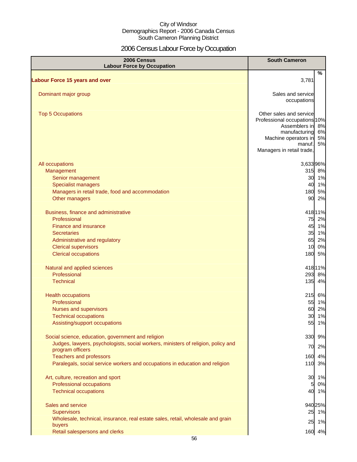# 2006 Census Labour Force by Occupation

| 2006 Census<br><b>Labour Force by Occupation</b>                                                                                                                                                   | <b>South Cameron</b>                                                                                                                                        |                |
|----------------------------------------------------------------------------------------------------------------------------------------------------------------------------------------------------|-------------------------------------------------------------------------------------------------------------------------------------------------------------|----------------|
| <b>Labour Force 15 years and over</b>                                                                                                                                                              | 3,781                                                                                                                                                       | $\%$           |
| Dominant major group                                                                                                                                                                               | Sales and service<br>occupations                                                                                                                            |                |
| <b>Top 5 Occupations</b>                                                                                                                                                                           | Other sales and service<br>Professional occupations 10%<br>Assemblers in 8%<br>manufacturing<br>Machine operators in<br>manuf.<br>Managers in retail trade, | 6%<br>5%<br>5% |
| All occupations<br>Management<br>Senior management<br><b>Specialist managers</b>                                                                                                                   | 3,63396%<br>315 8%<br>30 1%<br>40 1%                                                                                                                        |                |
| Managers in retail trade, food and accommodation<br>Other managers                                                                                                                                 | 180 5%<br>90                                                                                                                                                | 2%             |
| Business, finance and administrative<br>Professional<br>Finance and insurance<br><b>Secretaries</b><br>Administrative and regulatory<br><b>Clerical supervisors</b><br><b>Clerical occupations</b> | 41811%<br>75 2%<br>45 1%<br>35 1%<br>65 2%<br>10 0%<br>180                                                                                                  | 5%             |
| Natural and applied sciences<br>Professional<br><b>Technical</b>                                                                                                                                   | 418 11%<br>293 8%<br>135                                                                                                                                    | 4%             |
| <b>Health occupations</b><br>Professional<br>Nurses and supervisors<br><b>Technical occupations</b><br>Assisting/support occupations                                                               | 215 6%<br>55 1%<br>60<br>30<br>55                                                                                                                           | 2%<br>1%<br>1% |
| Social science, education, government and religion<br>Judges, lawyers, psychologists, social workers, ministers of religion, policy and<br>program officers<br><b>Teachers and professors</b>      | 330<br>70<br>160                                                                                                                                            | 9%<br>2%<br>4% |
| Paralegals, social service workers and occupations in education and religion                                                                                                                       | 110 3%                                                                                                                                                      |                |
| Art, culture, recreation and sport<br>Professional occupations<br><b>Technical occupations</b>                                                                                                     | 30 1%<br>5<br>40 1%                                                                                                                                         | 0%             |
| Sales and service<br><b>Supervisors</b><br>Wholesale, technical, insurance, real estate sales, retail, wholesale and grain                                                                         | 94025%<br>25 1%<br>25 1%                                                                                                                                    |                |
| buyers<br>Retail salespersons and clerks                                                                                                                                                           | 160 4%                                                                                                                                                      |                |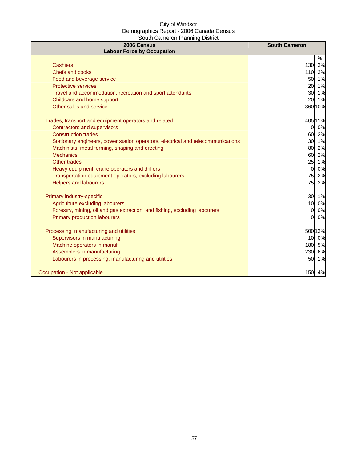| 2006 Census<br><b>Labour Force by Occupation</b>                                 | <b>South Cameron</b> |
|----------------------------------------------------------------------------------|----------------------|
|                                                                                  | %                    |
| <b>Cashiers</b>                                                                  | 130<br>3%            |
| Chefs and cooks                                                                  | 110 3%               |
| Food and beverage service                                                        | 50 1%                |
| <b>Protective services</b>                                                       | 1%<br>20             |
| Travel and accommodation, recreation and sport attendants                        | 30 1%                |
| Childcare and home support                                                       | 20<br>1%             |
| Other sales and service                                                          | 360 10%              |
| Trades, transport and equipment operators and related                            | 405 11%              |
| <b>Contractors and supervisors</b>                                               | 0%<br>0              |
| <b>Construction trades</b>                                                       | 60 2%                |
| Stationary engineers, power station operators, electrical and telecommunications | 30 1%                |
| Machinists, metal forming, shaping and erecting                                  | 80 2%                |
| <b>Mechanics</b>                                                                 | 60 2%                |
| Other trades                                                                     | 25<br>1%             |
| Heavy equipment, crane operators and drillers                                    | 0%<br>$\mathbf{0}$   |
| Transportation equipment operators, excluding labourers                          | 75<br>2%             |
| <b>Helpers and labourers</b>                                                     | 75<br>2%             |
| Primary industry-specific                                                        | 30 1%                |
| Agriculture excluding labourers                                                  | 0%<br>10             |
| Forestry, mining, oil and gas extraction, and fishing, excluding labourers       | 0%<br>$\Omega$       |
| <b>Primary production labourers</b>                                              | 0%<br><sub>O</sub>   |
| Processing, manufacturing and utilities                                          | 500 13%              |
| Supervisors in manufacturing                                                     | 10 0%                |
| Machine operators in manuf.                                                      | 180 5%               |
| Assemblers in manufacturing                                                      | 230<br>6%            |
| Labourers in processing, manufacturing and utilities                             | 50<br>1%             |
| Occupation - Not applicable                                                      | 150 4%               |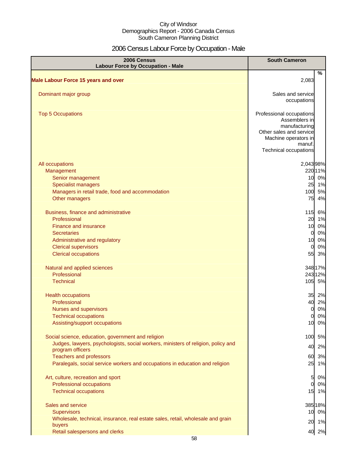# 2006 Census Labour Force by Occupation - Male

| 2006 Census<br><b>Labour Force by Occupation - Male</b>                                               | <b>South Cameron</b>                            |
|-------------------------------------------------------------------------------------------------------|-------------------------------------------------|
|                                                                                                       | %                                               |
| <b>Male Labour Force 15 years and over</b>                                                            | 2,083                                           |
| Dominant major group                                                                                  | Sales and service                               |
|                                                                                                       | occupations                                     |
| <b>Top 5 Occupations</b>                                                                              | Professional occupations                        |
|                                                                                                       | Assemblers in                                   |
|                                                                                                       | manufacturing                                   |
|                                                                                                       | Other sales and service<br>Machine operators in |
|                                                                                                       | manuf.                                          |
|                                                                                                       | <b>Technical occupations</b>                    |
| All occupations                                                                                       | 2,043 98%                                       |
| Management                                                                                            | 22011%                                          |
| Senior management                                                                                     | 10 0%                                           |
| <b>Specialist managers</b>                                                                            | 25 1%                                           |
| Managers in retail trade, food and accommodation                                                      | 100 5%                                          |
| Other managers                                                                                        | 75<br>4%                                        |
| Business, finance and administrative                                                                  | 115 6%                                          |
| Professional                                                                                          | 20 1%                                           |
| Finance and insurance                                                                                 | 10 0%                                           |
| <b>Secretaries</b>                                                                                    | 0%<br>O                                         |
| Administrative and regulatory<br><b>Clerical supervisors</b>                                          | 10 0%<br>0%<br>$\Omega$                         |
| <b>Clerical occupations</b>                                                                           | 55<br>3%                                        |
|                                                                                                       |                                                 |
| Natural and applied sciences                                                                          | 348 17%                                         |
| Professional<br><b>Technical</b>                                                                      | 24312%<br>105 5%                                |
|                                                                                                       |                                                 |
| <b>Health occupations</b>                                                                             | 35 2%                                           |
| Professional                                                                                          | 2%<br>40                                        |
| <b>Nurses and supervisors</b>                                                                         | 0%<br>0                                         |
| <b>Technical occupations</b>                                                                          | 0%<br>0l                                        |
| Assisting/support occupations                                                                         | 0%<br>10                                        |
| Social science, education, government and religion                                                    | 100 5%                                          |
| Judges, lawyers, psychologists, social workers, ministers of religion, policy and<br>program officers | 2%<br>40                                        |
| <b>Teachers and professors</b>                                                                        | 60<br>3%                                        |
| Paralegals, social service workers and occupations in education and religion                          | 25 1%                                           |
| Art, culture, recreation and sport                                                                    | 0%<br>5                                         |
| Professional occupations                                                                              | 0%<br>$\Omega$                                  |
| <b>Technical occupations</b>                                                                          | 15 1%                                           |
| Sales and service                                                                                     | 38518%                                          |
| <b>Supervisors</b>                                                                                    | 10 0%                                           |
| Wholesale, technical, insurance, real estate sales, retail, wholesale and grain                       |                                                 |
| buyers                                                                                                | 20 1%                                           |
| Retail salespersons and clerks                                                                        | 40 2%                                           |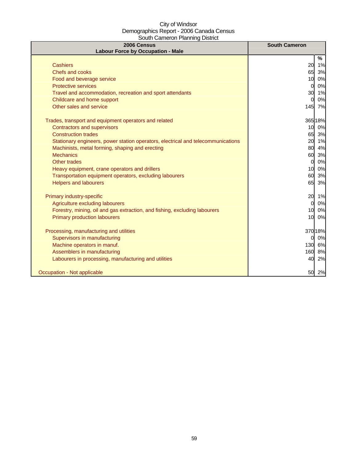| 2006 Census<br><b>Labour Force by Occupation - Male</b>                          | <b>South Cameron</b>  |
|----------------------------------------------------------------------------------|-----------------------|
|                                                                                  | %                     |
| <b>Cashiers</b>                                                                  | 20<br>1%              |
| Chefs and cooks                                                                  | 65<br>3%              |
| Food and beverage service                                                        | 0%<br>10              |
| <b>Protective services</b>                                                       | 0%<br><sub>0</sub>    |
| Travel and accommodation, recreation and sport attendants                        | 30<br>1%              |
| Childcare and home support                                                       | 0%<br>0               |
| Other sales and service                                                          | 145 7%                |
| Trades, transport and equipment operators and related                            | 365 18%               |
| <b>Contractors and supervisors</b>                                               | 10 0%                 |
| <b>Construction trades</b>                                                       | 65 3%                 |
| Stationary engineers, power station operators, electrical and telecommunications | 20 1%                 |
| Machinists, metal forming, shaping and erecting                                  | 80 4%                 |
| <b>Mechanics</b>                                                                 | 60 3%                 |
| Other trades                                                                     | 0%<br>$\Omega$        |
| Heavy equipment, crane operators and drillers                                    | 0%<br>10 <sup>1</sup> |
| Transportation equipment operators, excluding labourers                          | 60<br>3%              |
| <b>Helpers and labourers</b>                                                     | 65<br>3%              |
| Primary industry-specific                                                        | 20 1%                 |
| Agriculture excluding labourers                                                  | 0%<br>$\Omega$        |
| Forestry, mining, oil and gas extraction, and fishing, excluding labourers       | 10<br>0%              |
| <b>Primary production labourers</b>                                              | 10 <sup>1</sup><br>0% |
| Processing, manufacturing and utilities                                          | 370 18%               |
| Supervisors in manufacturing                                                     | 0%<br>01              |
| Machine operators in manuf.                                                      | 130<br>6%             |
| Assemblers in manufacturing                                                      | 160<br>8%             |
| Labourers in processing, manufacturing and utilities                             | 40<br>2%              |
| Occupation - Not applicable                                                      | 50<br>2%              |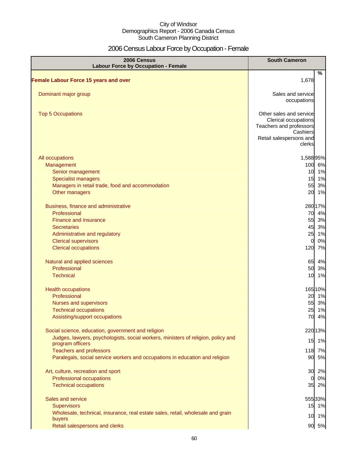# 2006 Census Labour Force by Occupation - Female

| 2006 Census<br><b>Labour Force by Occupation - Female</b>                                             | <b>South Cameron</b>                                                                                              |
|-------------------------------------------------------------------------------------------------------|-------------------------------------------------------------------------------------------------------------------|
| <b>Female Labour Force 15 years and over</b>                                                          | $\%$<br>1,678                                                                                                     |
|                                                                                                       |                                                                                                                   |
| Dominant major group                                                                                  | Sales and service<br>occupations                                                                                  |
| <b>Top 5 Occupations</b>                                                                              | Other sales and service<br>Clerical occupations<br>Teachers and professors<br>Cashiers<br>Retail salespersons and |
|                                                                                                       | clerks                                                                                                            |
| All occupations                                                                                       | 1,58895%                                                                                                          |
| Management                                                                                            | 100 6%                                                                                                            |
| Senior management                                                                                     | 10<br>1%                                                                                                          |
| <b>Specialist managers</b>                                                                            | 15<br>1%                                                                                                          |
| Managers in retail trade, food and accommodation                                                      | 55<br>3%                                                                                                          |
| Other managers                                                                                        | 20<br>1%                                                                                                          |
| Business, finance and administrative                                                                  | 280 17%                                                                                                           |
| Professional                                                                                          | 4%<br>70                                                                                                          |
| <b>Finance and insurance</b>                                                                          | 55<br>3%                                                                                                          |
| <b>Secretaries</b>                                                                                    | 45<br>3%                                                                                                          |
| Administrative and regulatory                                                                         | 25<br>1%                                                                                                          |
| <b>Clerical supervisors</b>                                                                           | 0%<br>$\overline{0}$                                                                                              |
| <b>Clerical occupations</b>                                                                           | 120<br>7%                                                                                                         |
| Natural and applied sciences                                                                          | 65<br>4%                                                                                                          |
| Professional                                                                                          | 50<br>3%                                                                                                          |
| <b>Technical</b>                                                                                      | 10 1%                                                                                                             |
| <b>Health occupations</b>                                                                             | 165 10%                                                                                                           |
| Professional                                                                                          | 20 1%                                                                                                             |
| Nurses and supervisors                                                                                | 55<br>3%                                                                                                          |
| <b>Technical occupations</b>                                                                          | 25 1%                                                                                                             |
| Assisting/support occupations                                                                         | 70<br>4%                                                                                                          |
| Social science, education, government and religion                                                    | 22013%                                                                                                            |
| Judges, lawyers, psychologists, social workers, ministers of religion, policy and<br>program officers | 15 1%                                                                                                             |
| <b>Teachers and professors</b>                                                                        | 118<br>7%                                                                                                         |
| Paralegals, social service workers and occupations in education and religion                          | 90<br>5%                                                                                                          |
| Art, culture, recreation and sport                                                                    | 30<br>2%                                                                                                          |
| Professional occupations                                                                              | 0%<br>0                                                                                                           |
| <b>Technical occupations</b>                                                                          | 35<br>2%                                                                                                          |
| Sales and service                                                                                     | 555 33%                                                                                                           |
| <b>Supervisors</b>                                                                                    | 15 1%                                                                                                             |
| Wholesale, technical, insurance, real estate sales, retail, wholesale and grain                       |                                                                                                                   |
| buyers                                                                                                | 10 1%                                                                                                             |
| Retail salespersons and clerks                                                                        | 90 5%                                                                                                             |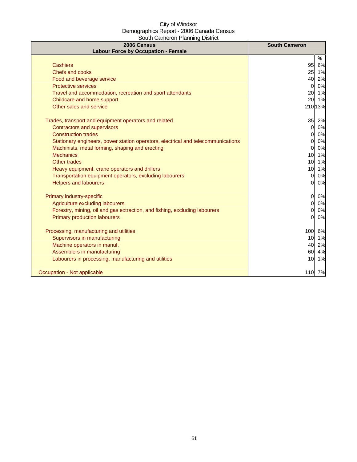| 2006 Census<br><b>Labour Force by Occupation - Female</b>                        | <b>South Cameron</b>  |
|----------------------------------------------------------------------------------|-----------------------|
|                                                                                  | %                     |
| <b>Cashiers</b>                                                                  | 95<br>6%              |
| Chefs and cooks                                                                  | 25 1%                 |
| Food and beverage service                                                        | 2%<br>40              |
| <b>Protective services</b>                                                       | 0%<br>$\mathbf{0}$    |
| Travel and accommodation, recreation and sport attendants                        | 20<br>1%              |
| Childcare and home support                                                       | 20<br>1%              |
| Other sales and service                                                          | 210 13%               |
| Trades, transport and equipment operators and related                            | 35<br>2%              |
| <b>Contractors and supervisors</b>                                               | 0%<br>0l              |
| <b>Construction trades</b>                                                       | 0%<br>O               |
| Stationary engineers, power station operators, electrical and telecommunications | 0%<br><sub>O</sub>    |
| Machinists, metal forming, shaping and erecting                                  | 0%<br>0l              |
| <b>Mechanics</b>                                                                 | 10 1%                 |
| Other trades                                                                     | 10 <sup>1</sup><br>1% |
| Heavy equipment, crane operators and drillers                                    | 1%<br>10              |
| Transportation equipment operators, excluding labourers                          | 0%<br>$\mathbf{0}$    |
| <b>Helpers and labourers</b>                                                     | 0%<br>Ol              |
| Primary industry-specific                                                        | $\overline{O}$<br>0%  |
| Agriculture excluding labourers                                                  | 0%<br>0l              |
| Forestry, mining, oil and gas extraction, and fishing, excluding labourers       | 0%<br>O.              |
| <b>Primary production labourers</b>                                              | 0%<br>O.              |
| Processing, manufacturing and utilities                                          | 100<br>6%             |
| Supervisors in manufacturing                                                     | 10 1%                 |
| Machine operators in manuf.                                                      | 40<br>2%              |
| Assemblers in manufacturing                                                      | 4%<br>60              |
| Labourers in processing, manufacturing and utilities                             | 10<br>1%              |
| Occupation - Not applicable                                                      | 110 7%                |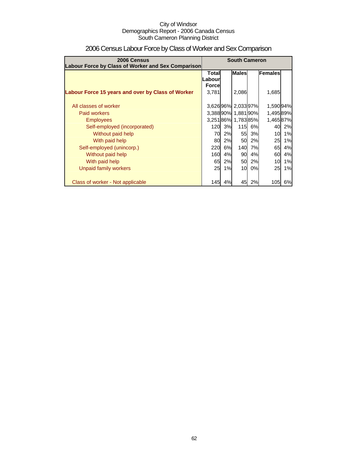| 2006 Census                                        | <b>South Cameron</b>                    |    |                   |    |           |    |
|----------------------------------------------------|-----------------------------------------|----|-------------------|----|-----------|----|
| Labour Force by Class of Worker and Sex Comparison | <b>Males</b><br>Females<br><b>Total</b> |    |                   |    |           |    |
|                                                    | .abour                                  |    |                   |    |           |    |
|                                                    | <b>Force</b>                            |    |                   |    |           |    |
| Labour Force 15 years and over by Class of Worker  | 3,781                                   |    | 2,086             |    | 1,685     |    |
|                                                    |                                         |    |                   |    |           |    |
| All classes of worker                              |                                         |    | 3,62696% 2,03397% |    | 1,590 94% |    |
| <b>Paid workers</b>                                |                                         |    | 3,38890% 1,88190% |    | 1,49589%  |    |
| <b>Employees</b>                                   |                                         |    | 3,25186% 1,78385% |    | 1,46587%  |    |
| Self-employed (incorporated)                       | 120 <sub>l</sub>                        | 3% | 115               | 6% | 40        | 2% |
| Without paid help                                  | 70l                                     | 2% | 55                | 3% | 10        | 1% |
| With paid help                                     | <b>80</b>                               | 2% | 50                | 2% | 25        | 1% |
| Self-employed (unincorp.)                          | 220                                     | 6% | <b>140</b>        | 7% | 65        | 4% |
| Without paid help                                  | 160                                     | 4% | 90                | 4% | 60        | 4% |
| With paid help                                     | 65                                      | 2% | 50                | 2% | 10        | 1% |
| Unpaid family workers                              | 25                                      | 1% | 10                | 0% | 25        | 1% |
|                                                    |                                         |    |                   |    |           |    |
| Class of worker - Not applicable                   | 145                                     | 4% | 45                | 2% | 105       | 6% |

# 2006 Census Labour Force by Class of Worker and Sex Comparison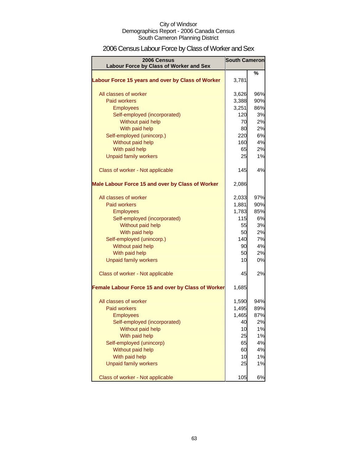# 2006 Census Labour Force by Class of Worker and Sex

| 2006 Census                                        |       | <b>South Cameron</b> |
|----------------------------------------------------|-------|----------------------|
| Labour Force by Class of Worker and Sex            |       |                      |
| Labour Force 15 years and over by Class of Worker  | 3,781 | %                    |
| All classes of worker                              | 3,626 | 96%                  |
| <b>Paid workers</b>                                | 3,388 | 90%                  |
| <b>Employees</b>                                   | 3,251 | 86%                  |
| Self-employed (incorporated)                       | 120   | 3%                   |
| Without paid help                                  | 70    | 2%                   |
| With paid help                                     | 80    | 2%                   |
| Self-employed (unincorp.)                          | 220   | 6%                   |
| Without paid help                                  | 160   | 4%                   |
| With paid help                                     | 65    | 2%                   |
| <b>Unpaid family workers</b>                       | 25    | 1%                   |
| Class of worker - Not applicable                   | 145   | 4%                   |
| Male Labour Force 15 and over by Class of Worker   | 2,086 |                      |
| All classes of worker                              | 2,033 | 97%                  |
| <b>Paid workers</b>                                | 1,881 | 90%                  |
| <b>Employees</b>                                   | 1,783 | 85%                  |
| Self-employed (incorporated)                       | 115   | 6%                   |
| Without paid help                                  | 55    | 3%                   |
| With paid help                                     | 50    | 2%                   |
| Self-employed (unincorp.)                          | 140   | 7%                   |
| Without paid help                                  | 90    | 4%                   |
| With paid help                                     | 50    | 2%                   |
| <b>Unpaid family workers</b>                       | 10    | 0%                   |
| Class of worker - Not applicable                   | 45    | 2%                   |
| Female Labour Force 15 and over by Class of Worker | 1,685 |                      |
| All classes of worker                              | 1,590 | 94%                  |
| <b>Paid workers</b>                                | 1,495 | 89%                  |
| <b>Employees</b>                                   | 1,465 | 87%                  |
| Self-employed (incorporated)                       | 40    | 2%                   |
| Without paid help                                  | 10    | 1%                   |
| With paid help                                     | 25    | 1%                   |
| Self-employed (unincorp)                           | 65    | 4%                   |
| Without paid help                                  | 60    | 4%                   |
| With paid help                                     | 10    | 1%                   |
| <b>Unpaid family workers</b>                       | 25    | 1%                   |
| Class of worker - Not applicable                   | 105   | 6%                   |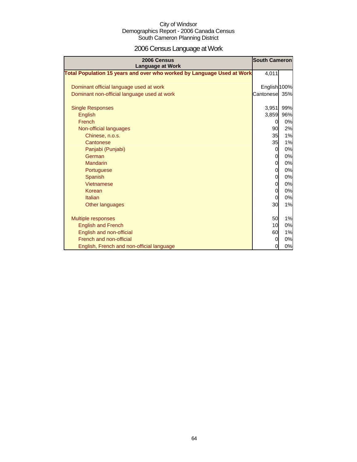# 2006 Census Language at Work

| 2006 Census<br><b>Language at Work</b>                                 | <b>South Cameron</b> |     |
|------------------------------------------------------------------------|----------------------|-----|
| Total Population 15 years and over who worked by Language Used at Work | 4,011                |     |
| Dominant official language used at work                                | English 100%         |     |
| Dominant non-official language used at work                            | Cantonese            | 35% |
| <b>Single Responses</b>                                                | 3,951                | 99% |
| <b>English</b>                                                         | 3,859                | 96% |
| French                                                                 | 0                    | 0%  |
| Non-official languages                                                 | 90                   | 2%  |
| Chinese, n.o.s.                                                        | 35                   | 1%  |
| Cantonese                                                              | 35                   | 1%  |
| Panjabi (Punjabi)                                                      | 0                    | 0%  |
| German                                                                 | $\overline{0}$       | 0%  |
| Mandarin                                                               | $\mathbf 0$          | 0%  |
| Portuguese                                                             | $\mathbf 0$          | 0%  |
| Spanish                                                                | $\overline{0}$       | 0%  |
| Vietnamese                                                             | $\mathbf 0$          | 0%  |
| Korean                                                                 | 0                    | 0%  |
| Italian                                                                | $\mathbf 0$          | 0%  |
| Other languages                                                        | 30                   | 1%  |
| <b>Multiple responses</b>                                              | 50                   | 1%  |
| <b>English and French</b>                                              | 10                   | 0%  |
| English and non-official                                               | 60                   | 1%  |
| French and non-official                                                | 0                    | 0%  |
| English, French and non-official language                              | 0                    | 0%  |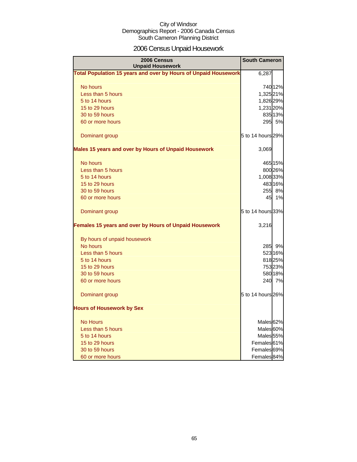# 2006 Census Unpaid Housework

| 2006 Census<br><b>Unpaid Housework</b>                                 | <b>South Cameron</b>   |         |
|------------------------------------------------------------------------|------------------------|---------|
| <b>Total Population 15 years and over by Hours of Unpaid Housework</b> | 6,287                  |         |
| No hours                                                               |                        | 740 12% |
| Less than 5 hours                                                      | 1,325 21%              |         |
| 5 to 14 hours                                                          | 1,826 29%              |         |
| 15 to 29 hours                                                         | 1,231 20%              |         |
| 30 to 59 hours                                                         |                        | 835 13% |
| 60 or more hours                                                       |                        | 295 5%  |
| Dominant group                                                         | 5 to 14 hours 29%      |         |
| Males 15 years and over by Hours of Unpaid Housework                   | 3,069                  |         |
| No hours                                                               |                        | 465 15% |
| Less than 5 hours                                                      |                        | 800 26% |
| 5 to 14 hours                                                          | 1,008 33%              |         |
| 15 to 29 hours                                                         |                        | 483 16% |
| 30 to 59 hours                                                         |                        | 255 8%  |
| 60 or more hours                                                       | 45                     | 1%      |
| Dominant group                                                         | 5 to 14 hours 33%      |         |
| Females 15 years and over by Hours of Unpaid Housework                 | 3,216                  |         |
| By hours of unpaid housework                                           |                        |         |
| No hours                                                               |                        | 285 9%  |
| Less than 5 hours                                                      |                        | 523 16% |
| 5 to 14 hours                                                          |                        | 818 25% |
| 15 to 29 hours                                                         |                        | 753 23% |
| 30 to 59 hours                                                         |                        | 580 18% |
| 60 or more hours                                                       |                        | 240 7%  |
| Dominant group                                                         | 5 to 14 hours 26%      |         |
| <b>Hours of Housework by Sex</b>                                       |                        |         |
| <b>No Hours</b>                                                        | Males <sup>62%</sup>   |         |
| Less than 5 hours                                                      | Males <sup>60%</sup>   |         |
| 5 to 14 hours                                                          | Males <sub>55</sub> %  |         |
| 15 to 29 hours                                                         | Females <sup>61%</sup> |         |
| 30 to 59 hours                                                         | Females 69%            |         |
| 60 or more hours                                                       | Females <sup>84%</sup> |         |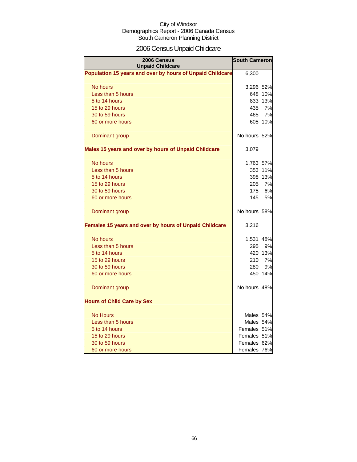# 2006 Census Unpaid Childcare

| <b>2006 Census</b><br><b>Unpaid Childcare</b>             | <b>South Cameron</b> |         |
|-----------------------------------------------------------|----------------------|---------|
| Population 15 years and over by hours of Unpaid Childcare | 6,300                |         |
| No hours                                                  | 3,296 52%            |         |
| Less than 5 hours                                         | 648                  | 10%     |
| 5 to 14 hours                                             | 833                  | 13%     |
| 15 to 29 hours                                            | 435                  | 7%      |
| 30 to 59 hours                                            | 465                  | 7%      |
| 60 or more hours                                          | 605                  | 10%     |
| Dominant group                                            | No hours 52%         |         |
| Males 15 years and over by hours of Unpaid Childcare      | 3,079                |         |
| No hours                                                  | 1,763 57%            |         |
| Less than 5 hours                                         | 353                  | 11%     |
| 5 to 14 hours                                             | 398                  | 13%     |
| 15 to 29 hours                                            | 205                  | 7%      |
| 30 to 59 hours                                            | <b>175</b>           | 6%      |
| 60 or more hours                                          | 145                  | 5%      |
| Dominant group                                            | No hours 58%         |         |
| Females 15 years and over by hours of Unpaid Childcare    | 3,216                |         |
| No hours                                                  | 1,531                | 48%     |
| Less than 5 hours                                         | 295                  | 9%      |
| 5 to 14 hours                                             |                      | 420 13% |
| 15 to 29 hours                                            | 210                  | 7%      |
| 30 to 59 hours                                            | 280                  | 9%      |
| 60 or more hours                                          | 450                  | 14%     |
| Dominant group                                            | No hours 48%         |         |
| <b>Hours of Child Care by Sex</b>                         |                      |         |
| <b>No Hours</b>                                           | Males 54%            |         |
| Less than 5 hours                                         | Males 54%            |         |
| 5 to 14 hours                                             | Females 51%          |         |
| 15 to 29 hours                                            | Females 51%          |         |
| 30 to 59 hours                                            | Females              | 62%     |
| 60 or more hours                                          | Females 76%          |         |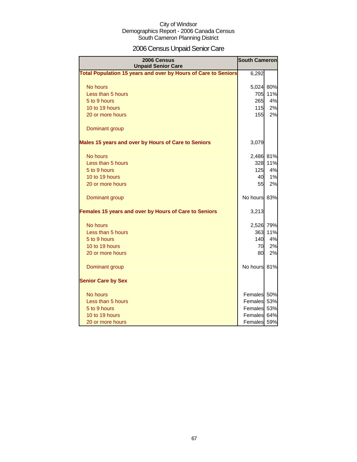# 2006 Census Unpaid Senior Care

| 2006 Census<br><b>Unpaid Senior Care</b>                       | <b>South Cameron</b> |           |
|----------------------------------------------------------------|----------------------|-----------|
| Total Population 15 years and over by Hours of Care to Seniors |                      | 6,292     |
| No hours                                                       |                      | 5,024 80% |
| Less than 5 hours                                              |                      | 705 11%   |
| 5 to 9 hours                                                   | 265                  | 4%        |
| 10 to 19 hours                                                 | 115                  | 2%        |
| 20 or more hours                                               | 155                  | 2%        |
| Dominant group                                                 |                      |           |
| Males 15 years and over by Hours of Care to Seniors            | 3,079                |           |
| No hours                                                       |                      | 2,486 81% |
| Less than 5 hours                                              | 328                  | 11%       |
| 5 to 9 hours                                                   | 125                  | 4%        |
| 10 to 19 hours                                                 | 40                   | 1%        |
| 20 or more hours                                               | 55                   | 2%        |
| Dominant group                                                 | No hours 83%         |           |
| Females 15 years and over by Hours of Care to Seniors          | 3,213                |           |
| No hours                                                       | 2,526 79%            |           |
| Less than 5 hours                                              | 363                  | 11%       |
| 5 to 9 hours                                                   | 140                  | 4%        |
| 10 to 19 hours                                                 | 70                   | 2%        |
| 20 or more hours                                               | 80                   | 2%        |
| Dominant group                                                 | No hours 81%         |           |
| <b>Senior Care by Sex</b>                                      |                      |           |
| No hours                                                       | Females 50%          |           |
| Less than 5 hours                                              | Females 53%          |           |
| 5 to 9 hours                                                   | Females 53%          |           |
| 10 to 19 hours                                                 | Females 64%          |           |
| 20 or more hours                                               | Females 59%          |           |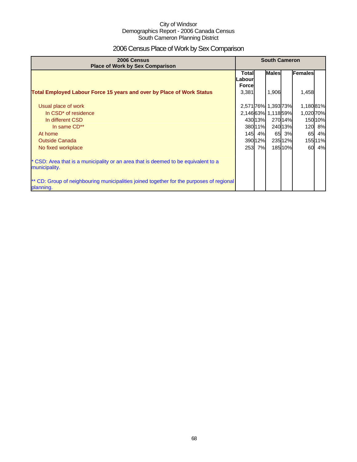# 2006 Census Place of Work by Sex Comparison

| 2006 Census<br><b>Place of Work by Sex Comparison</b>                                                 | <b>South Cameron</b>              |         |                     |         |           |         |
|-------------------------------------------------------------------------------------------------------|-----------------------------------|---------|---------------------|---------|-----------|---------|
|                                                                                                       | Total<br>Labourl<br><b>Forcel</b> |         | <b>Males</b>        |         | Females   |         |
| Total Employed Labour Force 15 years and over by Place of Work Status                                 | 3,381                             |         | 1,906               |         | 1,458     |         |
| Usual place of work                                                                                   |                                   |         | 2,571 76% 1,393 73% |         | 1,18081%  |         |
| In CSD <sup>*</sup> of residence                                                                      |                                   |         | 2,14663% 1,11859%   |         | 1,020 70% |         |
| In different CSD                                                                                      |                                   | 43013%  |                     | 27014%  |           | 150 10% |
| In same CD**                                                                                          |                                   | 38011%  |                     | 24013%  |           | 120 8%  |
| At home                                                                                               |                                   | 145 4%  | 65                  | 3%      | 65        | 4%      |
| <b>Outside Canada</b>                                                                                 |                                   | 390 12% |                     | 23512%  |           | 155 11% |
| No fixed workplace                                                                                    | 253                               | 7%      |                     | 185 10% | 60        | 4%      |
| * CSD: Area that is a municipality or an area that is deemed to be equivalent to a<br>municipality.   |                                   |         |                     |         |           |         |
| ** CD: Group of neighbouring municipalities joined together for the purposes of regional<br>planning. |                                   |         |                     |         |           |         |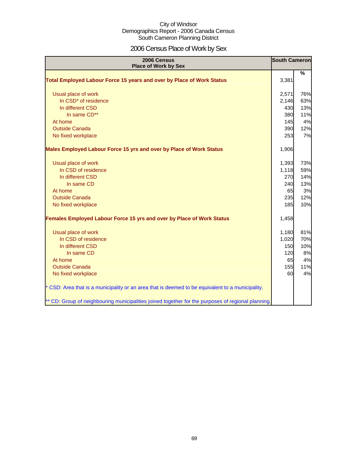# 2006 Census Place of Work by Sex

| 2006 Census<br><b>Place of Work by Sex</b>                                                         | <b>South Cameron</b> |               |
|----------------------------------------------------------------------------------------------------|----------------------|---------------|
| Total Employed Labour Force 15 years and over by Place of Work Status                              | 3,381                | $\frac{9}{6}$ |
| Usual place of work                                                                                | 2,571                | 76%           |
| In CSD <sup>*</sup> of residence                                                                   | 2,146                | 63%           |
| In different CSD                                                                                   | 430                  | 13%           |
| In same CD**                                                                                       | 380                  | 11%           |
| At home                                                                                            | 145                  | 4%            |
| <b>Outside Canada</b>                                                                              | 390                  | 12%           |
| No fixed workplace                                                                                 | 253                  | 7%            |
| Males Employed Labour Force 15 yrs and over by Place of Work Status                                | 1,906                |               |
| Usual place of work                                                                                | 1,393                | 73%           |
| In CSD of residence                                                                                | 1,118                | 59%           |
| In different CSD                                                                                   | 270                  | 14%           |
| In same CD                                                                                         | 240                  | 13%           |
| At home                                                                                            | 65                   | 3%            |
| <b>Outside Canada</b>                                                                              | 235                  | 12%           |
| No fixed workplace                                                                                 | 185                  | 10%           |
| Females Employed Labour Force 15 yrs and over by Place of Work Status                              | 1,458                |               |
| Usual place of work                                                                                | 1,180                | 81%           |
| In CSD of residence                                                                                | 1,020                | 70%           |
| In different CSD                                                                                   | 150                  | 10%           |
| In same CD                                                                                         | 120                  | 8%            |
| At home                                                                                            | 65                   | 4%            |
| <b>Outside Canada</b>                                                                              | 155                  | 11%           |
| No fixed workplace                                                                                 | 60                   | 4%            |
| * CSD: Area that is a municipality or an area that is deemed to be equivalent to a municipality.   |                      |               |
| ** CD: Group of neighbouring municipalities joined together for the purposes of regional planning. |                      |               |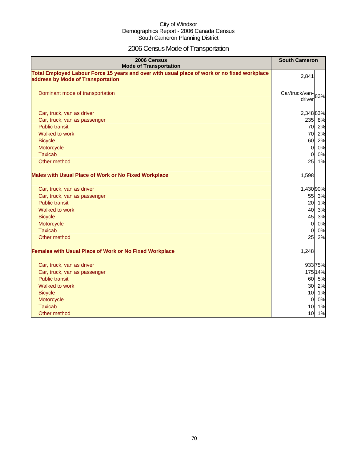# 2006 Census Mode of Transportation

| 2006 Census<br><b>Mode of Transportation</b>                                                                                      | <b>South Cameron</b>        |
|-----------------------------------------------------------------------------------------------------------------------------------|-----------------------------|
| Total Employed Labour Force 15 years and over with usual place of work or no fixed workplace<br>address by Mode of Transportation | 2,841                       |
| Dominant mode of transportation                                                                                                   | Car/truck/van-83%<br>driver |
| Car, truck, van as driver                                                                                                         | 2,348 83%                   |
| Car, truck, van as passenger                                                                                                      | 235 8%                      |
| <b>Public transit</b>                                                                                                             | 70 2%                       |
| Walked to work                                                                                                                    | 70<br>2%                    |
| <b>Bicycle</b>                                                                                                                    | 60<br>2%                    |
| Motorcycle                                                                                                                        | 0%<br>$\overline{0}$        |
| <b>Taxicab</b>                                                                                                                    | 0%<br>$\Omega$              |
| Other method                                                                                                                      | 25<br>1%                    |
| <b>Males with Usual Place of Work or No Fixed Workplace</b>                                                                       | 1,598                       |
| Car, truck, van as driver                                                                                                         | 1,430 90%                   |
| Car, truck, van as passenger                                                                                                      | 55 3%                       |
| <b>Public transit</b>                                                                                                             | 20 1%                       |
| Walked to work                                                                                                                    | 40<br>3%                    |
| <b>Bicycle</b>                                                                                                                    | 45<br>3%                    |
| Motorcycle                                                                                                                        | $\overline{0}$<br>0%        |
| <b>Taxicab</b>                                                                                                                    | 0%<br>$\Omega$              |
| Other method                                                                                                                      | 25<br>2%                    |
| <b>Females with Usual Place of Work or No Fixed Workplace</b>                                                                     | 1,248                       |
| Car, truck, van as driver                                                                                                         | 933 75%                     |
| Car, truck, van as passenger                                                                                                      | 175 14%                     |
| <b>Public transit</b>                                                                                                             | 60 5%                       |
| Walked to work                                                                                                                    | 30 2%                       |
| <b>Bicycle</b>                                                                                                                    | 10 1%                       |
| Motorcycle                                                                                                                        | $\overline{0}$<br>0%        |
| <b>Taxicab</b>                                                                                                                    | 10 1%                       |
| Other method                                                                                                                      | 10 1%                       |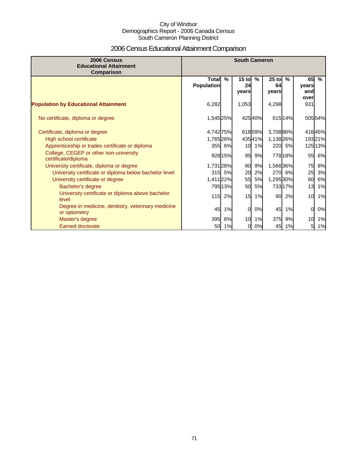# 2006 Census Educational Attainment Comparison

| 2006 Census<br><b>Educational Attainment</b><br>Comparison         | <b>South Cameron</b>              |               |                        |               |                        |         |                            |               |
|--------------------------------------------------------------------|-----------------------------------|---------------|------------------------|---------------|------------------------|---------|----------------------------|---------------|
|                                                                    | <b>Total</b><br><b>Population</b> | $\frac{9}{6}$ | $15$ to<br>24<br>vears | $\frac{9}{6}$ | $25$ to<br>64<br>years | $\%$    | 65<br>years<br>and<br>over | $\frac{9}{6}$ |
| <b>Population by Educational Attainment</b>                        | 6,282                             |               | 1,053                  |               | 4,298                  |         | 931                        |               |
| No certificate, diploma or degree                                  | 1,545 25%                         |               |                        | 42540%        |                        | 615 14% |                            | 50554%        |
| Certificate, diploma or degree                                     | 4,742 75%                         |               |                        | 61859%        | 3,708 86%              |         |                            | 41645%        |
| High school certificate                                            | 1,765 28%                         |               |                        | 43541%        | 1,138 26%              |         |                            | 19321%        |
| Apprenticeship or trades certificate or diploma                    |                                   | 355 6%        | 10                     | 1%            |                        | 220 5%  |                            | 125 13%       |
| College, CEGEP or other non-university<br>certificate/diploma      |                                   | 928 15%       | 95                     | 9%            |                        | 778 18% | 55                         | 6%            |
| University certificate, diploma or degree                          | 1,731 28%                         |               | 90                     | 9%            | 1,566 36%              |         | 75                         | 8%            |
| University certificate or diploma below bachelor level             | 315                               | 5%            | 20                     | 2%            |                        | 270 6%  | 25                         | 3%            |
| University certificate or degree                                   | 1,411 22%                         |               | 55                     | 5%            | 1,295 30%              |         | 60                         | 6%            |
| Bachelor's degree                                                  |                                   | 79513%        | 50                     | 5%            |                        | 733 17% | 13                         | 1%            |
| University certificate or diploma above bachelor<br>level          | 115                               | 2%            | 15                     | 1%            | 90                     | 2%      | 10                         | 1%            |
| Degree in medicine, dentistry, veterinary medicine<br>or optometry | 45                                | 1%            | $\Omega$               | 0%            | 45                     | 1%      | $\overline{0}$             | 0%            |
| Master's degree                                                    | 395                               | 6%            | 10                     | 1%            | 375                    | 9%      | 10                         | 1%            |
| <b>Earned doctorate</b>                                            | 50                                | 1%            | 0                      | 0%            | 45                     | 1%      | 51                         | 1%            |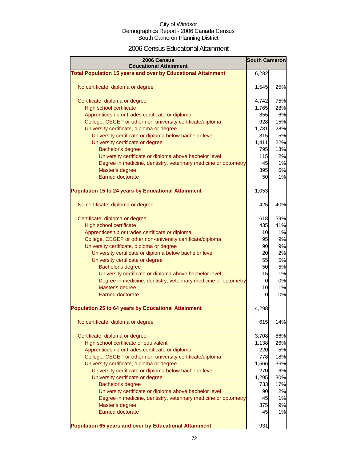### 2006 Census Educational Attainment

| 2006 Census<br><b>Educational Attainment</b>                        | <b>South Cameron</b> |     |
|---------------------------------------------------------------------|----------------------|-----|
| <b>Total Population 15 years and over by Educational Attainment</b> | 6,282                |     |
|                                                                     |                      |     |
| No certificate, diploma or degree                                   | 1,545                | 25% |
| Certificate, diploma or degree                                      | 4,742                | 75% |
| High school certificate                                             | 1,765                | 28% |
| Apprenticeship or trades certificate or diploma                     | 355                  | 6%  |
| College, CEGEP or other non-university certificate/diploma          | 928                  | 15% |
| University certificate, diploma or degree                           | 1,731                | 28% |
| University certificate or diploma below bachelor level              | 315                  | 5%  |
| University certificate or degree                                    | 1,411                | 22% |
| Bachelor's degree                                                   | 795                  | 13% |
| University certificate or diploma above bachelor level              | 115                  | 2%  |
| Degree in medicine, dentistry, veterinary medicine or optometry     | 45                   | 1%  |
| Master's degree                                                     | 395                  | 6%  |
| <b>Earned doctorate</b>                                             | 50                   | 1%  |
| <b>Population 15 to 24 years by Educational Attainment</b>          | 1,053                |     |
|                                                                     |                      |     |
| No certificate, diploma or degree                                   | 425                  | 40% |
| Certificate, diploma or degree                                      | 618                  | 59% |
| High school certificate                                             | 435                  | 41% |
| Apprenticeship or trades certificate or diploma                     | 10                   | 1%  |
| College, CEGEP or other non-university certificate/diploma          | 95                   | 9%  |
| University certificate, diploma or degree                           | 90                   | 9%  |
| University certificate or diploma below bachelor level              | 20                   | 2%  |
| University certificate or degree                                    | 55                   | 5%  |
| Bachelor's degree                                                   | 50                   | 5%  |
| University certificate or diploma above bachelor level              | 15                   | 1%  |
| Degree in medicine, dentistry, veterinary medicine or optometry     | 0                    | 0%  |
| Master's degree                                                     | 10                   | 1%  |
| <b>Earned doctorate</b>                                             | 0                    | 0%  |
| Population 25 to 64 years by Educational Attainment                 | 4,298                |     |
| No certificate, diploma or degree                                   | 615                  | 14% |
| Certificate, diploma or degree                                      | 3,708                | 86% |
| High school certificate or equivalent                               | 1,138                | 26% |
| Apprenticeship or trades certificate or diploma                     | 220                  | 5%  |
| College, CEGEP or other non-university certificate/diploma          | 778                  | 18% |
| University certificate, diploma or degree                           | 1,566                | 36% |
| University certificate or diploma below bachelor level              | 270                  | 6%  |
| University certificate or degree                                    | 1,295                | 30% |
| Bachelor's degree                                                   | 733                  | 17% |
| University certificate or diploma above bachelor level              | 90                   | 2%  |
| Degree in medicine, dentistry, veterinary medicine or optometry     | 45                   | 1%  |
| Master's degree                                                     | 375                  | 9%  |
| Earned doctorate                                                    | 45                   | 1%  |
| Population 65 years and over by Educational Attainment              | 931                  |     |
|                                                                     |                      |     |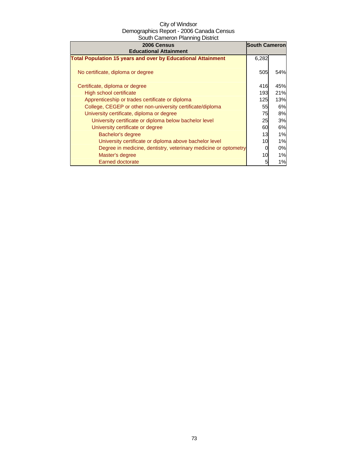| 2006 Census<br><b>Educational Attainment</b>                        | <b>South Cameron</b> |           |
|---------------------------------------------------------------------|----------------------|-----------|
| <b>Total Population 15 years and over by Educational Attainment</b> | 6,282                |           |
| No certificate, diploma or degree                                   | 505                  | 54%       |
| Certificate, diploma or degree                                      | 416                  | 45%       |
| High school certificate                                             | 193                  | 21%       |
| Apprenticeship or trades certificate or diploma                     | 125                  | 13%       |
| College, CEGEP or other non-university certificate/diploma          | 55                   | 6%        |
| University certificate, diploma or degree                           | 75                   | <b>8%</b> |
| University certificate or diploma below bachelor level              | 25                   | 3%        |
| University certificate or degree                                    | 60                   | 6%        |
| Bachelor's degree                                                   | 13                   | 1%        |
| University certificate or diploma above bachelor level              | 10                   | 1%        |
| Degree in medicine, dentistry, veterinary medicine or optometry     |                      | 0%        |
| Master's degree                                                     | 10                   | 1%        |
| <b>Earned doctorate</b>                                             | 5                    | 1%        |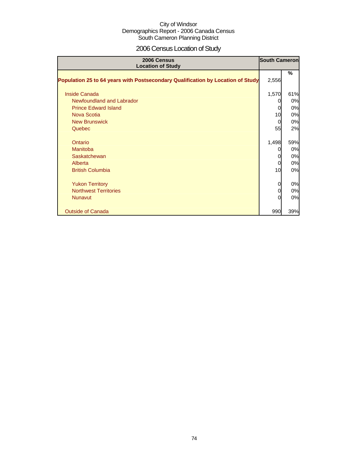# 2006 Census Location of Study

| 2006 Census<br><b>Location of Study</b>                                         | <b>South Cameron</b> |     |
|---------------------------------------------------------------------------------|----------------------|-----|
| Population 25 to 64 years with Postsecondary Qualification by Location of Study | 2,556                | %   |
|                                                                                 |                      |     |
| Inside Canada                                                                   | 1,570                | 61% |
| Newfoundland and Labrador                                                       |                      | 0%  |
| <b>Prince Edward Island</b>                                                     | 0                    | 0%  |
| <b>Nova Scotia</b>                                                              | 10                   | 0%  |
| <b>New Brunswick</b>                                                            | $\Omega$             | 0%  |
| Quebec                                                                          | 55                   | 2%  |
|                                                                                 |                      |     |
| Ontario                                                                         | 1,498                | 59% |
| Manitoba                                                                        |                      | 0%  |
| Saskatchewan                                                                    |                      | 0%  |
| Alberta                                                                         | 0                    | 0%  |
| <b>British Columbia</b>                                                         | 10                   | 0%  |
|                                                                                 |                      |     |
| <b>Yukon Territory</b>                                                          | 0                    | 0%  |
| <b>Northwest Territories</b>                                                    | 0                    | 0%  |
| <b>Nunavut</b>                                                                  | O                    | 0%  |
| <b>Outside of Canada</b>                                                        | 990                  | 39% |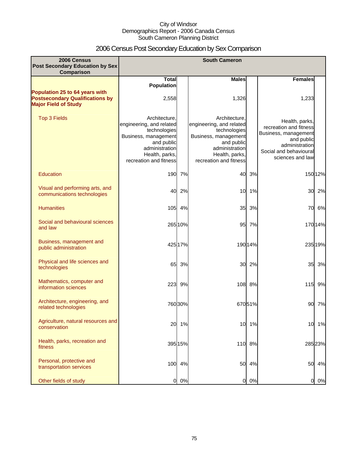# 2006 Census Post Secondary Education by Sex Comparison

| 2006 Census<br>Post Secondary Education by Sex                                                          |                                                                                                                                                               |         | <b>South Cameron</b>                                                                                                                                          |         |                                                                                                                                                |         |
|---------------------------------------------------------------------------------------------------------|---------------------------------------------------------------------------------------------------------------------------------------------------------------|---------|---------------------------------------------------------------------------------------------------------------------------------------------------------------|---------|------------------------------------------------------------------------------------------------------------------------------------------------|---------|
| Comparison                                                                                              |                                                                                                                                                               |         |                                                                                                                                                               |         |                                                                                                                                                |         |
|                                                                                                         | <b>Total</b><br><b>Population</b>                                                                                                                             |         | <b>Males</b>                                                                                                                                                  |         | <b>Females</b>                                                                                                                                 |         |
| Population 25 to 64 years with<br><b>Postsecondary Qualifications by</b><br><b>Major Field of Study</b> | 2,558                                                                                                                                                         |         | 1,326                                                                                                                                                         |         | 1,233                                                                                                                                          |         |
| <b>Top 3 Fields</b>                                                                                     | Architecture.<br>engineering, and related<br>technologies<br>Business, management<br>and public<br>administration<br>Health, parks,<br>recreation and fitness |         | Architecture.<br>engineering, and related<br>technologies<br>Business, management<br>and public<br>administration<br>Health, parks,<br>recreation and fitness |         | Health, parks,<br>recreation and fitness<br>Business, management<br>and public<br>administration<br>Social and behavioural<br>sciences and law |         |
| Education                                                                                               | 190                                                                                                                                                           | 7%      | 40                                                                                                                                                            | 3%      |                                                                                                                                                | 150 12% |
| Visual and performing arts, and<br>communications technologies                                          | 40                                                                                                                                                            | 2%      | 10                                                                                                                                                            | 1%      | 30                                                                                                                                             | 2%      |
| <b>Humanities</b>                                                                                       | 105                                                                                                                                                           | 4%      | 35                                                                                                                                                            | 3%      | 70                                                                                                                                             | 6%      |
| Social and behavioural sciences<br>and law                                                              |                                                                                                                                                               | 265 10% | 95                                                                                                                                                            | 7%      |                                                                                                                                                | 170 14% |
| Business, management and<br>public administration                                                       |                                                                                                                                                               | 425 17% |                                                                                                                                                               | 190 14% |                                                                                                                                                | 235 19% |
| Physical and life sciences and<br>technologies                                                          | 65                                                                                                                                                            | 3%      | 30                                                                                                                                                            | 2%      | 35                                                                                                                                             | 3%      |
| Mathematics, computer and<br>information sciences                                                       | 223                                                                                                                                                           | 9%      | 108                                                                                                                                                           | 8%      | 115                                                                                                                                            | 9%      |
| Architecture, engineering, and<br>related technologies                                                  |                                                                                                                                                               | 760 30% |                                                                                                                                                               | 67051%  | 90                                                                                                                                             | 7%      |
| Agriculture, natural resources and<br>conservation                                                      | 20                                                                                                                                                            | 1%      | 10                                                                                                                                                            | 1%      | 10                                                                                                                                             | 1%      |
| Health, parks, recreation and<br>fitness                                                                |                                                                                                                                                               | 395 15% |                                                                                                                                                               | 110 8%  |                                                                                                                                                | 285 23% |
| Personal, protective and<br>transportation services                                                     |                                                                                                                                                               | 100 4%  | 50                                                                                                                                                            | 4%      | 50                                                                                                                                             | 4%      |
| Other fields of study                                                                                   | $\overline{a}$                                                                                                                                                | 0%      | $\overline{0}$                                                                                                                                                | 0%      | 0                                                                                                                                              | 0%      |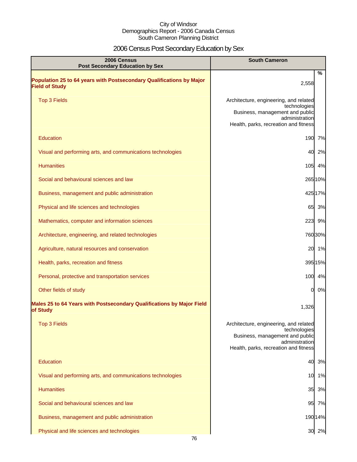# 2006 Census Post Secondary Education by Sex

| 2006 Census<br><b>Post Secondary Education by Sex</b>                                         | <b>South Cameron</b>                                                                                                                                 |
|-----------------------------------------------------------------------------------------------|------------------------------------------------------------------------------------------------------------------------------------------------------|
| Population 25 to 64 years with Postsecondary Qualifications by Major<br><b>Field of Study</b> | %<br>2,558                                                                                                                                           |
| <b>Top 3 Fields</b>                                                                           | Architecture, engineering, and related<br>technologies<br>Business, management and public<br>administration<br>Health, parks, recreation and fitness |
| <b>Education</b>                                                                              | 190<br>7%                                                                                                                                            |
| Visual and performing arts, and communications technologies                                   | 40<br>2%                                                                                                                                             |
| <b>Humanities</b>                                                                             | 105 4%                                                                                                                                               |
| Social and behavioural sciences and law                                                       | 265 10%                                                                                                                                              |
| Business, management and public administration                                                | 42517%                                                                                                                                               |
| Physical and life sciences and technologies                                                   | 65 3%                                                                                                                                                |
| Mathematics, computer and information sciences                                                | 223 9%                                                                                                                                               |
| Architecture, engineering, and related technologies                                           | 76030%                                                                                                                                               |
| Agriculture, natural resources and conservation                                               | 20 1%                                                                                                                                                |
| Health, parks, recreation and fitness                                                         | 395 15%                                                                                                                                              |
| Personal, protective and transportation services                                              | 100 4%                                                                                                                                               |
| Other fields of study                                                                         | 0%<br>$\mathbf{0}$                                                                                                                                   |
| Males 25 to 64 Years with Postsecondary Qualifications by Major Field<br>of Study             | 1,326                                                                                                                                                |
| <b>Top 3 Fields</b>                                                                           | Architecture, engineering, and related<br>technologies<br>Business, management and public<br>administration<br>Health, parks, recreation and fitness |
| Education                                                                                     | 3%<br>40                                                                                                                                             |
| Visual and performing arts, and communications technologies                                   | 1%<br>10                                                                                                                                             |
| <b>Humanities</b>                                                                             | 35<br>3%                                                                                                                                             |
| Social and behavioural sciences and law                                                       | 95<br>7%                                                                                                                                             |
| Business, management and public administration                                                | 19014%                                                                                                                                               |
| Physical and life sciences and technologies                                                   | 30 2%                                                                                                                                                |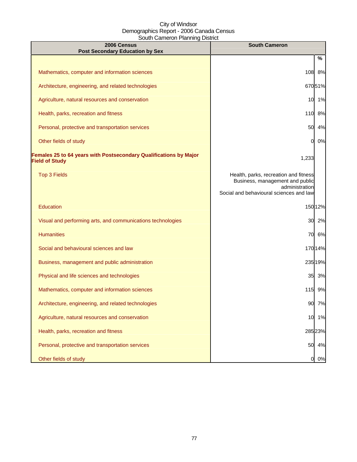| 2006 Census<br><b>Post Secondary Education by Sex</b>                                      | <b>South Cameron</b>                                                                                                                  |
|--------------------------------------------------------------------------------------------|---------------------------------------------------------------------------------------------------------------------------------------|
|                                                                                            | %                                                                                                                                     |
| Mathematics, computer and information sciences                                             | 108<br>8%                                                                                                                             |
| Architecture, engineering, and related technologies                                        | 67051%                                                                                                                                |
| Agriculture, natural resources and conservation                                            | 1%<br>10                                                                                                                              |
| Health, parks, recreation and fitness                                                      | 8%<br>110                                                                                                                             |
| Personal, protective and transportation services                                           | 50<br>4%                                                                                                                              |
| Other fields of study                                                                      | 0%<br>0                                                                                                                               |
| Females 25 to 64 years with Postsecondary Qualifications by Major<br><b>Field of Study</b> | 1,233                                                                                                                                 |
| <b>Top 3 Fields</b>                                                                        | Health, parks, recreation and fitness<br>Business, management and public<br>administration<br>Social and behavioural sciences and law |
| Education                                                                                  | 15012%                                                                                                                                |
| Visual and performing arts, and communications technologies                                | 30<br>2%                                                                                                                              |
| <b>Humanities</b>                                                                          | 6%<br>70                                                                                                                              |
| Social and behavioural sciences and law                                                    | 17014%                                                                                                                                |
| Business, management and public administration                                             | 23519%                                                                                                                                |
| Physical and life sciences and technologies                                                | 35 3%                                                                                                                                 |
| Mathematics, computer and information sciences                                             | 115 9%                                                                                                                                |
| Architecture, engineering, and related technologies                                        | 90<br>7%                                                                                                                              |
| Agriculture, natural resources and conservation                                            | 1%<br>10                                                                                                                              |
| Health, parks, recreation and fitness                                                      | 285 23%                                                                                                                               |
| Personal, protective and transportation services                                           | 4%<br>50                                                                                                                              |
| Other fields of study                                                                      | 0%<br>0                                                                                                                               |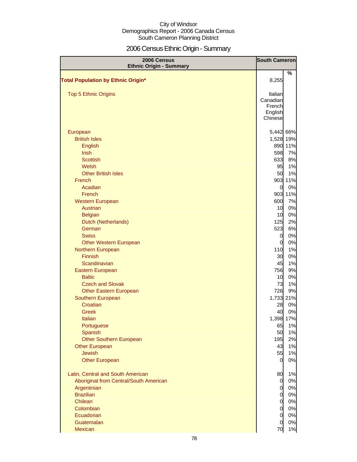# 2006 Census Ethnic Origin - Summary

| 2006 Census<br><b>Ethnic Origin - Summary</b> | <b>South Cameron</b> |           |
|-----------------------------------------------|----------------------|-----------|
|                                               |                      | %         |
| <b>Total Population by Ethnic Origin*</b>     | 8,255                |           |
|                                               |                      |           |
| <b>Top 5 Ethnic Origins</b>                   | Italian              |           |
|                                               | Canadian             |           |
|                                               | French               |           |
|                                               | English              |           |
|                                               | Chinese              |           |
| European                                      |                      | 5,442 66% |
| <b>British Isles</b>                          |                      | 1,528 19% |
| English                                       |                      | 890 11%   |
| <b>Irish</b>                                  | 598                  | 7%        |
| <b>Scottish</b>                               | 633                  | 8%        |
| Welsh                                         | 95                   | 1%        |
| <b>Other British Isles</b>                    | 50                   | 1%        |
| French                                        |                      | 903 11%   |
| Acadian                                       | $\overline{0}$       | 0%        |
| French                                        |                      | 903 11%   |
| <b>Western European</b>                       | 600                  | 7%        |
| <b>Austrian</b>                               | 10                   | 0%        |
| <b>Belgian</b>                                | 10                   | 0%        |
| Dutch (Netherlands)                           | 125                  | 2%        |
| German                                        | 523                  | 6%        |
| <b>Swiss</b>                                  | $\overline{0}$       | 0%        |
| <b>Other Western European</b>                 | $\overline{0}$       | 0%        |
| Northern European                             | 110                  | 1%        |
| <b>Finnish</b>                                | 30                   | 0%        |
| Scandinavian                                  | 45                   | 1%        |
| Eastern European                              | 756                  | 9%        |
| <b>Baltic</b>                                 | 10                   | 0%        |
| <b>Czech and Slovak</b>                       | 73                   | 1%        |
| <b>Other Eastern European</b>                 | 726                  | 9%        |
| Southern European<br>Croatian                 |                      | 1,733 21% |
| Greek                                         | 28<br>40             | 0%<br>0%  |
| <b>Italian</b>                                |                      | 1,398 17% |
| Portuguese                                    | 65                   | 1%        |
| Spanish                                       | 50                   | 1%        |
| <b>Other Southern European</b>                | 195                  | 2%        |
| <b>Other European</b>                         | 43                   | 1%        |
| <b>Jewish</b>                                 | 55                   | 1%        |
| <b>Other European</b>                         | 0                    | 0%        |
|                                               |                      |           |
| Latin, Central and South American             | 80                   | 1%        |
| Aboriginal from Central/South American        | $\overline{0}$       | 0%        |
| Argentinian                                   | $\overline{0}$       | 0%        |
| <b>Brazilian</b>                              | $\overline{0}$       | 0%        |
| Chilean                                       | $\overline{0}$       | 0%        |
| Colombian                                     | $\overline{0}$       | 0%        |
| Ecuadorian                                    | $\overline{0}$       | 0%        |
| Guatemalan                                    | $\overline{0}$       | 0%        |
| <b>Mexican</b>                                | 70                   | 1%        |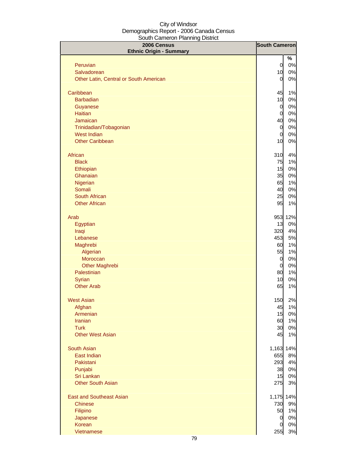| 2006 Census                            | <b>South Cameron</b>             |             |
|----------------------------------------|----------------------------------|-------------|
| <b>Ethnic Origin - Summary</b>         |                                  | %           |
| Peruvian                               | $\overline{0}$                   | 0%          |
| Salvadorean                            | 10                               | 0%          |
| Other Latin, Central or South American | $\overline{0}$                   | 0%          |
|                                        |                                  |             |
| Caribbean                              | 45                               | 1%          |
| <b>Barbadian</b>                       | 10                               | 0%          |
| Guyanese                               | $\overline{0}$                   | 0%          |
| <b>Haitian</b><br>Jamaican             | $\overline{0}$<br>40             | 0%<br>0%    |
| Trinidadian/Tobagonian                 | $\overline{0}$                   | 0%          |
| <b>West Indian</b>                     | $\overline{0}$                   | 0%          |
| <b>Other Caribbean</b>                 | 10                               | 0%          |
|                                        |                                  |             |
| African                                | 310                              | 4%          |
| <b>Black</b><br>Ethiopian              | 75<br>15                         | 1%          |
| Ghanaian                               | 35                               | 0%<br>0%    |
| Nigerian                               | 65                               | 1%          |
| Somali                                 | 40                               | 0%          |
| South African                          | 25                               | 0%          |
| <b>Other African</b>                   | 95                               | 1%          |
|                                        |                                  |             |
| Arab<br>Egyptian                       | 953<br>13                        | 12%<br>0%   |
| Iraqi                                  | 320                              | 4%          |
| Lebanese                               | 453                              | 5%          |
| Maghrebi                               | 60                               | 1%          |
| Algerian                               | 55                               | 1%          |
| Moroccan                               | $\overline{0}$                   | 0%          |
| <b>Other Maghrebi</b>                  | $\overline{0}$                   | 0%          |
| Palestinian                            | 80                               | 1%          |
| Syrian                                 | 10                               | 0%          |
| <b>Other Arab</b>                      | 65                               | 1%          |
| <b>West Asian</b>                      | 150                              | 2%          |
| Afghan                                 | 45                               | 1%          |
| Armenian                               | 15                               | 0%          |
| <b>Iranian</b>                         | 60                               | 1%          |
| <b>Turk</b><br><b>Other West Asian</b> | 30                               | 0%          |
|                                        | 45                               | 1%          |
| <b>South Asian</b>                     | 1,163 14%                        |             |
| East Indian                            | 655                              | 8%          |
| Pakistani                              | 293                              | 4%          |
| Punjabi                                | 38                               | 0%          |
| Sri Lankan                             | 15                               | 0%          |
| <b>Other South Asian</b>               | 275                              | 3%          |
| <b>East and Southeast Asian</b>        | 1,175 14%                        |             |
| <b>Chinese</b>                         | 730                              | 9%          |
| Filipino                               | 50                               | 1%          |
| Japanese<br>Korean                     | $\overline{0}$<br>$\overline{0}$ | 0%          |
| Vietnamese                             | 255                              | $0\%$<br>3% |
|                                        |                                  |             |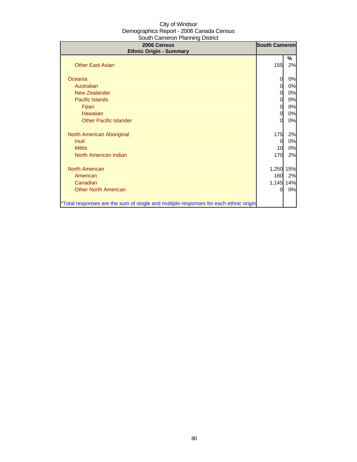| 2006 Census<br><b>Ethnic Origin - Summary</b>                                        | <b>South Cameron</b> |    |
|--------------------------------------------------------------------------------------|----------------------|----|
|                                                                                      |                      | %  |
| <b>Other East Asian</b>                                                              | 155                  | 2% |
| Oceania                                                                              | 0                    | 0% |
| Australian                                                                           | 0                    | 0% |
| <b>New Zealander</b>                                                                 | $\mathbf{0}$         | 0% |
| Pacific Islands                                                                      | $\mathbf{0}$         | 0% |
| Fijian                                                                               | $\Omega$             | 0% |
| Hawaiian                                                                             | 0                    | 0% |
| <b>Other Pacific Islander</b>                                                        | O                    | 0% |
| North American Aboriginal                                                            | 175                  | 2% |
| <b>Inuit</b>                                                                         | 0                    | 0% |
| <b>Métis</b>                                                                         | 10                   | 0% |
| North American Indian                                                                | 170                  | 2% |
| <b>North American</b>                                                                | 1,250 15%            |    |
| American                                                                             | 160                  | 2% |
| Canadian                                                                             | 1,145 14%            |    |
| <b>Other North American</b>                                                          | O                    | 0% |
| *Total responses are the sum of single and multiple responses for each ethnic origin |                      |    |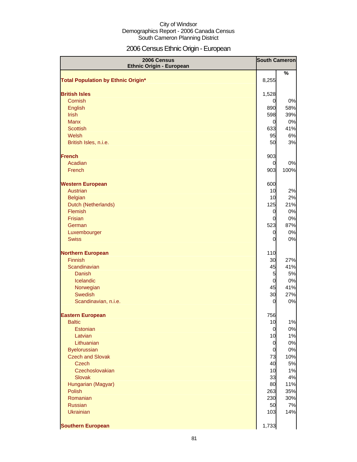# 2006 Census Ethnic Origin - European

| 2006 Census<br><b>Ethnic Origin - European</b> | <b>South Cameron</b>  |               |
|------------------------------------------------|-----------------------|---------------|
|                                                |                       | $\frac{0}{0}$ |
| <b>Total Population by Ethnic Origin*</b>      | 8,255                 |               |
|                                                |                       |               |
| <b>British Isles</b>                           | 1,528                 |               |
| Cornish                                        | $\overline{0}$        | 0%            |
| English                                        | 890                   | 58%           |
| <b>Irish</b>                                   | 598                   | 39%           |
| <b>Manx</b><br><b>Scottish</b>                 | $\overline{0}$<br>633 | 0%<br>41%     |
| Welsh                                          | 95                    | 6%            |
| British Isles, n.i.e.                          | 50                    | 3%            |
|                                                |                       |               |
| <b>French</b>                                  | 903                   |               |
| Acadian                                        | 0                     | 0%            |
| French                                         | 903                   | 100%          |
|                                                |                       |               |
| <b>Western European</b>                        | 600                   |               |
| Austrian                                       | 10                    | 2%            |
| <b>Belgian</b>                                 | 10                    | 2%            |
| Dutch (Netherlands)                            | 125                   | 21%           |
| Flemish                                        | 0                     | 0%            |
| <b>Frisian</b>                                 | 0                     | 0%            |
| German                                         | 523                   | 87%           |
| Luxembourger                                   | $\overline{0}$        | 0%            |
| <b>Swiss</b>                                   | 0                     | 0%            |
| <b>Northern European</b>                       | 110                   |               |
| <b>Finnish</b>                                 | 30                    | 27%           |
| Scandinavian                                   | 45                    | 41%           |
| <b>Danish</b>                                  | 5                     | 5%            |
| Icelandic                                      | $\overline{0}$        | 0%            |
| Norwegian                                      | 45                    | 41%           |
| Swedish                                        | 30                    | 27%           |
| Scandinavian, n.i.e.                           | 0                     | 0%            |
| <b>Eastern European</b>                        | 756                   |               |
| <b>Baltic</b>                                  | 10                    | 1%            |
| Estonian                                       | $\overline{0}$        | 0%            |
| Latvian                                        | 10                    | 1%            |
| Lithuanian                                     | $\overline{0}$        | 0%            |
| <b>Byelorussian</b>                            | $\overline{0}$        | 0%            |
| <b>Czech and Slovak</b>                        | 73                    | 10%           |
| <b>Czech</b>                                   | 40                    | 5%            |
| Czechoslovakian                                | 10                    | 1%            |
| <b>Slovak</b>                                  | 33                    | 4%            |
| Hungarian (Magyar)                             | 80                    | 11%           |
| <b>Polish</b>                                  | 263                   | 35%           |
| Romanian<br><b>Russian</b>                     | 230<br>50             | 30%<br>7%     |
| <b>Ukrainian</b>                               | 103                   | 14%           |
|                                                |                       |               |
| <b>Southern European</b>                       | 1,733                 |               |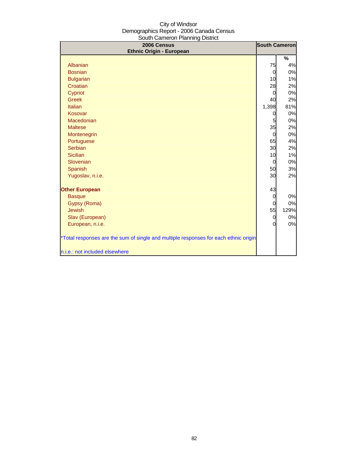| 2006 Census<br><b>Ethnic Origin - European</b>                                       | <b>South Cameron</b> |      |
|--------------------------------------------------------------------------------------|----------------------|------|
|                                                                                      |                      | %    |
| Albanian                                                                             | 75                   | 4%   |
| <b>Bosnian</b>                                                                       | 0                    | 0%   |
| <b>Bulgarian</b>                                                                     | 10                   | 1%   |
| Croatian                                                                             | 28                   | 2%   |
| Cypriot                                                                              | $\Omega$             | 0%   |
| <b>Greek</b>                                                                         | 40                   | 2%   |
| Italian                                                                              | 1,398                | 81%  |
| Kosovar                                                                              | 0                    | 0%   |
| Macedonian                                                                           | 5                    | 0%   |
| <b>Maltese</b>                                                                       | 35                   | 2%   |
| Montenegrin                                                                          | $\Omega$             | 0%   |
| Portuguese                                                                           | 65                   | 4%   |
| Serbian                                                                              | 30                   | 2%   |
| <b>Sicilian</b>                                                                      | 10                   | 1%   |
| Slovenian                                                                            | 0                    | 0%   |
| <b>Spanish</b>                                                                       | 50                   | 3%   |
| Yugoslav, n.i.e.                                                                     | 30                   | 2%   |
| <b>Other European</b>                                                                | 43                   |      |
| <b>Basque</b>                                                                        | 0                    | 0%   |
| Gypsy (Roma)                                                                         | 0                    | 0%   |
| <b>Jewish</b>                                                                        | 55                   | 129% |
| Slav (European)                                                                      | $\mathbf 0$          | 0%   |
| European, n.i.e.                                                                     | O                    | 0%   |
| *Total responses are the sum of single and multiple responses for each ethnic origin |                      |      |
| n.i.e.: not included elsewhere                                                       |                      |      |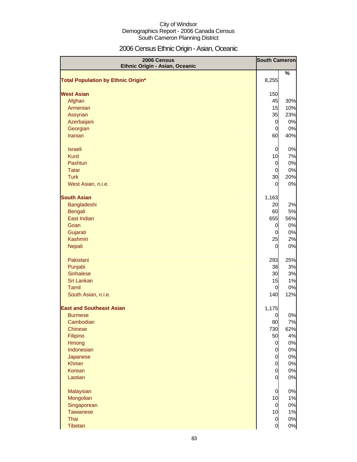# 2006 Census Ethnic Origin - Asian, Oceanic

| 2006 Census<br>Ethnic Origin - Asian, Oceanic | <b>South Cameron</b> |            |
|-----------------------------------------------|----------------------|------------|
|                                               |                      | $\%$       |
| <b>Total Population by Ethnic Origin*</b>     | 8,255                |            |
|                                               |                      |            |
| <b>West Asian</b>                             | 150                  |            |
| Afghan<br>Armenian                            | 45<br>15             | 30%        |
| Assyrian                                      | 35                   | 10%<br>23% |
| Azerbaijani                                   | $\overline{0}$       | 0%         |
| Georgian                                      | $\mathbf 0$          | 0%         |
| <b>Iranian</b>                                | 60                   | 40%        |
|                                               |                      |            |
| <b>Israeli</b>                                | 0                    | 0%         |
| <b>Kurd</b>                                   | 10                   | 7%         |
| Pashtun                                       | $\mathbf 0$          | 0%         |
| <b>Tatar</b>                                  | 0                    | 0%         |
| <b>Turk</b>                                   | 30                   | 20%        |
| West Asian, n.i.e.                            | 0                    | 0%         |
|                                               |                      |            |
| <b>South Asian</b>                            | 1,163                |            |
| Bangladeshi                                   | 20                   | 2%         |
| <b>Bengali</b>                                | 60                   | 5%         |
| East Indian                                   | 655                  | 56%        |
| Goan                                          | 0                    | 0%         |
| Gujarati                                      | 0                    | 0%         |
| Kashmiri                                      | 25                   | 2%         |
| <b>Nepali</b>                                 | 0                    | 0%         |
| Pakistani                                     | 293                  | 25%        |
| Punjabi                                       | 38                   | 3%         |
| <b>Sinhalese</b>                              | 30                   | 3%         |
| Sri Lankan                                    | 15                   | 1%         |
| Tamil                                         | 0                    | 0%         |
| South Asian, n.i.e.                           | 140                  | 12%        |
| <b>East and Southeast Asian</b>               | 1,175                |            |
| <b>Burmese</b>                                | $\overline{0}$       | 0%         |
| Cambodian                                     | 80                   | 7%         |
| <b>Chinese</b>                                | 730                  | 62%        |
| Filipino                                      | 50                   | 4%         |
| Hmong                                         | $\mathbf 0$          | 0%         |
| Indonesian                                    | $\mathbf 0$          | 0%         |
| Japanese                                      | $\mathbf 0$          | 0%         |
| <b>Khmer</b>                                  | $\mathbf 0$          | 0%         |
| Korean                                        | $\mathbf 0$          | 0%         |
| Laotian                                       | $\overline{0}$       | 0%         |
| Malaysian                                     | 0                    | 0%         |
| Mongolian                                     | 10                   | 1%         |
| Singaporean                                   | $\mathbf 0$          | 0%         |
| <b>Taiwanese</b>                              | 10                   | 1%         |
| Thai                                          | $\mathbf 0$          | 0%         |
| Tibetan                                       | $\overline{0}$       | 0%         |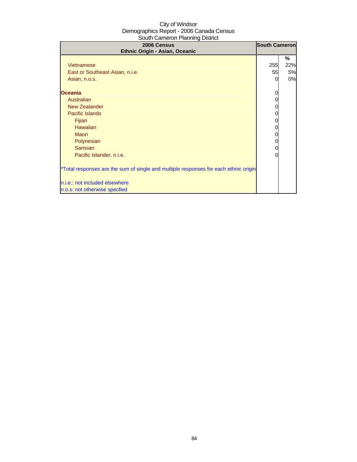| 2006 Census<br>Ethnic Origin - Asian, Oceanic                                        | <b>South Cameron</b> |     |
|--------------------------------------------------------------------------------------|----------------------|-----|
|                                                                                      |                      | %   |
| <b>Vietnamese</b>                                                                    | 255                  | 22% |
| East or Southeast Asian, n.i.e.                                                      | 55                   | 5%  |
| Asian, n.o.s.                                                                        | 0                    | 0%  |
| <b>Oceania</b>                                                                       |                      |     |
| Australian                                                                           | 0                    |     |
| <b>New Zealander</b>                                                                 |                      |     |
| Pacific Islands                                                                      | 0                    |     |
| Fijian                                                                               | 0                    |     |
| <b>Hawaiian</b>                                                                      | 0                    |     |
| Maori                                                                                | 0                    |     |
| Polynesian                                                                           | 0                    |     |
| Samoan                                                                               | 0                    |     |
| Pacific Islander, n.i.e.                                                             | 0                    |     |
| *Total responses are the sum of single and multiple responses for each ethnic origin |                      |     |
| n.i.e.: not included elsewhere                                                       |                      |     |
| n.o.s: not otherwise specfied                                                        |                      |     |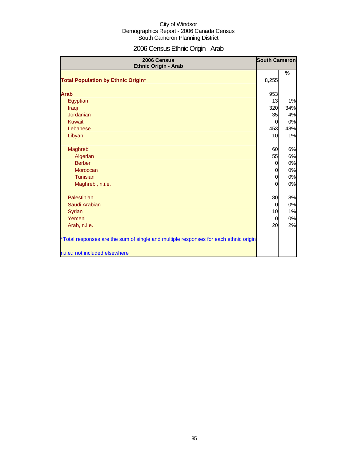# 2006 Census Ethnic Origin - Arab

| 2006 Census<br>Ethnic Origin - Arab                                                  | <b>South Cameron</b> |       |
|--------------------------------------------------------------------------------------|----------------------|-------|
|                                                                                      |                      | $\%$  |
| <b>Total Population by Ethnic Origin*</b>                                            | 8,255                |       |
| <b>Arab</b>                                                                          | 953                  |       |
| Egyptian                                                                             | 13                   | 1%    |
| Iraqi                                                                                | 320                  | 34%   |
| Jordanian                                                                            | 35                   | 4%    |
| <b>Kuwaiti</b>                                                                       | $\overline{0}$       | 0%    |
| Lebanese                                                                             | 453                  | 48%   |
| Libyan                                                                               | 10                   | 1%    |
| Maghrebi                                                                             | 60                   | 6%    |
| Algerian                                                                             | 55                   | 6%    |
| <b>Berber</b>                                                                        | $\overline{0}$       | 0%    |
| Moroccan                                                                             | 0                    | 0%    |
| Tunisian                                                                             | 0                    | 0%    |
| Maghrebi, n.i.e.                                                                     | 0                    | 0%    |
| Palestinian                                                                          | 80                   | 8%    |
| Saudi Arabian                                                                        | $\overline{0}$       | $0\%$ |
| <b>Syrian</b>                                                                        | 10                   | 1%    |
| Yemeni                                                                               | $\overline{0}$       | 0%    |
| Arab, n.i.e.                                                                         | 20                   | 2%    |
| *Total responses are the sum of single and multiple responses for each ethnic origin |                      |       |
| n.i.e.: not included elsewhere                                                       |                      |       |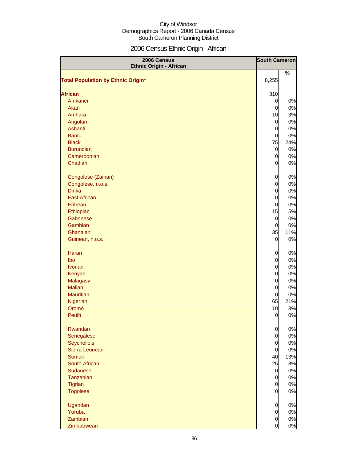# 2006 Census Ethnic Origin - African

| 2006 Census<br><b>Ethnic Origin - African</b> | <b>South Cameron</b> |     |
|-----------------------------------------------|----------------------|-----|
|                                               |                      | %   |
| <b>Total Population by Ethnic Origin*</b>     | 8,255                |     |
|                                               |                      |     |
| <b>African</b>                                | 310                  |     |
| Afrikaner                                     | 0                    | 0%  |
| Akan                                          | $\mathbf 0$          | 0%  |
| Amhara                                        | 10                   | 3%  |
| Angolan                                       | $\overline{0}$       | 0%  |
| Ashanti                                       | $\overline{0}$       | 0%  |
| <b>Bantu</b>                                  | $\overline{0}$       | 0%  |
| <b>Black</b>                                  | 75                   | 24% |
| <b>Burundian</b>                              | 0                    | 0%  |
| Cameroonian                                   | 0                    | 0%  |
| Chadian                                       | $\overline{0}$       | 0%  |
|                                               |                      |     |
| Congolese (Zairian)                           | 0                    | 0%  |
| Congolese, n.o.s.                             | 0                    | 0%  |
| <b>Dinka</b>                                  | $\overline{0}$       | 0%  |
| <b>East African</b>                           | $\overline{0}$       | 0%  |
| Eritrean                                      | $\overline{0}$       | 0%  |
| Ethiopian                                     | 15                   | 5%  |
| Gabonese                                      | $\overline{0}$       | 0%  |
| Gambian                                       | $\overline{0}$       | 0%  |
| Ghanaian                                      | 35                   | 11% |
| Guinean, n.o.s.                               | 0                    | 0%  |
| Harari                                        | 0                    | 0%  |
| Ibo                                           | 0                    | 0%  |
| <b>Ivorian</b>                                | $\mathbf 0$          | 0%  |
| Kenyan                                        | $\mathbf 0$          | 0%  |
| <b>Malagasy</b>                               | $\mathbf 0$          | 0%  |
| <b>Malian</b>                                 | $\overline{0}$       | 0%  |
| <b>Mauritian</b>                              | 0                    | 0%  |
| Nigerian                                      | 65                   | 21% |
| Oromo                                         | 10                   | 3%  |
| Peulh                                         | $\overline{0}$       | 0%  |
| Rwandan                                       | 0                    | 0%  |
| Senegalese                                    | 0                    | 0%  |
| Seychellois                                   | $\overline{0}$       | 0%  |
| Sierra Leonean                                | $\overline{0}$       | 0%  |
| Somali                                        | 40                   | 13% |
| South African                                 | 25                   | 8%  |
| Sudanese                                      | $\overline{0}$       | 0%  |
| Tanzanian                                     | $\overline{0}$       | 0%  |
| Tigrian                                       | $\overline{0}$       | 0%  |
| <b>Togolese</b>                               | $\overline{0}$       | 0%  |
| Ugandan                                       | 0                    | 0%  |
| Yoruba                                        | 0                    | 0%  |
| Zambian                                       | $\overline{0}$       | 0%  |
| Zimbabwean                                    | 0                    | 0%  |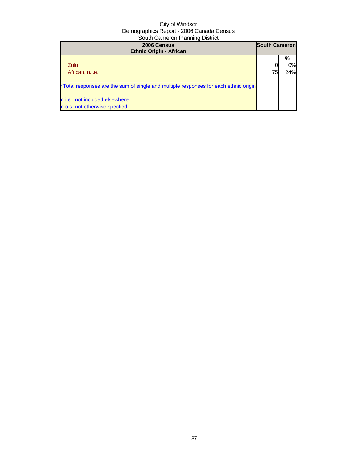| 2006 Census<br><b>Ethnic Origin - African</b>                                        | <b>South Cameron</b> |     |
|--------------------------------------------------------------------------------------|----------------------|-----|
|                                                                                      |                      | %   |
| Zulu                                                                                 |                      | 0%  |
| African, n.i.e.                                                                      | 75                   | 24% |
| *Total responses are the sum of single and multiple responses for each ethnic origin |                      |     |
| n.i.e.: not included elsewhere                                                       |                      |     |
| n.o.s: not otherwise specfied                                                        |                      |     |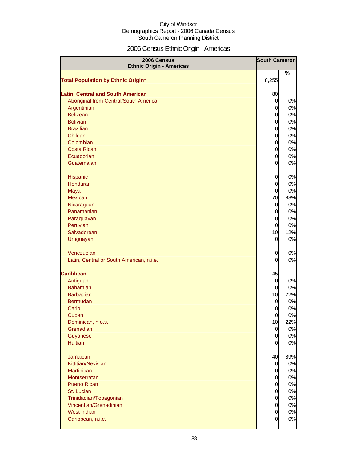# 2006 Census Ethnic Origin - Americas

| 2006 Census<br><b>Ethnic Origin - Americas</b>                                    | <b>South Cameron</b> |           |
|-----------------------------------------------------------------------------------|----------------------|-----------|
|                                                                                   |                      | %         |
| <b>Total Population by Ethnic Origin*</b>                                         | 8,255                |           |
|                                                                                   |                      |           |
| <b>Latin, Central and South American</b><br>Aboriginal from Central/South America | 80<br>0              | 0%        |
| Argentinian                                                                       | 0                    | 0%        |
| <b>Belizean</b>                                                                   | 0                    | 0%        |
| <b>Bolivian</b>                                                                   | 0                    | 0%        |
| <b>Brazilian</b>                                                                  | 0                    | 0%        |
| Chilean                                                                           | 0                    | 0%        |
| Colombian                                                                         | 0                    | 0%        |
| <b>Costa Rican</b>                                                                | 0                    | 0%        |
| Ecuadorian                                                                        | 0                    | 0%        |
| Guatemalan                                                                        | 0                    | 0%        |
|                                                                                   |                      |           |
| Hispanic                                                                          | 0                    | 0%        |
| <b>Honduran</b>                                                                   | 0                    | 0%        |
| Maya<br><b>Mexican</b>                                                            | $\overline{0}$       | 0%        |
|                                                                                   | 70<br>$\overline{0}$ | 88%<br>0% |
| Nicaraguan<br>Panamanian                                                          | 0                    | 0%        |
| Paraguayan                                                                        | 0                    | 0%        |
| Peruvian                                                                          | 0                    | 0%        |
| Salvadorean                                                                       | 10                   | 12%       |
| Uruguayan                                                                         | 0                    | 0%        |
|                                                                                   |                      |           |
| Venezuelan                                                                        | 0                    | 0%        |
| Latin, Central or South American, n.i.e.                                          | 0                    | 0%        |
| <b>Caribbean</b>                                                                  | 45                   |           |
| Antiguan                                                                          | 0                    | 0%        |
| <b>Bahamian</b>                                                                   | $\overline{0}$       | 0%        |
| <b>Barbadian</b>                                                                  | 10                   | 22%       |
| <b>Bermudan</b>                                                                   | $\overline{0}$       | 0%        |
| Carib                                                                             | $\overline{0}$       | 0%        |
| Cuban                                                                             | $\overline{0}$       | 0%        |
| Dominican, n.o.s.                                                                 | 10                   | 22%       |
| Grenadian                                                                         | $\overline{0}$       | 0%        |
| Guyanese                                                                          | $\overline{0}$       | 0%        |
| <b>Haitian</b>                                                                    | $\overline{0}$       | 0%        |
| Jamaican                                                                          | 40                   | 89%       |
| Kittitian/Nevisian                                                                | 0                    | 0%        |
| <b>Martinican</b>                                                                 | 0                    | 0%        |
| <b>Montserratan</b>                                                               | 0                    | 0%        |
| <b>Puerto Rican</b>                                                               | 0                    | 0%        |
| St. Lucian                                                                        | 0                    | 0%        |
| Trinidadian/Tobagonian                                                            | 0                    | 0%        |
| Vincentian/Grenadinian                                                            | 0                    | 0%        |
| West Indian                                                                       | 0                    | 0%        |
| Caribbean, n.i.e.                                                                 | 0                    | 0%        |
|                                                                                   |                      |           |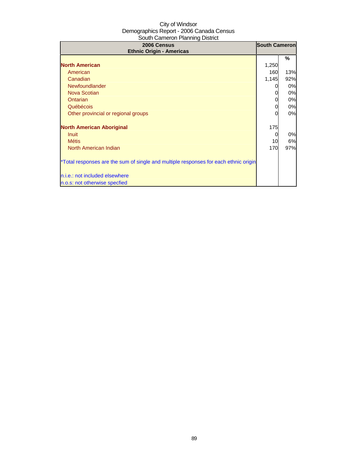| 2006 Census<br><b>Ethnic Origin - Americas</b>                                       |       | <b>South Cameron</b> |
|--------------------------------------------------------------------------------------|-------|----------------------|
|                                                                                      |       | %                    |
| <b>North American</b>                                                                | 1,250 |                      |
| American                                                                             | 160   | 13%                  |
| Canadian                                                                             | 1,145 | 92%                  |
| Newfoundlander                                                                       |       | 0%                   |
| <b>Nova Scotian</b>                                                                  |       | 0%                   |
| <b>Ontarian</b>                                                                      | 0     | 0%                   |
| Québécois                                                                            | 0     | 0%                   |
| Other provincial or regional groups                                                  | 0     | 0%                   |
| <b>North American Aboriginal</b>                                                     | 175   |                      |
| <b>Inuit</b>                                                                         | 0     | 0%                   |
| <b>Métis</b>                                                                         | 10    | 6%                   |
| North American Indian                                                                | 170   | 97%                  |
| *Total responses are the sum of single and multiple responses for each ethnic origin |       |                      |
| n.i.e.: not included elsewhere                                                       |       |                      |
| n.o.s: not otherwise specfied                                                        |       |                      |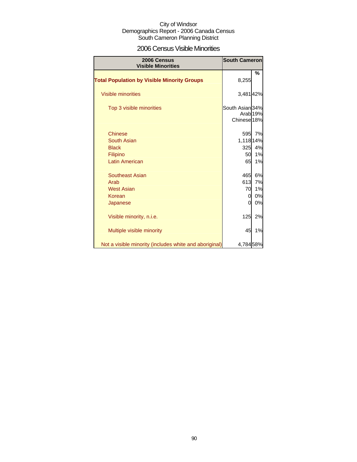### 2006 Census Visible Minorities

| 2006 Census<br><b>Visible Minorities</b>               | <b>South Cameron</b>                      |                     |
|--------------------------------------------------------|-------------------------------------------|---------------------|
| <b>Total Population by Visible Minority Groups</b>     | 8,255                                     | %                   |
| <b>Visible minorities</b>                              | 3,48142%                                  |                     |
| Top 3 visible minorities                               | South Asian 34%<br>Chinese <sup>18%</sup> | Arab <sub>19%</sub> |
| <b>Chinese</b>                                         |                                           | 595 7%              |
| South Asian                                            | 1,118 14%                                 |                     |
| <b>Black</b>                                           | 325                                       | 4%                  |
| Filipino                                               | <b>50</b>                                 | 1%                  |
| <b>Latin American</b>                                  | 65                                        | 1%                  |
| <b>Southeast Asian</b>                                 | 465                                       | 6%                  |
| Arab                                                   | 613                                       | 7%                  |
| <b>West Asian</b>                                      | 70                                        | 1%                  |
| Korean                                                 | 0                                         | 0%                  |
| Japanese                                               | 0                                         | 0%                  |
| Visible minority, n.i.e.                               | 125                                       | 2%                  |
| Multiple visible minority                              | 45                                        | 1%                  |
| Not a visible minority (includes white and aboriginal) | 4,78458%                                  |                     |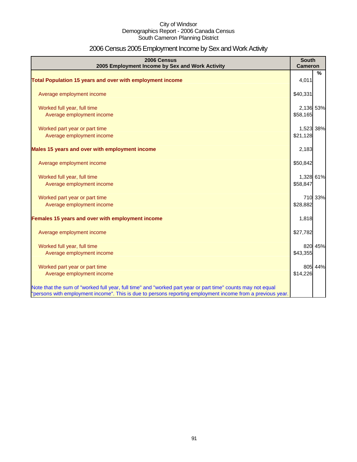# 2006 Census 2005 Employment Income by Sex and Work Activity

| 2006 Census<br>2005 Employment Income by Sex and Work Activity                                              | <b>South</b><br><b>Cameron</b> |         |
|-------------------------------------------------------------------------------------------------------------|--------------------------------|---------|
|                                                                                                             |                                | $\%$    |
| Total Population 15 years and over with employment income                                                   | 4,011                          |         |
| Average employment income                                                                                   | \$40,331                       |         |
| Worked full year, full time                                                                                 | 2,136 53%                      |         |
| Average employment income                                                                                   | \$58,165                       |         |
| Worked part year or part time                                                                               | 1,523 38%                      |         |
| Average employment income                                                                                   | \$21,128                       |         |
| Males 15 years and over with employment income                                                              | 2,183                          |         |
| Average employment income                                                                                   | \$50,842                       |         |
| Worked full year, full time                                                                                 | 1,328 61%                      |         |
| Average employment income                                                                                   | \$58,847                       |         |
| Worked part year or part time                                                                               |                                | 710 33% |
| Average employment income                                                                                   | \$28,882                       |         |
| Females 15 years and over with employment income                                                            | 1,818                          |         |
| Average employment income                                                                                   | \$27,782                       |         |
| Worked full year, full time                                                                                 |                                | 820 45% |
| Average employment income                                                                                   | \$43,355                       |         |
| Worked part year or part time                                                                               |                                | 805 44% |
| Average employment income                                                                                   | \$14,226                       |         |
| Note that the sum of "worked full year, full time" and "worked part year or part time" counts may not equal |                                |         |
| "persons with employment income". This is due to persons reporting employment income from a previous year.  |                                |         |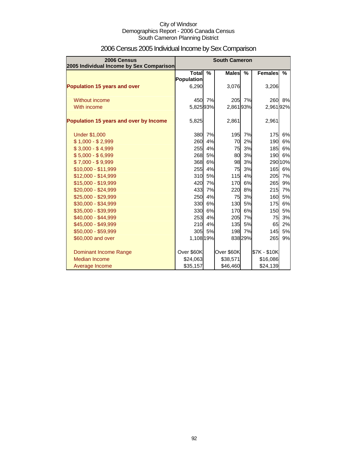| 2006 Census<br>2005 Individual Income by Sex Comparison | <b>South Cameron</b>       |               |              |               |                |         |
|---------------------------------------------------------|----------------------------|---------------|--------------|---------------|----------------|---------|
|                                                         | <b>Total</b><br>Population | $\frac{9}{6}$ | <b>Males</b> | $\frac{0}{0}$ | <b>Females</b> | %       |
| <b>Population 15 years and over</b>                     | 6,290                      |               | 3,076        |               | 3,206          |         |
| <b>Without income</b>                                   | 450                        | 7%            |              | 205 7%        | <b>260</b>     | 8%      |
| With income                                             | 5,82593%                   |               | 2,86193%     |               | 2,96192%       |         |
| Population 15 years and over by Income                  | 5,825                      |               | 2,861        |               | 2,961          |         |
| <b>Under \$1,000</b>                                    | <b>380</b>                 | 7%            | 195          | 7%            | 175            | 6%      |
| $$1,000 - $2,999$                                       | 260                        | 4%            | 70           | 2%            | 190            | 6%      |
| $$3,000 - $4,999$                                       | <b>255</b>                 | 4%            | 75           | 3%            | 185            | 6%      |
| $$5,000 - $6,999$                                       | 268                        | 5%            | 80           | 3%            | 190            | 6%      |
| $$7,000 - $9,999$                                       | 368                        | 6%            | 98           | 3%            |                | 290 10% |
| \$10,000 - \$11,999                                     | 255                        | 4%            | 75           | 3%            | 165            | 6%      |
| \$12,000 - \$14,999                                     | 310                        | 5%            | 115          | 4%            | 205            | 7%      |
| \$15,000 - \$19,999                                     | 420                        | 7%            | 170          | 6%            | 265            | 9%      |
| \$20,000 - \$24,999                                     | 433                        | 7%            | 220          | 8%            | 215            | 7%      |
| \$25,000 - \$29,999                                     | 250                        | 4%            | 75           | 3%            | 160            | 5%      |
| \$30,000 - \$34,999                                     | 330                        | 6%            | 130          | 5%            | 175            | 6%      |
| \$35,000 - \$39,999                                     | 330                        | 6%            | 170          | 6%            | 150            | 5%      |
| \$40,000 - \$44,999                                     | 253                        | 4%            | 205          | 7%            | 75             | 3%      |
| \$45,000 - \$49,999                                     | 210                        | 4%            | 135          | 5%            | 65             | 2%      |
| \$50,000 - \$59,999                                     | 305                        | 5%            |              | 198 7%        | 145            | 5%      |
| \$60,000 and over                                       | 1,108 19%                  |               |              | 83829%        | 265            | 9%      |
| <b>Dominant Income Range</b>                            | Over \$60K                 |               | Over \$60K   |               | \$7K - \$10K   |         |
| <b>Median Income</b>                                    | \$24,063                   |               | \$38,571     |               | \$16,086       |         |
| Average Income                                          | \$35,157                   |               | \$46,460     |               | \$24,139       |         |

# 2006 Census 2005 Individual Income by Sex Comparison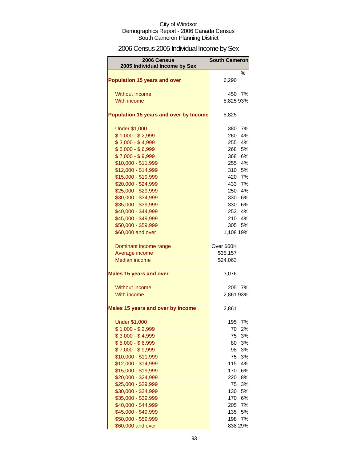# 2006 Census 2005 Individual Income by Sex

| 2006 Census<br>2005 Individual Income by Sex | <b>South Cameron</b> |         |
|----------------------------------------------|----------------------|---------|
|                                              |                      | ℅       |
| <b>Population 15 years and over</b>          | 6,290                |         |
| Without income                               | 450                  | 7%      |
| With income                                  | 5,825 93%            |         |
| Population 15 years and over by Income       | 5,825                |         |
| <b>Under \$1,000</b>                         | 380                  | 7%      |
| $$1,000 - $2,999$                            | 260                  | 4%      |
| $$3,000 - $4,999$                            | 255                  | 4%      |
| $$5,000 - $6,999$                            | 268                  | 5%      |
| $$7,000 - $9,999$                            | 368                  | 6%      |
| \$10,000 - \$11,999                          | 255                  | 4%      |
| \$12,000 - \$14,999                          | 310                  | 5%      |
| \$15,000 - \$19,999                          | 420                  | 7%      |
| \$20,000 - \$24,999                          | 433                  | 7%      |
| \$25,000 - \$29,999                          | 250                  | 4%      |
| \$30,000 - \$34,999                          | 330                  | 6%      |
| \$35,000 - \$39,999                          | <b>330</b>           | 6%      |
| \$40,000 - \$44,999                          | 253                  | 4%      |
| \$45,000 - \$49,999                          | 210                  | 4%      |
| \$50,000 - \$59,999                          | 305                  | 5%      |
| \$60,000 and over                            | 1,108 19%            |         |
| Dominant income range                        | Over \$60K           |         |
| Average income                               | \$35,157             |         |
| <b>Median income</b>                         | \$24,063             |         |
| <b>Males 15 years and over</b>               | 3,076                |         |
| Without income                               | 205                  | 7%      |
| With income                                  | 2,861 93%            |         |
| <b>Males 15 years and over by Income</b>     | 2,861                |         |
| <b>Under \$1,000</b>                         | 195                  | 7%      |
| $$1,000 - $2,999$                            | 70                   | 2%      |
| $$3,000 - $4,999$                            | 75                   | 3%      |
| $$5,000 - $6,999$                            | 80                   | 3%      |
| $$7,000 - $9,999$                            | 98                   | 3%      |
| \$10,000 - \$11,999                          | 75                   | 3%      |
| \$12,000 - \$14,999                          | 115                  | 4%      |
| \$15,000 - \$19,999                          | 170                  | 6%      |
| \$20,000 - \$24,999                          | 220                  | 8%      |
| \$25,000 - \$29,999                          | 75                   | 3%      |
| \$30,000 - \$34,999                          | 130                  | 5%      |
| \$35,000 - \$39,999                          | 170                  | 6%      |
| \$40,000 - \$44,999                          | 205                  | 7%      |
| \$45,000 - \$49,999                          | 135                  | 5%      |
| \$50,000 - \$59,999                          | 198                  | 7%      |
| \$60,000 and over                            |                      | 838 29% |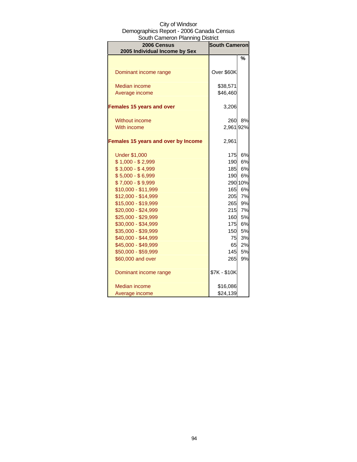| 2006 Census                                | <b>South Cameron</b> |         |  |
|--------------------------------------------|----------------------|---------|--|
| 2005 Individual Income by Sex              |                      |         |  |
|                                            |                      | %       |  |
|                                            |                      |         |  |
| Dominant income range                      | Over \$60K           |         |  |
| <b>Median income</b>                       | \$38,571             |         |  |
| Average income                             | \$46,460             |         |  |
|                                            |                      |         |  |
| <b>Females 15 years and over</b>           | 3,206                |         |  |
|                                            |                      |         |  |
| <b>Without income</b>                      | 260                  | 8%      |  |
| With income                                | 2,961                | 92%     |  |
|                                            |                      |         |  |
| <b>Females 15 years and over by Income</b> | 2,961                |         |  |
|                                            |                      |         |  |
| <b>Under \$1,000</b>                       | 175                  | 6%      |  |
| $$1,000 - $2,999$                          | 190                  | 6%      |  |
| $$3,000 - $4,999$                          | <b>185</b>           | 6%      |  |
| $$5,000 - $6,999$                          | 190                  | 6%      |  |
| $$7,000 - $9,999$                          |                      | 290 10% |  |
| \$10,000 - \$11,999                        | 165                  | 6%      |  |
| \$12,000 - \$14,999                        | 205                  | 7%      |  |
| \$15,000 - \$19,999                        | 265                  | 9%      |  |
| \$20,000 - \$24,999                        | 215                  | 7%      |  |
| \$25,000 - \$29,999                        | 160                  | 5%      |  |
| \$30,000 - \$34,999                        | 175                  | 6%      |  |
| \$35,000 - \$39,999                        | 150                  | 5%      |  |
| \$40,000 - \$44,999                        | 751                  | 3%      |  |
| \$45,000 - \$49,999                        | 65                   | 2%      |  |
| \$50,000 - \$59,999                        | 145                  | 5%      |  |
| \$60,000 and over                          | 265                  | 9%      |  |
| Dominant income range                      | \$7K - \$10K         |         |  |
|                                            |                      |         |  |
| Median income                              | \$16,086             |         |  |
| Average income                             | \$24,139             |         |  |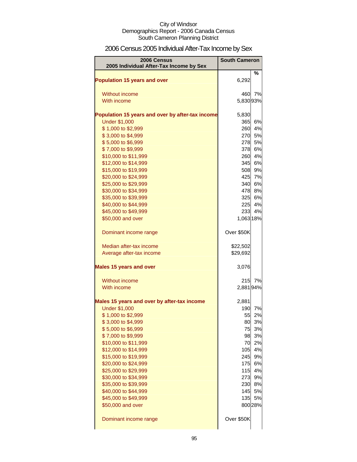# 2006 Census 2005 Individual After-Tax Income by Sex

| 2006 Census                                      | <b>South Cameron</b> |                |
|--------------------------------------------------|----------------------|----------------|
| 2005 Individual After-Tax Income by Sex          |                      | %              |
| <b>Population 15 years and over</b>              | 6,292                |                |
| Without income                                   | 460                  | 7%             |
| With income                                      | 5,83093%             |                |
|                                                  |                      |                |
| Population 15 years and over by after-tax income | 5,830                |                |
| <b>Under \$1,000</b>                             | 365                  | 6%             |
| \$1,000 to \$2,999                               | 260                  | 4%             |
| \$3,000 to \$4,999                               | 270                  | 5%             |
| \$5,000 to \$6,999                               | 278                  | 5%             |
| \$7,000 to \$9,999                               | 378                  | 6%             |
| \$10,000 to \$11,999                             | 260                  | 4%             |
| \$12,000 to \$14,999                             |                      | 345 6%<br>9%   |
| \$15,000 to \$19,999<br>\$20,000 to \$24,999     | 508                  | 425 7%         |
| \$25,000 to \$29,999                             |                      | 340 6%         |
| \$30,000 to \$34,999                             | 478                  | 8%             |
| \$35,000 to \$39,999                             |                      | 325 6%         |
| \$40,000 to \$44,999                             | 225                  | 4%             |
| \$45,000 to \$49,999                             | 233                  | 4%             |
| \$50,000 and over                                | 1,063 18%            |                |
| Dominant income range                            | Over \$50K           |                |
| Median after-tax income                          | \$22,502             |                |
| Average after-tax income                         | \$29,692             |                |
| <b>Males 15 years and over</b>                   | 3,076                |                |
| Without income                                   | 215                  | 7%             |
| With income                                      | 2,88194%             |                |
| Males 15 years and over by after-tax income      | 2,881                |                |
| <b>Under \$1,000</b>                             | 190                  | 7%             |
| \$1,000 to \$2,999                               | 55                   | 2%             |
| \$3,000 to \$4,999                               |                      | 80 3%          |
| \$5,000 to \$6,999<br>\$7,000 to \$9,999         |                      | 75 3%<br>98 3% |
| \$10,000 to \$11,999                             |                      | 70 2%          |
| \$12,000 to \$14,999                             | 105                  | 4%             |
| \$15,000 to \$19,999                             |                      | 245 9%         |
| \$20,000 to \$24,999                             |                      | 175 6%         |
| \$25,000 to \$29,999                             | 115                  | 4%             |
| \$30,000 to \$34,999                             | 273                  | 9%             |
| \$35,000 to \$39,999                             |                      | 230 8%         |
| \$40,000 to \$44,999                             |                      | 145 5%         |
| \$45,000 to \$49,999                             | 135                  | 5%             |
| \$50,000 and over                                |                      | 800 28%        |
| Dominant income range                            | Over \$50K           |                |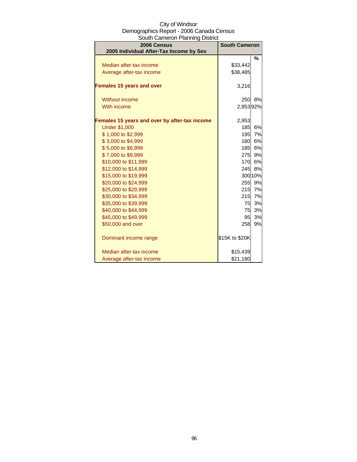| South Cameron Planning District               |                      |               |  |
|-----------------------------------------------|----------------------|---------------|--|
| 2006 Census                                   | <b>South Cameron</b> |               |  |
| 2005 Individual After-Tax Income by Sex       |                      |               |  |
|                                               |                      | $\frac{0}{0}$ |  |
| Median after-tax income                       | \$33,442             |               |  |
| Average after-tax income                      | \$38,485             |               |  |
| <b>Females 15 years and over</b>              | 3,216                |               |  |
| <b>Without income</b>                         |                      | 250 8%        |  |
| With income                                   | 2,95392%             |               |  |
| Females 15 years and over by after-tax income | 2,953                |               |  |
| <b>Under \$1,000</b>                          | 185                  | 6%            |  |
| \$1,000 to \$2,999                            | 195                  | 7%            |  |
| \$3,000 to \$4,999                            | 180                  | 6%            |  |
| \$5,000 to \$6,999                            | 185                  | 6%            |  |
| \$7,000 to \$9,999                            | 275                  | 9%            |  |
| \$10,000 to \$11,999                          | 170                  | 6%            |  |
| \$12,000 to \$14,999                          |                      | 245 8%        |  |
| \$15,000 to \$19,999                          |                      | 300 10%       |  |
| \$20,000 to \$24,999                          |                      | 255 9%        |  |
| \$25,000 to \$29,999                          | 215                  | 7%            |  |
| \$30,000 to \$34,999                          | 215                  | 7%            |  |
| \$35,000 to \$39,999                          | 75                   | 3%            |  |
| \$40,000 to \$44,999                          | 75                   | 3%            |  |
| \$45,000 to \$49,999                          | 95                   | 3%            |  |
| \$50,000 and over                             | 258                  | 9%            |  |
| Dominant income range                         | \$15K to \$20K       |               |  |
| Median after-tax income                       | \$15,439             |               |  |
| Average after-tax income                      | \$21,180             |               |  |

# City of Windsor Demographics Report - 2006 Canada Census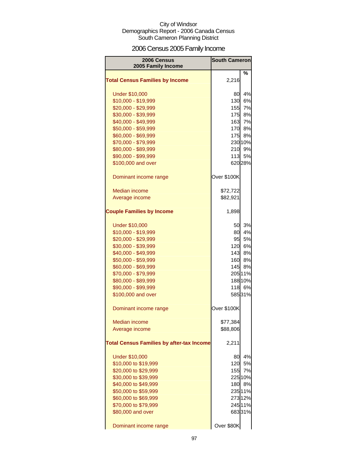# 2006 Census 2005 Family Income

| 2006 Census<br>2005 Family Income                | <b>South Cameron</b> |         |
|--------------------------------------------------|----------------------|---------|
|                                                  |                      | %       |
| <b>Total Census Families by Income</b>           | 2,216                |         |
| <b>Under \$10,000</b>                            | 80                   | 4%      |
| \$10,000 - \$19,999                              | 130                  | 6%      |
| \$20,000 - \$29,999                              | 155                  | 7%      |
| \$30,000 - \$39,999                              | <b>175</b>           | 8%      |
| \$40,000 - \$49,999                              | 163                  | 7%      |
| \$50,000 - \$59,999                              | 170                  | 8%      |
| \$60,000 - \$69,999                              | 175                  | 8%      |
| \$70,000 - \$79,999                              |                      | 230 10% |
| \$80,000 - \$89,999                              | 210                  | 9%      |
| \$90,000 - \$99,999                              |                      | 113 5%  |
| \$100,000 and over                               |                      | 620 28% |
| Dominant income range                            | Over \$100K          |         |
| <b>Median income</b>                             | \$72,722             |         |
| Average income                                   | \$82,921             |         |
| <b>Couple Families by Income</b>                 | 1,898                |         |
| <b>Under \$10,000</b>                            | 50                   | 3%      |
| \$10,000 - \$19,999                              | 80                   | 4%      |
| \$20,000 - \$29,999                              | 95                   | 5%      |
| \$30,000 - \$39,999                              | 120                  | 6%      |
| \$40,000 - \$49,999                              | 143                  | 8%      |
| \$50,000 - \$59,999                              | 160                  | 8%      |
| \$60,000 - \$69,999                              | 145                  | 8%      |
| \$70,000 - \$79,999                              |                      | 205 11% |
| \$80,000 - \$89,999                              |                      | 188 10% |
| \$90,000 - \$99,999                              | 118                  | 6%      |
| \$100,000 and over                               |                      | 58531%  |
| Dominant income range                            | Over \$100K          |         |
| <b>Median income</b>                             | \$77,384             |         |
| Average income                                   | \$88,806             |         |
| <b>Total Census Families by after-tax Income</b> | 2,211                |         |
| <b>Under \$10,000</b>                            | 80                   | 4%      |
| \$10,000 to \$19,999                             | 120                  | 5%      |
| \$20,000 to \$29,999                             | 155                  | 7%      |
| \$30,000 to \$39,999                             |                      | 225 10% |
| \$40,000 to \$49,999                             | 180                  | 8%      |
| \$50,000 to \$59,999                             |                      | 235 11% |
| \$60,000 to \$69,999                             |                      | 273 12% |
| \$70,000 to \$79,999                             |                      | 245 11% |
| \$80,000 and over                                |                      | 68331%  |
| Dominant income range                            | Over \$80K           |         |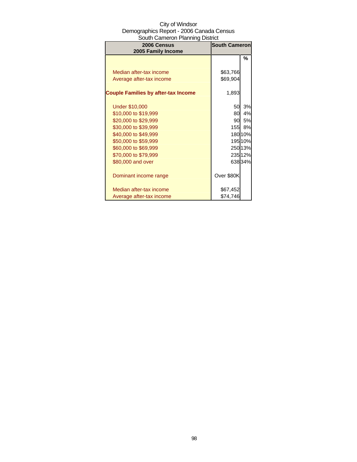| 2006 Census<br>2005 Family Income          | <b>South Cameron</b> |         |
|--------------------------------------------|----------------------|---------|
|                                            |                      | %       |
|                                            |                      |         |
| Median after-tax income                    | \$63,766             |         |
| Average after-tax income                   | \$69,904             |         |
| <b>Couple Families by after-tax Income</b> | 1,893                |         |
| <b>Under \$10,000</b>                      | 50                   | 3%      |
| \$10,000 to \$19,999                       | 80                   | 4%      |
| \$20,000 to \$29,999                       | 90.                  | 5%      |
| \$30,000 to \$39,999                       | 155I                 | 8%      |
| \$40,000 to \$49,999                       |                      | 180 10% |
| \$50,000 to \$59,999                       |                      | 19510%  |
| \$60,000 to \$69,999                       |                      | 25013%  |
| \$70,000 to \$79,999                       |                      | 23512%  |
| \$80,000 and over                          |                      | 63834%  |
| Dominant income range                      | Over \$80K           |         |
| Median after-tax income                    | \$67,452             |         |
| Average after-tax income                   | \$74,746             |         |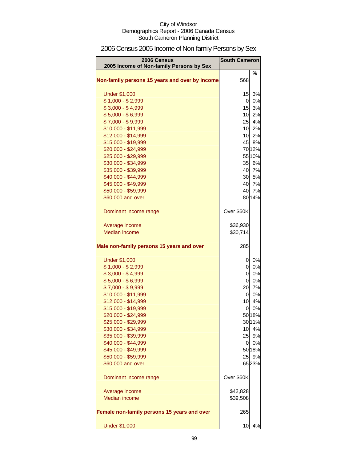# 2006 Census 2005 Income of Non-family Persons by Sex

| 2006 Census<br>2005 Income of Non-family Persons by Sex | <b>South Cameron</b> |              |
|---------------------------------------------------------|----------------------|--------------|
| Non-family persons 15 years and over by Income          | 568                  | %            |
| <b>Under \$1,000</b>                                    | 15                   | 3%           |
| $$1,000 - $2,999$                                       | $\overline{a}$       | 0%           |
| $$3,000 - $4,999$                                       | 15                   | 3%           |
| $$5,000 - $6,999$                                       | 10                   | 2%           |
| $$7,000 - $9,999$                                       | 25                   | 4%           |
| \$10,000 - \$11,999                                     |                      | 10 2%        |
| \$12,000 - \$14,999                                     |                      | 10 2%        |
| \$15,000 - \$19,999                                     |                      | 45 8%        |
| \$20,000 - \$24,999                                     |                      | 7012%        |
| \$25,000 - \$29,999                                     |                      | 55 10%       |
| \$30,000 - \$34,999                                     | 35                   | 6%           |
| \$35,000 - \$39,999                                     |                      | 40 7%        |
| \$40,000 - \$44,999                                     |                      | 30 5%        |
| \$45,000 - \$49,999                                     |                      | 40 7%        |
| \$50,000 - \$59,999                                     | 40                   | 7%           |
| \$60,000 and over                                       |                      | 80 14%       |
| Dominant income range                                   | Over \$60K           |              |
| Average income                                          | \$36,930             |              |
| <b>Median income</b>                                    | \$30,714             |              |
| Male non-family persons 15 years and over               | 285                  |              |
| <b>Under \$1,000</b>                                    | 0                    | 0%           |
| $$1,000 - $2,999$                                       | $\overline{0}$       | 0%           |
| $$3,000 - $4,999$                                       | $\overline{0}$       | 0%           |
| $$5,000 - $6,999$                                       | $\overline{0}$       | 0%           |
| $$7,000 - $9,999$                                       | 20                   | 7%           |
| \$10,000 - \$11,999                                     | $\overline{0}$       | 0%           |
| \$12,000 - \$14,999                                     | 10                   | 4%           |
| \$15,000 - \$19,999                                     | 0                    | 0%           |
| \$20,000 - \$24,999                                     |                      | 50 18%       |
| \$25,000 - \$29,999                                     |                      | 3011%        |
| \$30,000 - \$34,999                                     |                      | 10 4%        |
| \$35,000 - \$39,999                                     |                      | 25 9%        |
| \$40,000 - \$44,999                                     |                      | 0 0%         |
| \$45,000 - \$49,999<br>\$50,000 - \$59,999              | 25                   | 50 18%<br>9% |
| \$60,000 and over                                       |                      | 6523%        |
| Dominant income range                                   | Over \$60K           |              |
|                                                         |                      |              |
| Average income<br><b>Median income</b>                  | \$42,828<br>\$39,508 |              |
| Female non-family persons 15 years and over             | 265                  |              |
| <b>Under \$1,000</b>                                    | 10                   | 4%           |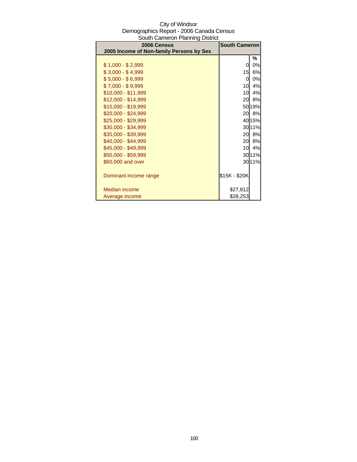| 2006 Census                              | <b>South Cameron</b> |        |
|------------------------------------------|----------------------|--------|
| 2005 Income of Non-family Persons by Sex |                      |        |
|                                          |                      | %      |
| \$1,000 - \$2,999                        | 0                    | 0%     |
| $$3,000 - $4,999$                        | 15                   | 6%     |
| $$5,000 - $6,999$                        | 0                    | 0%     |
| $$7,000 - $9,999$                        | 10                   | 4%     |
| \$10,000 - \$11,999                      | 10                   | 4%     |
| \$12,000 - \$14,999                      | 20                   | 8%     |
| \$15,000 - \$19,999                      |                      | 50 19% |
| \$20,000 - \$24,999                      | 20                   | 8%     |
| \$25,000 - \$29,999                      |                      | 40 15% |
| \$30,000 - \$34,999                      |                      | 3011%  |
| \$35,000 - \$39,999                      | 20                   | 8%     |
| \$40,000 - \$44,999                      | 20                   | 8%     |
| \$45,000 - \$49,999                      | 10                   | 4%     |
| \$50,000 - \$59,999                      |                      | 30 11% |
| \$60,000 and over                        |                      | 3011%  |
|                                          |                      |        |
| Dominant income range                    | \$15K - \$20K        |        |
|                                          |                      |        |
| Median income                            | \$27,812             |        |
| Average income                           | \$28,253             |        |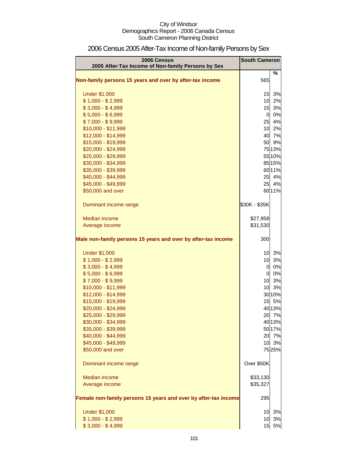| <b>2006 Census</b><br>2005 After-Tax Income of Non-family Persons by Sex | <b>South Cameron</b> |        |
|--------------------------------------------------------------------------|----------------------|--------|
|                                                                          |                      | %      |
| Non-family persons 15 years and over by after-tax income                 | 565                  |        |
| <b>Under \$1,000</b>                                                     | 15                   | 3%     |
| $$1,000 - $2,999$                                                        | 10                   | 2%     |
| $$3,000 - $4,999$                                                        | 15                   | 3%     |
| $$5,000 - $6,999$                                                        | $\overline{0}$       | 0%     |
| $$7,000 - $9,999$                                                        | 25                   | 4%     |
| \$10,000 - \$11,999                                                      | 10                   | 2%     |
| \$12,000 - \$14,999                                                      | 40                   | 7%     |
| \$15,000 - \$19,999                                                      | 50                   | 9%     |
| \$20,000 - \$24,999                                                      |                      | 75 13% |
| \$25,000 - \$29,999                                                      |                      | 55 10% |
| \$30,000 - \$34,999                                                      |                      | 85 15% |
| \$35,000 - \$39,999                                                      |                      | 6011%  |
| \$40,000 - \$44,999                                                      | 20                   | 4%     |
| \$45,000 - \$49,999                                                      | 25                   | 4%     |
| \$50,000 and over                                                        |                      | 6011%  |
| Dominant income range                                                    | \$30K - \$35K        |        |
| Median income                                                            | \$27,958             |        |
| Average income                                                           | \$31,530             |        |
|                                                                          |                      |        |
| Male non-family persons 15 years and over by after-tax income            | 300                  |        |
| <b>Under \$1,000</b>                                                     | 10                   | 3%     |
| $$1,000 - $2,999$                                                        | 10                   | 3%     |
| $$3,000 - $4,999$                                                        | $\overline{0}$       | 0%     |
| $$5,000 - $6,999$                                                        | $\overline{0}$       | 0%     |
| $$7,000 - $9,999$                                                        | 10                   | 3%     |
| \$10,000 - \$11,999                                                      | 10                   | 3%     |
| \$12,000 - \$14,999                                                      |                      | 30 10% |
| \$15,000 - \$19,999                                                      | 15                   | 5%     |
| \$20,000 - \$24,999                                                      |                      | 4013%  |
| \$25,000 - \$29,999                                                      |                      | 20 7%  |
| \$30,000 - \$34,999                                                      |                      | 40 13% |
| \$35,000 - \$39,999                                                      |                      | 50 17% |
| \$40,000 - \$44,999                                                      | 20                   | 7%     |
| \$45,000 - \$49,999                                                      | 10                   | 3%     |
| \$50,000 and over                                                        |                      | 7525%  |
| Dominant income range                                                    | Over \$50K           |        |
| Median income                                                            | \$33,130             |        |
| Average income                                                           | \$35,327             |        |
| Female non-family persons 15 years and over by after-tax income          | 295                  |        |
| <b>Under \$1,000</b>                                                     | 10                   | 3%     |
| $$1,000 - $2,999$                                                        | 10                   | 3%     |
| $$3,000 - $4,999$                                                        | 15                   | 5%     |

# 2006 Census 2005 After-Tax Income of Non-family Persons by Sex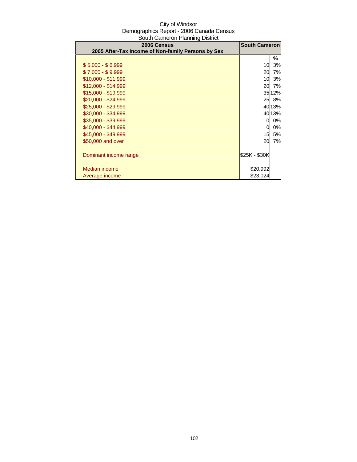| 2006 Census<br>2005 After-Tax Income of Non-family Persons by Sex | <b>South Cameron</b> |        |
|-------------------------------------------------------------------|----------------------|--------|
|                                                                   |                      | ℅      |
| $$5,000 - $6,999$                                                 | 10                   | 3%     |
| $$7,000 - $9,999$                                                 | 20                   | 7%     |
| \$10,000 - \$11,999                                               | 10                   | 3%     |
| $$12,000 - $14,999$                                               | 20                   | 7%     |
| \$15,000 - \$19,999                                               |                      | 35 12% |
| $$20,000 - $24,999$                                               |                      | 25 8%  |
| \$25,000 - \$29,999                                               |                      | 40 13% |
| \$30,000 - \$34,999                                               |                      | 4013%  |
| \$35,000 - \$39,999                                               | 0                    | 0%     |
| \$40,000 - \$44,999                                               | 0                    | 0%     |
| \$45,000 - \$49,999                                               | 15 <sub>l</sub>      | 5%     |
| \$50,000 and over                                                 | 20                   | 7%     |
| Dominant income range                                             | \$25K - \$30K        |        |
| Median income                                                     | \$20,992             |        |
| Average income                                                    | \$23,024             |        |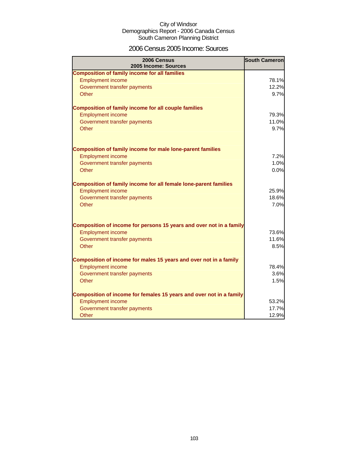### 2006 Census 2005 Income: Sources

| 2006 Census<br>2005 Income: Sources                                 | <b>South Cameron</b> |
|---------------------------------------------------------------------|----------------------|
| <b>Composition of family income for all families</b>                |                      |
| <b>Employment income</b>                                            | 78.1%                |
| Government transfer payments                                        | 12.2%                |
| Other                                                               | 9.7%                 |
| <b>Composition of family income for all couple families</b>         |                      |
| <b>Employment income</b>                                            | 79.3%                |
| Government transfer payments                                        | 11.0%                |
| Other                                                               | 9.7%                 |
| <b>Composition of family income for male lone-parent families</b>   |                      |
| <b>Employment income</b>                                            | 7.2%                 |
| Government transfer payments                                        | 1.0%                 |
| Other                                                               | 0.0%                 |
| Composition of family income for all female lone-parent families    |                      |
| <b>Employment income</b>                                            | 25.9%                |
| Government transfer payments                                        | 18.6%                |
| Other                                                               | 7.0%                 |
| Composition of income for persons 15 years and over not in a family |                      |
| <b>Employment income</b>                                            | 73.6%                |
| Government transfer payments                                        | 11.6%                |
| Other                                                               | 8.5%                 |
| Composition of income for males 15 years and over not in a family   |                      |
| <b>Employment income</b>                                            | 78.4%                |
| Government transfer payments                                        | 3.6%                 |
| Other                                                               | 1.5%                 |
| Composition of income for females 15 years and over not in a family |                      |
| <b>Employment income</b>                                            | 53.2%                |
| Government transfer payments                                        | 17.7%                |
| Other                                                               | 12.9%                |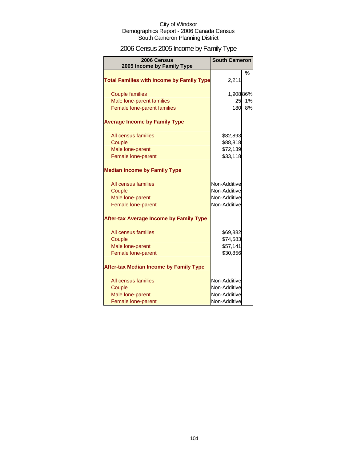# 2006 Census 2005 Income by Family Type

| 2006 Census<br>2005 Income by Family Type        | <b>South Cameron</b> |               |
|--------------------------------------------------|----------------------|---------------|
| <b>Total Families with Income by Family Type</b> | 2,211                | $\frac{0}{0}$ |
| <b>Couple families</b>                           | 1,90886%             |               |
| Male lone-parent families                        | 25                   | 1%            |
| Female lone-parent families                      | 180                  | 8%            |
| <b>Average Income by Family Type</b>             |                      |               |
| All census families                              | \$82,893             |               |
| Couple                                           | \$88,818             |               |
| Male lone-parent                                 | \$72,139             |               |
| Female lone-parent                               | \$33,118             |               |
| <b>Median Income by Family Type</b>              |                      |               |
| All census families                              | Non-Additive         |               |
| Couple                                           | Non-Additive         |               |
| Male lone-parent                                 | Non-Additive         |               |
| Female lone-parent                               | Non-Additive         |               |
| <b>After-tax Average Income by Family Type</b>   |                      |               |
| All census families                              | \$69,882             |               |
| Couple                                           | \$74,583             |               |
| Male lone-parent                                 | \$57,141             |               |
| Female lone-parent                               | \$30,856             |               |
| <b>After-tax Median Income by Family Type</b>    |                      |               |
| All census families                              | Non-Additive         |               |
| Couple                                           | Non-Additive         |               |
| Male lone-parent                                 | Non-Additive         |               |
| Female lone-parent                               | Non-Additive         |               |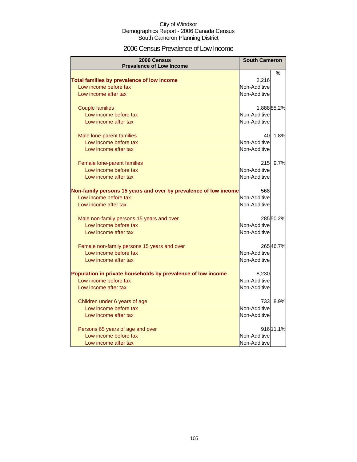### 2006 Census Prevalence of Low Income

| 2006 Census<br><b>Prevalence of Low Income</b>                       | <b>South Cameron</b> |            |
|----------------------------------------------------------------------|----------------------|------------|
|                                                                      |                      | %          |
| Total families by prevalence of low income                           | 2,216                |            |
| Low income before tax                                                | Non-Additive         |            |
| Low income after tax                                                 | Non-Additive         |            |
|                                                                      |                      |            |
| <b>Couple families</b>                                               |                      | 1,88885.2% |
| Low income before tax                                                | Non-Additive         |            |
| Low income after tax                                                 | Non-Additive         |            |
|                                                                      |                      |            |
| Male lone-parent families                                            | 40                   | 1.8%       |
| Low income before tax                                                | Non-Additive         |            |
| Low income after tax                                                 | Non-Additive         |            |
|                                                                      |                      |            |
| Female lone-parent families                                          | 215                  | 9.7%       |
| Low income before tax                                                | Non-Additive         |            |
| Low income after tax                                                 | Non-Additive         |            |
|                                                                      |                      |            |
| Non-family persons 15 years and over by prevalence of low income     | 568                  |            |
| Low income before tax                                                | Non-Additive         |            |
| Low income after tax                                                 | Non-Additive         |            |
|                                                                      |                      |            |
| Male non-family persons 15 years and over                            |                      | 28550.2%   |
| Low income before tax                                                | Non-Additive         |            |
| Low income after tax                                                 | Non-Additive         |            |
|                                                                      |                      | 26546.7%   |
| Female non-family persons 15 years and over<br>Low income before tax | Non-Additive         |            |
| Low income after tax                                                 | Non-Additive         |            |
|                                                                      |                      |            |
| Population in private households by prevalence of low income         | 8,230                |            |
| Low income before tax                                                | Non-Additive         |            |
| Low income after tax                                                 | Non-Additive         |            |
|                                                                      |                      |            |
| Children under 6 years of age                                        | 733                  | 8.9%       |
| Low income before tax                                                | Non-Additive         |            |
| Low income after tax                                                 | Non-Additive         |            |
|                                                                      |                      |            |
| Persons 65 years of age and over                                     |                      | 916 11.1%  |
| Low income before tax                                                | Non-Additive         |            |
| Low income after tax                                                 | Non-Additive         |            |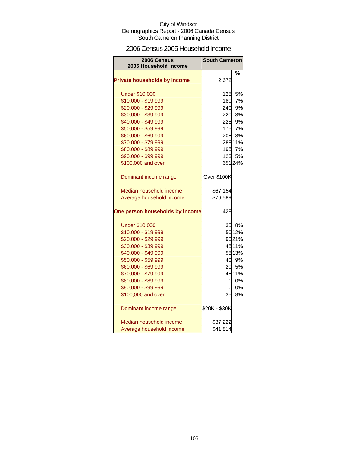### 2006 Census 2005 Household Income

| 2006 Census<br>2005 Household Income | <b>South Cameron</b> |         |
|--------------------------------------|----------------------|---------|
|                                      |                      |         |
| <b>Private households by income</b>  |                      | %       |
|                                      | 2,672                |         |
| <b>Under \$10,000</b>                | 125                  | 5%      |
| \$10,000 - \$19,999                  | 180                  | 7%      |
| \$20,000 - \$29,999                  | 240                  | 9%      |
| \$30,000 - \$39,999                  | 220                  | 8%      |
| \$40,000 - \$49,999                  | 228                  | 9%      |
| \$50,000 - \$59,999                  | 175                  | 7%      |
| \$60,000 - \$69,999                  | 205                  | 8%      |
| \$70,000 - \$79,999                  |                      | 288 11% |
| \$80,000 - \$89,999                  | 195                  | 7%      |
| \$90,000 - \$99,999                  |                      | 123 5%  |
| \$100,000 and over                   |                      | 65124%  |
| Dominant income range                | Over \$100K          |         |
| Median household income              | \$67,154             |         |
| Average household income             | \$76,589             |         |
| One person households by income      | 428                  |         |
| <b>Under \$10,000</b>                |                      | 35 8%   |
| \$10,000 - \$19,999                  |                      | 50 12%  |
| \$20,000 - \$29,999                  |                      | 9021%   |
| \$30,000 - \$39,999                  |                      | 45 11%  |
| \$40,000 - \$49,999                  |                      | 55 13%  |
| \$50,000 - \$59,999                  |                      | 40 9%   |
| \$60,000 - \$69,999                  | 20                   | 5%      |
| \$70,000 - \$79,999                  |                      | 45 11%  |
| \$80,000 - \$89,999                  | 0                    | 0%      |
| \$90,000 - \$99,999                  | 0                    | 0%      |
| \$100,000 and over                   | 35                   | 8%      |
| Dominant income range                | \$20K - \$30K        |         |
| Median household income              | \$37,222             |         |
| Average household income             | \$41,814             |         |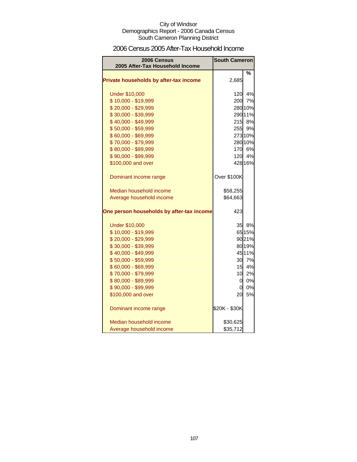### 2006 Census 2005 After-Tax Household Income

| 2006 Census<br>2005 After-Tax Household Income | <b>South Cameron</b> |         |
|------------------------------------------------|----------------------|---------|
|                                                |                      | %       |
| Private households by after-tax income         | 2,685                |         |
| <b>Under \$10,000</b>                          |                      | 120 4%  |
| \$10,000 - \$19,999                            |                      | 200 7%  |
| \$20,000 - \$29,999                            |                      | 280 10% |
| \$30,000 - \$39,999                            |                      | 290 11% |
| \$40,000 - \$49,999                            |                      | 215 8%  |
| \$50,000 - \$59,999                            |                      | 255 9%  |
| \$60,000 - \$69,999                            |                      | 273 10% |
| \$70,000 - \$79,999                            |                      | 280 10% |
| \$80,000 - \$89,999                            |                      | 170 6%  |
| \$90,000 - \$99,999                            |                      | 120 4%  |
| \$100,000 and over                             |                      | 428 16% |
| Dominant income range                          | Over \$100K          |         |
| Median household income                        | \$58,255             |         |
| Average household income                       | \$64,663             |         |
| One person households by after-tax income      | 423                  |         |
| <b>Under \$10,000</b>                          |                      | 35 8%   |
| \$10,000 - \$19,999                            |                      | 65 15%  |
| \$20,000 - \$29,999                            |                      | 9021%   |
| \$30,000 - \$39,999                            |                      | 80 19%  |
| \$40,000 - \$49,999                            |                      | 45 11%  |
| \$50,000 - \$59,999                            |                      | 30 7%   |
| \$60,000 - \$69,999                            | 15                   | 4%      |
| \$70,000 - \$79,999                            | 10 <sup>1</sup>      | 2%      |
| \$80,000 - \$89,999                            | $\overline{O}$       | 0%      |
| \$90,000 - \$99,999                            | <sub>0</sub>         | 0%      |
| \$100,000 and over                             | 20                   | 5%      |
| Dominant income range                          | \$20K - \$30K        |         |
| Median household income                        | \$30,625             |         |
| Average household income                       | \$35,712             |         |